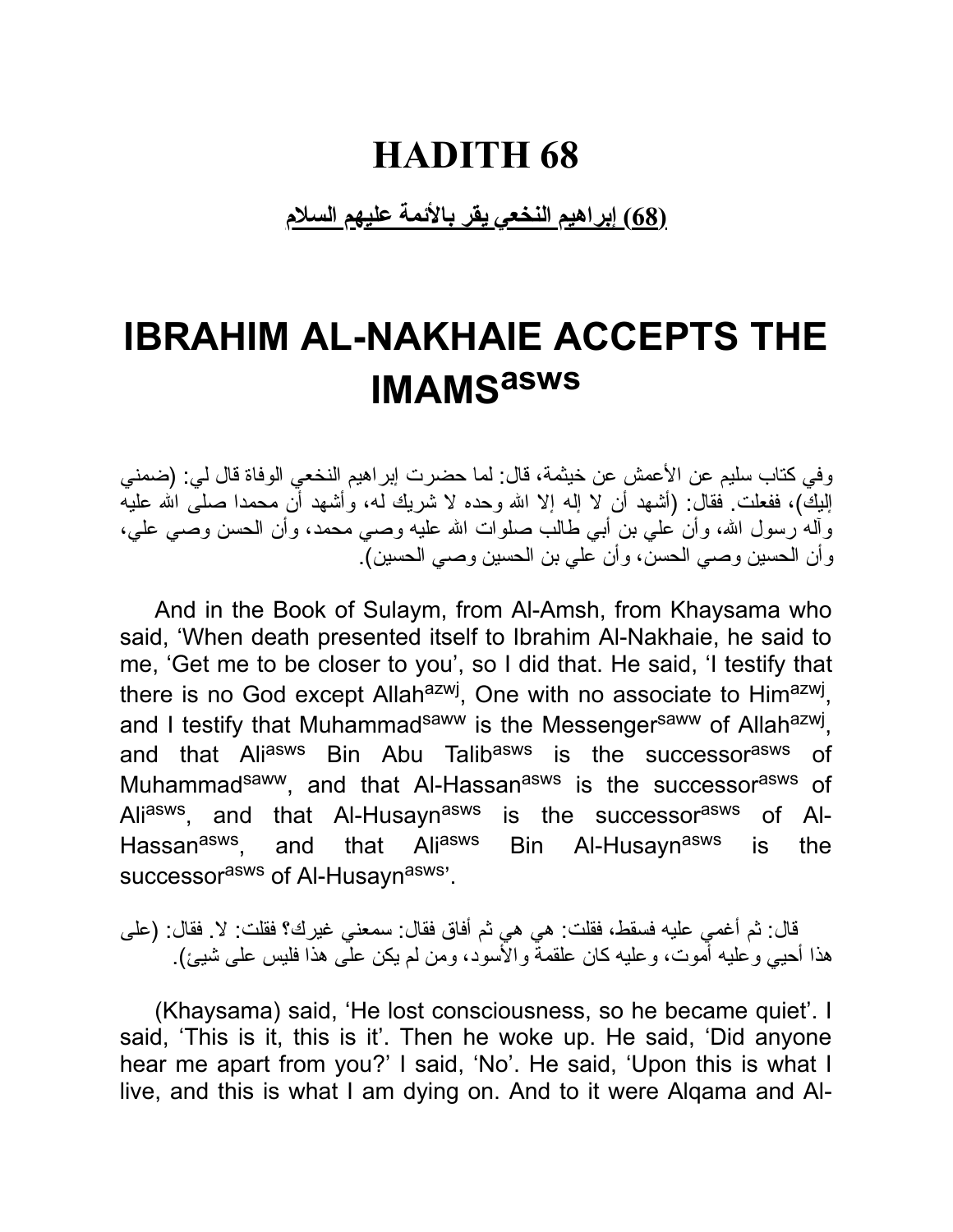**(68) إبراهیم النخعي یقر بالأئمة علیهم السلام**

### **IBRAHIM AL-NAKHAIE ACCEPTS THE IMAMS asws**

وفي كتاب سلیم عن الأعمش عن خیثمة، قال: لما حضرت إبراهیم النخعي الوفاة قال لي: (ضمني إلیكِ)، ففعلت فقال: (أشهد أن لا إله إلا الله وحده لا شریك له، وأشهد أن محمدا صلـَّى الله علیه وآله رسول االله، وأن علي بن أبي طالب صلوات االله علیه وصي محمد، وأن الحسن وصي علي، وأن الحسین وصي الحسن، وأن علي بن الحسین وصي الحسین).

And in the Book of Sulaym, from Al-Amsh, from Khaysama who said, 'When death presented itself to Ibrahim Al-Nakhaie, he said to me, 'Get me to be closer to you', so I did that. He said, 'I testify that there is no God except Allah<sup>azwj</sup>, One with no associate to Him<sup>azwj</sup>, and I testify that Muhammad<sup>saww</sup> is the Messenger<sup>saww</sup> of Allah<sup>azwj</sup>, and that Ali<sup>asws</sup> Bin Abu Talib<sup>asws</sup> is the successor<sup>asws</sup> of Muhammad<sup>saww</sup>, and that Al-Hassan<sup>asws</sup> is the successor<sup>asws</sup> of Ali<sup>asws</sup>, and that Al-Husayn<sup>asws</sup> is the successor<sup>asws</sup> of Al-Hassan<sup>asws</sup>. and that Ali<sup>asws</sup> Bin Al-Husayn<sup>asws</sup> is the successor<sup>asws</sup> of Al-Husayn<sup>asws</sup>'.

قال: ثم أغمي علیه فسقط، فقلت: هي هي ثم أفاق فقال: سمعني غیرك؟ فقلت: لا. فقال: (على هذا أحیي وعلیه أموت، وعلیه كان علقمة والأسود، ومن لم یكن على هذا فلیس على شیئ).

(Khaysama) said, 'He lost consciousness, so he became quiet'. I said, 'This is it, this is it'. Then he woke up. He said, 'Did anyone hear me apart from you?' I said, 'No'. He said, 'Upon this is what I live, and this is what I am dying on. And to it were Alqama and Al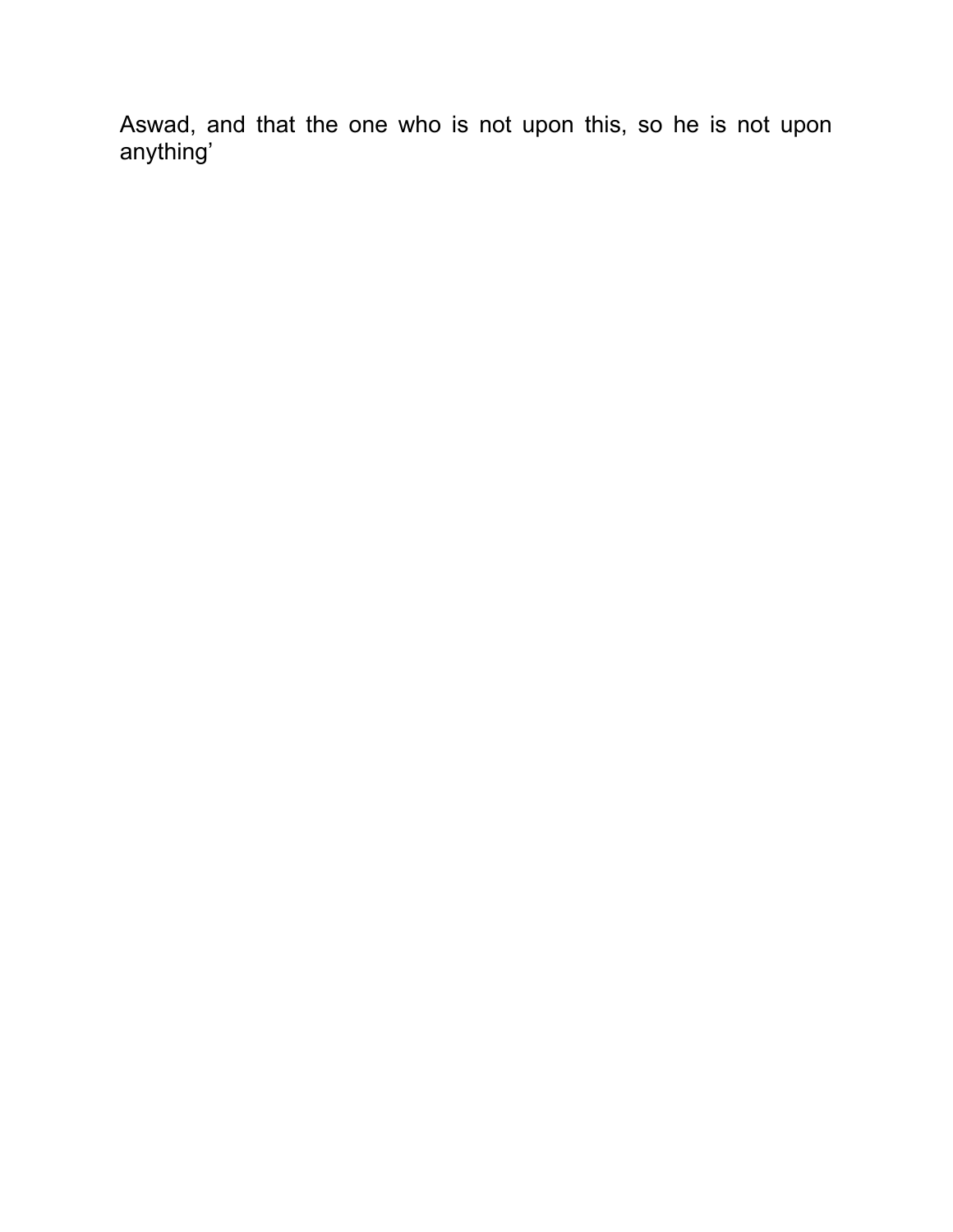Aswad, and that the one who is not upon this, so he is not upon anything'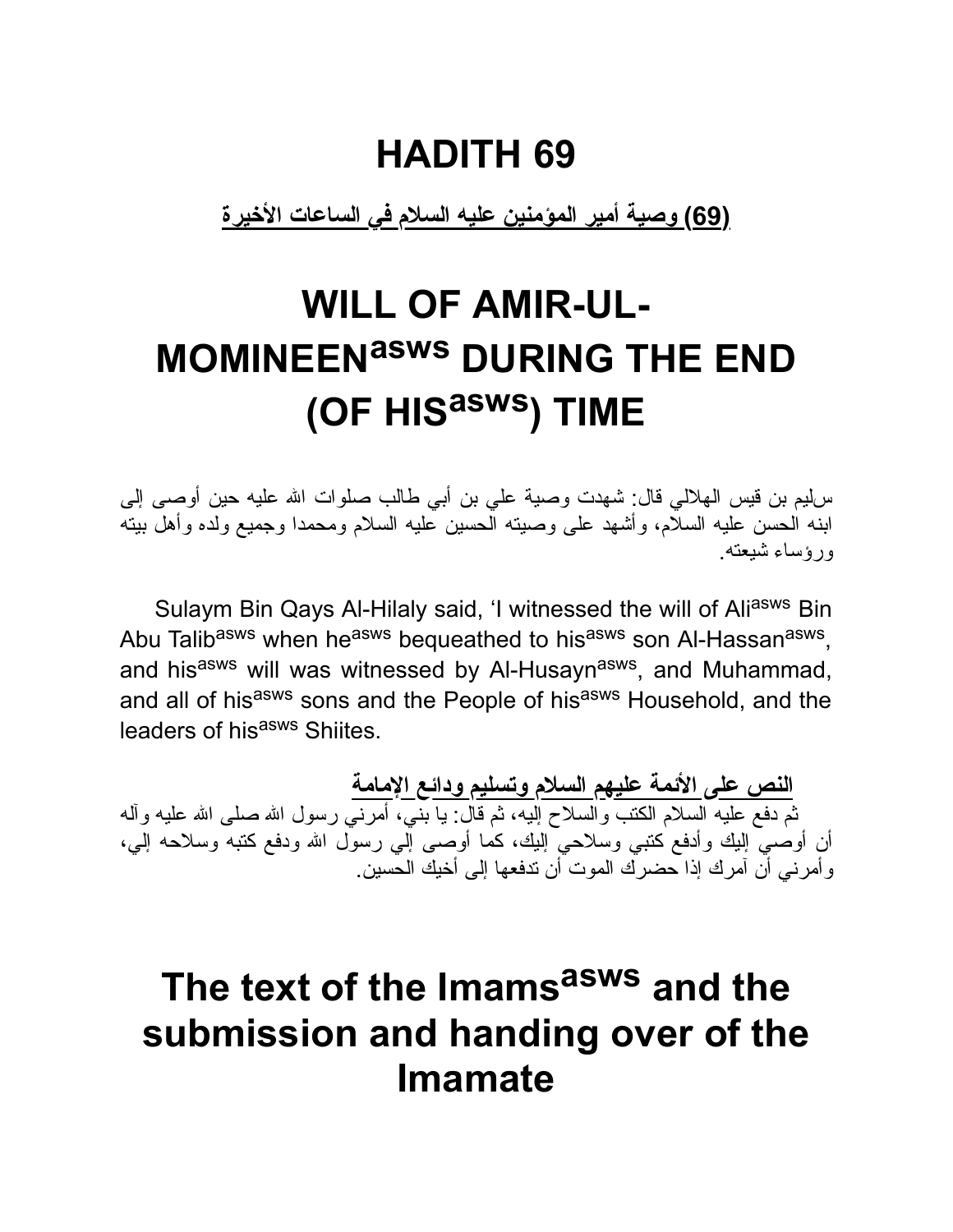**(69) وصیة أمیر المؤمنین علیه السلام في الساعات الأخیرة**

# **WILL OF AMIR-UL-MOMINEENasws DURING THE END (OF HIS asws ) TIME**

سلیم بن قیس الهلالي قال: شهدت وصیة علي بن أبي طالب صلوات االله علیه حین أوصى إلى ابنه الحسن علیه السلام، وأشهد على وصیته الحسین علیه السلام ومحمدا وجمیع ولده وأهل بیته ورؤساء شیعته.

Sulaym Bin Qays Al-Hilaly said, 'I witnessed the will of Aliasws Bin Abu Talib<sup>asws</sup> when he<sup>asws</sup> bequeathed to his<sup>asws</sup> son Al-Hassan<sup>asws</sup>, and his<sup>asws</sup> will was witnessed by Al-Husayn<sup>asws</sup>, and Muhammad, and all of hisasws sons and the People of hisasws Household, and the leaders of his<sup>asws</sup> Shiites.

**النص على الأئمة علیهم السلام وتسلیم ودائع الإمامة** ثم دفع علیه السلام الكتب والسلاح إلیه، ثم قال: یا بني، أمرني رسول االله صلى االله علیه وآله أن أوصي إلیك وأدفع كتبي وسلاحي إلیك، كما أوصى إلي رسول االله ودفع كتبه وسلاحه إلي، وأمرني أن آمرك إذا حضرك الموت أن تدفعها إلى أخیك الحسین.

### **The text of the Imams asws and the submission and handing over of the Imamate**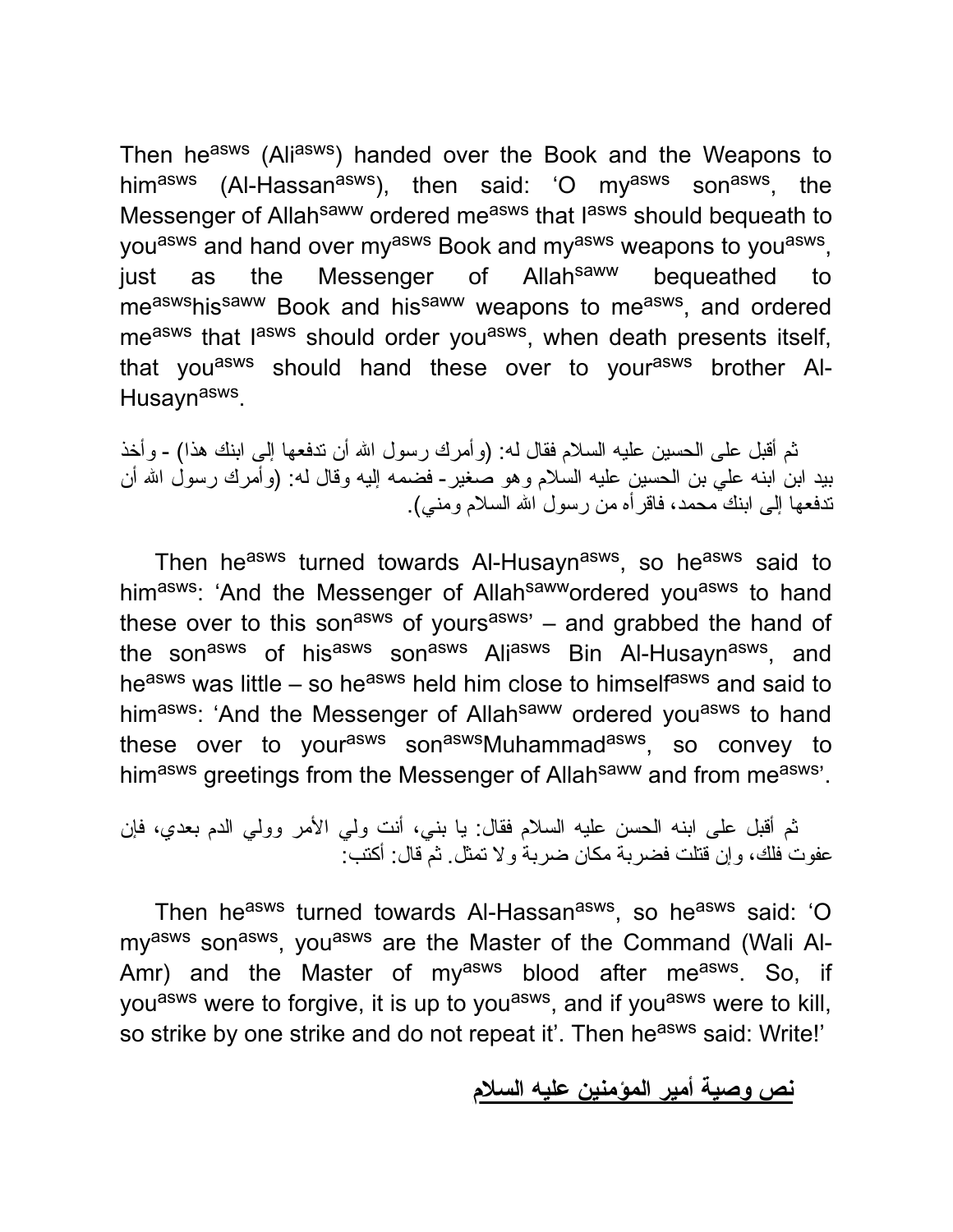Then he<sup>asws</sup> (Ali<sup>asws</sup>) handed over the Book and the Weapons to him<sup>asws</sup> (Al-Hassan<sup>asws</sup>), then said: 'O my<sup>asws</sup> son<sup>asws</sup>, the Messenger of Allah<sup>saww</sup> ordered me<sup>asws</sup> that lasws should bequeath to you<sup>asws</sup> and hand over my<sup>asws</sup> Book and my<sup>asws</sup> weapons to you<sup>asws</sup>, just as the Messenger of Allah<sup>saww</sup> bequeathed to me<sup>asws</sup>his<sup>saww</sup> Book and his<sup>saww</sup> weapons to me<sup>asws</sup>, and ordered me<sup>asws</sup> that l<sup>asws</sup> should order you<sup>asws</sup>, when death presents itself, that you<sup>asws</sup> should hand these over to your<sup>asws</sup> brother Al-Husayn<sup>asws</sup>.

ثم أقبل على الحسین علیه السلام فقال له: (وأمرك رسول االله أن تدفعها إلى ابنك هذا) - وأخذ بید ابن ابنه علي بن الحسین علیه السلام وهو صغیر- فضمه إلیه وقال له: (وأمرك رسول االله أن تدفعها إلى ابنك محمد، فاقرأه من رسول االله السلام ومني).

Then he<sup>asws</sup> turned towards Al-Husayn<sup>asws</sup>, so he<sup>asws</sup> said to himasws: 'And the Messenger of Allah<sup>saww</sup>ordered you<sup>asws</sup> to hand these over to this son<sup>asws</sup> of yours<sup>asws</sup>' – and grabbed the hand of the son<sup>asws</sup> of his<sup>asws</sup> son<sup>asws</sup> Ali<sup>asws</sup> Bin Al-Husayn<sup>asws</sup>, and he<sup>asws</sup> was little – so he<sup>asws</sup> held him close to himself<sup>asws</sup> and said to himasws: 'And the Messenger of Allahsaww ordered you<sup>asws</sup> to hand these over to your<sup>asws</sup> son<sup>asws</sup>Muhammad<sup>asws</sup>, so convey to himasws greetings from the Messenger of Allah<sup>saww</sup> and from measws'.

ثم أقبل على ابنه الحسن علیه السلام فقال: یا بني، أنت ولي الأمر وولي الدم بعدي، فإن عفوت فلك، وإن قتلت فضربة مكان ضربة ولا تمثل. ثم قال: أكتب:

Then he<sup>asws</sup> turned towards Al-Hassan<sup>asws</sup>, so he<sup>asws</sup> said: 'O my<sup>asws</sup> son<sup>asws</sup>, you<sup>asws</sup> are the Master of the Command (Wali Al-Amr) and the Master of my<sup>asws</sup> blood after me<sup>asws</sup>. So, if you<sup>asws</sup> were to forgive, it is up to you<sup>asws</sup>, and if you<sup>asws</sup> were to kill, so strike by one strike and do not repeat it'. Then he<sup>asws</sup> said: Write!'

**نص وصیة أمیر المؤمنین علیه السلام**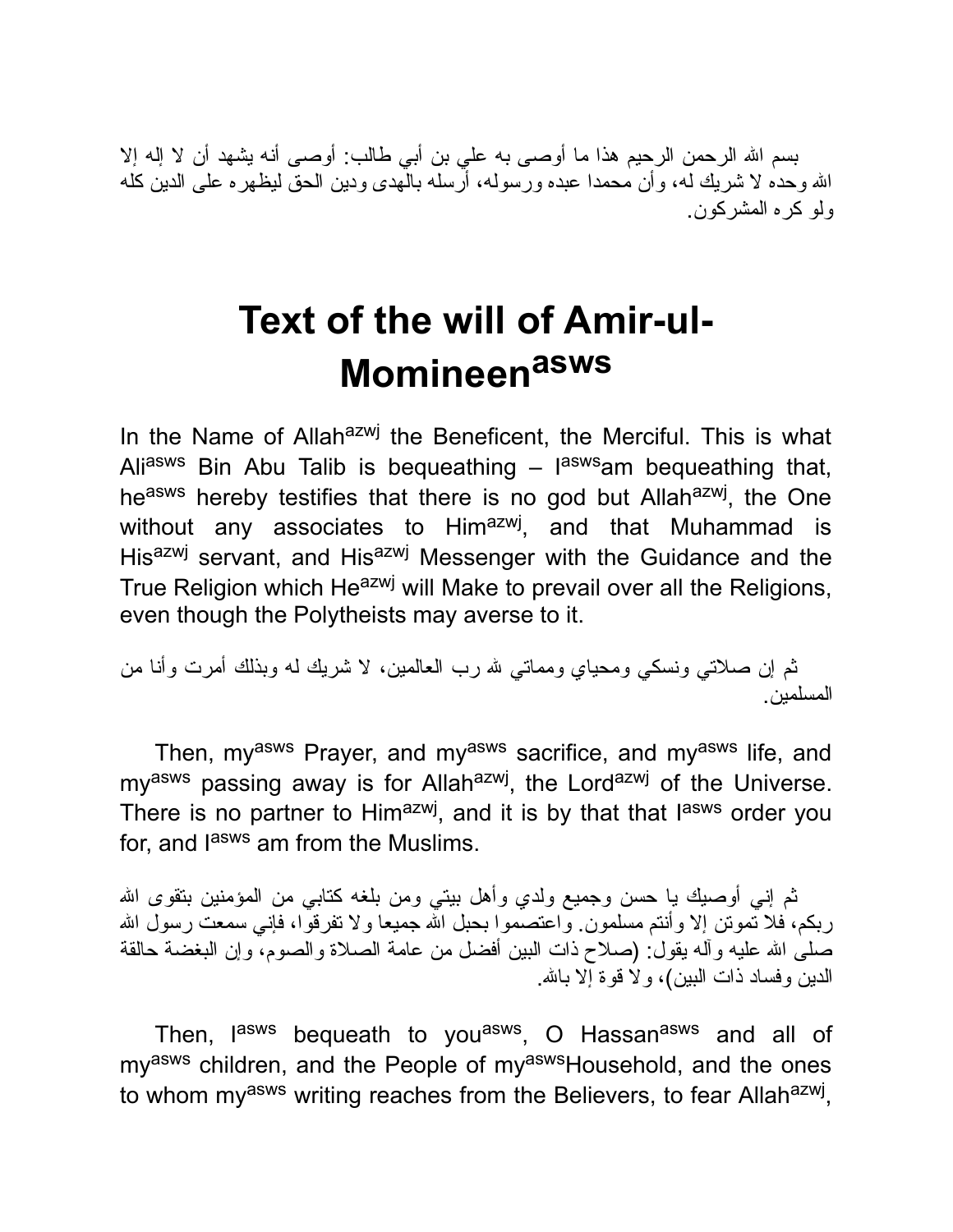بسم االله الرحمن الرحیم هذا ما أوصى به علي بن أبي طالب: أوصى أنه یشهد أن لا إله إلا االله وحده لا شریك له، وأن محمدا عبده ورسوله، أرسله بالهدى ودین الحق لیظهره على الدین كله ولو كره المشركون.

## **Text of the will of Amir-ul-Momineen asws**

In the Name of Allah<sup>azwj</sup> the Beneficent, the Merciful. This is what Ali<sup>asws</sup> Bin Abu Talib is bequeathing – l<sup>asws</sup>am bequeathing that, he<sup>asws</sup> hereby testifies that there is no god but Allah<sup>azwj</sup>, the One without any associates to Him<sup>azwj</sup>, and that Muhammad is Hisazwj servant, and Hisazwj Messenger with the Guidance and the True Religion which He<sup>azwj</sup> will Make to prevail over all the Religions, even though the Polytheists may averse to it.

ثم إن صلاتي ونسكي ومحیاي ومماتي الله رب العالمین، لا شریك له وبذلك أمرت وأنا من المسلمین.

Then, myasws Prayer, and myasws sacrifice, and myasws life, and my<sup>asws</sup> passing away is for Allah<sup>azwj</sup>, the Lord<sup>azwj</sup> of the Universe. There is no partner to Him<sup>azwj</sup>, and it is by that that l<sup>asws</sup> order you for, and lasws am from the Muslims.

ثم إني أوصیك یا حسن وجمیع ولدي وأهل بیتي ومن بلغه كتابي من المؤمنین بتقوى االله ربكم، فلا تموتن إلا وأنتم مسلمون. واعتصموا بحبل الله جمیعا ولا تفرقوا، فإني سمعت رسول الله صلى االله علیه وآله یقول: (صلاح ذات البین أفضل من عامة الصلاة والصوم، وإن البغضة حالقة الدین وفساد ذات البین)، ولا قوة إلا باالله.

Then, l<sup>asws</sup> bequeath to you<sup>asws</sup>, O Hassan<sup>asws</sup> and all of my<sup>asws</sup> children, and the People of my<sup>asws</sup>Household, and the ones to whom my<sup>asws</sup> writing reaches from the Believers, to fear Allah<sup>azwj</sup>,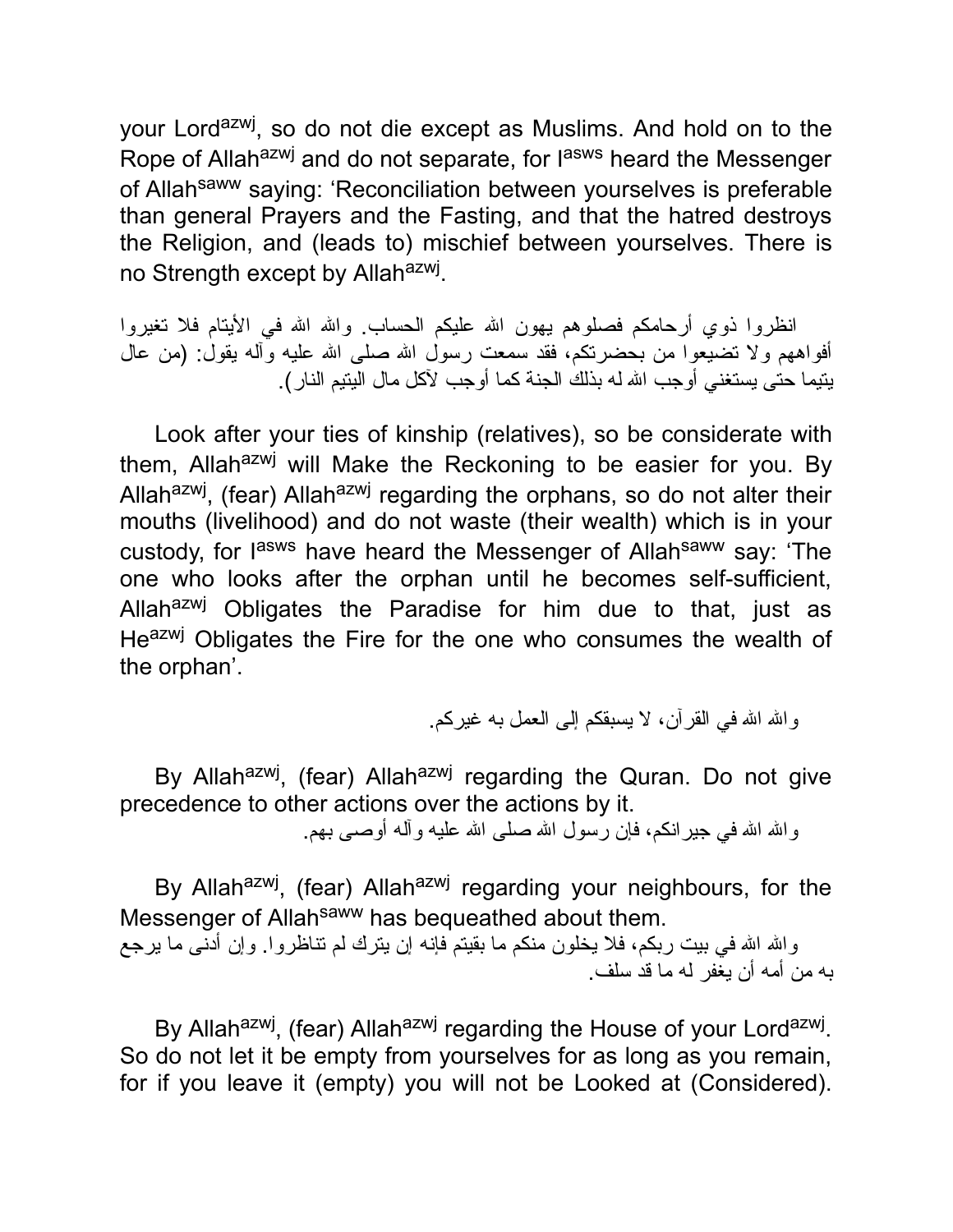your Lord<sup>azwj</sup>, so do not die except as Muslims. And hold on to the Rope of Allah<sup>azwj</sup> and do not separate, for l<sup>asws</sup> heard the Messenger of Allah<sup>saww</sup> saying: 'Reconciliation between yourselves is preferable than general Prayers and the Fasting, and that the hatred destroys the Religion, and (leads to) mischief between yourselves. There is no Strength except by Allah<sup>azwj</sup>.

انظروا ذوي أرحامكم فصلوهم یهون الله علیكم الحساب. والله الله في الأیتام فلا تغیروا أفواههم ولا تضیعوا من بحضرتكم، فقد سمعت رسول االله صلى االله علیه وآله یقول: (من عال یتیما حتى یستغني أوجب االله له بذلك الجنة كما أوجب لآكل مال الیتیم النار).

Look after your ties of kinship (relatives), so be considerate with them, Allah<sup>azwj</sup> will Make the Reckoning to be easier for you. By Allah<sup>azwj</sup>, (fear) Allah<sup>azwj</sup> regarding the orphans, so do not alter their mouths (livelihood) and do not waste (their wealth) which is in your custody, for l<sup>asws</sup> have heard the Messenger of Allah<sup>saww</sup> say: 'The one who looks after the orphan until he becomes self-sufficient, Allah<sup>azwj</sup> Obligates the Paradise for him due to that, just as Heazwj Obligates the Fire for the one who consumes the wealth of the orphan'.

و الله الله في القر آن، لا یسبقكم إلى العمل به غیر كم.

By Allah<sup>azwj</sup>, (fear) Allah<sup>azwj</sup> regarding the Quran. Do not give precedence to other actions over the actions by it.

واالله االله في جیرانكم، فإن رسول االله صلى االله علیه وآله أوصى بهم.

By Allah<sup>azwj</sup>, (fear) Allah<sup>azwj</sup> regarding your neighbours, for the Messenger of Allah<sup>saww</sup> has bequeathed about them.

والله الله في بیت ربكم، فلا یخلون منكم ما بقیتم فإنه إن یترك لم تناظروا. وإن أدنى ما یرجع به من أمه أن یغفر له ما قد سلف.

By Allah<sup>azwj</sup>, (fear) Allah<sup>azwj</sup> regarding the House of your Lord<sup>azwj</sup>. So do not let it be empty from yourselves for as long as you remain, for if you leave it (empty) you will not be Looked at (Considered).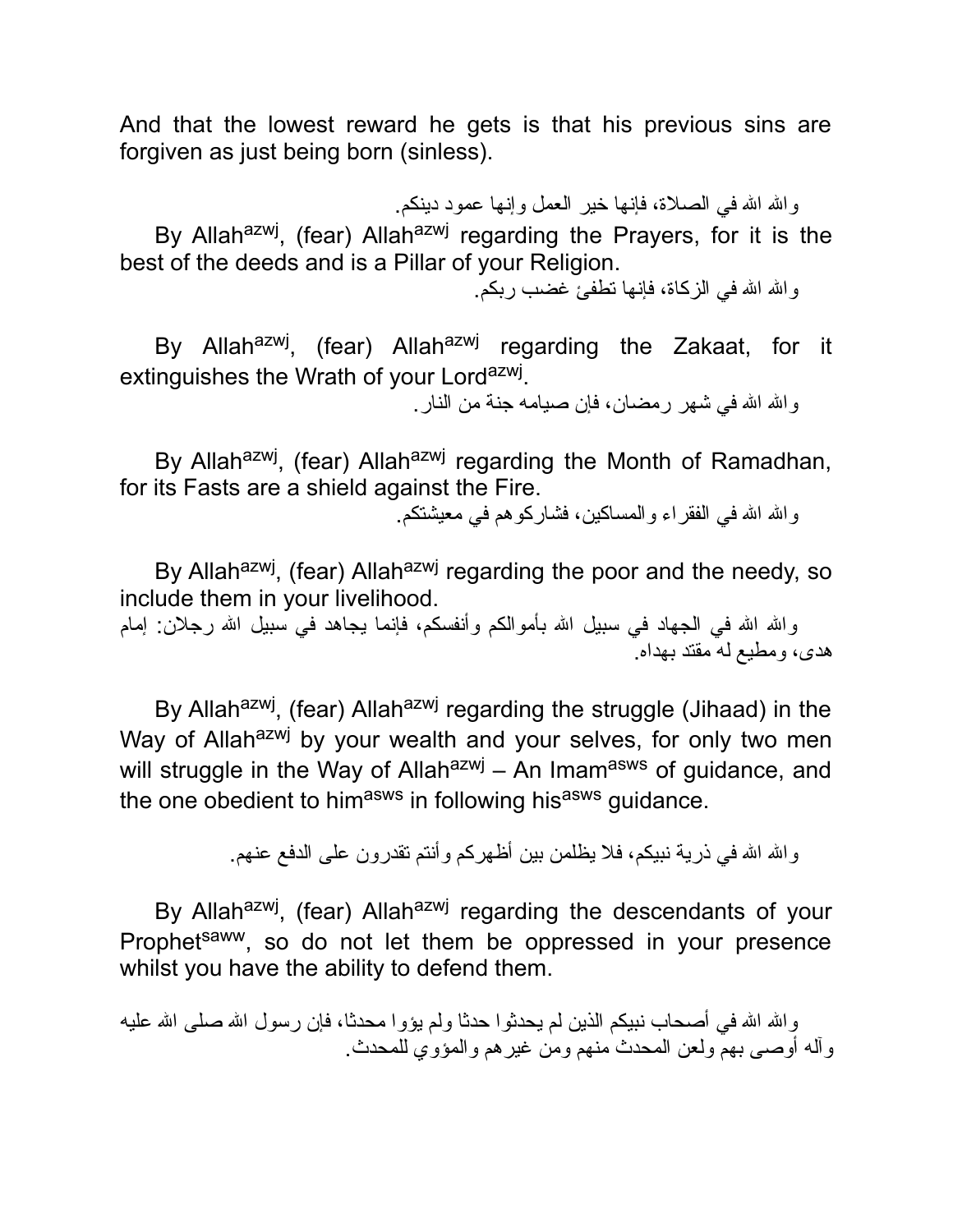And that the lowest reward he gets is that his previous sins are forgiven as just being born (sinless).

والله الله في الصلاة، فإنها خیر العمل وإنها عمود دینكم.

By Allah<sup>azwj</sup>, (fear) Allah<sup>azwj</sup> regarding the Prayers, for it is the best of the deeds and is a Pillar of your Religion.

والله الله في الزكاة، فإنها تطفئ غضب ربكم.

By Allah<sup>azwj</sup>, (fear) Allah<sup>azwj</sup> regarding the Zakaat, for it extinguishes the Wrath of your Lord<sup>azwj</sup>.

و الله الله في شهر رمضان، فإن صيامه جنة من النار .

By Allah<sup>azwj</sup>, (fear) Allah<sup>azwj</sup> regarding the Month of Ramadhan, for its Fasts are a shield against the Fire.

و الله الله في الفقر اء و المساكین، فشار كو هم في معیشتكم.

By Allah<sup>azwj</sup>, (fear) Allah<sup>azwj</sup> regarding the poor and the needy, so include them in your livelihood.

والله الله في الجهاد في سبيل الله بأموالكم وأنفسكم، فإنما يجاهد في سبيل الله رجلان: إمام هدى، ومطیع له مقتد بهداه.

By Allah<sup>azwj</sup>, (fear) Allah<sup>azwj</sup> regarding the struggle (Jihaad) in the Way of Allah<sup>azwj</sup> by your wealth and your selves, for only two men will struggle in the Way of Allah<sup>azwj</sup> – An Imam<sup>asws</sup> of guidance, and the one obedient to himasws in following hisasws guidance.

والله الله في ذریة نبیكم، فلا یظلمن بین أظهركم وأنتم تقدرون على الدفع عنهم.

By Allah<sup>azwj</sup>, (fear) Allah<sup>azwj</sup> regarding the descendants of your Prophet<sup>saww</sup>, so do not let them be oppressed in your presence whilst you have the ability to defend them.

والله الله في أصحاب نبيكم الذين لم يحدثوا حدثا ولم يؤوا محدثا، فإن رسول الله صلى الله عليه وآله أوصى بهم ولعن المحدث منهم ومن غیرهم والمؤوي للمحدث.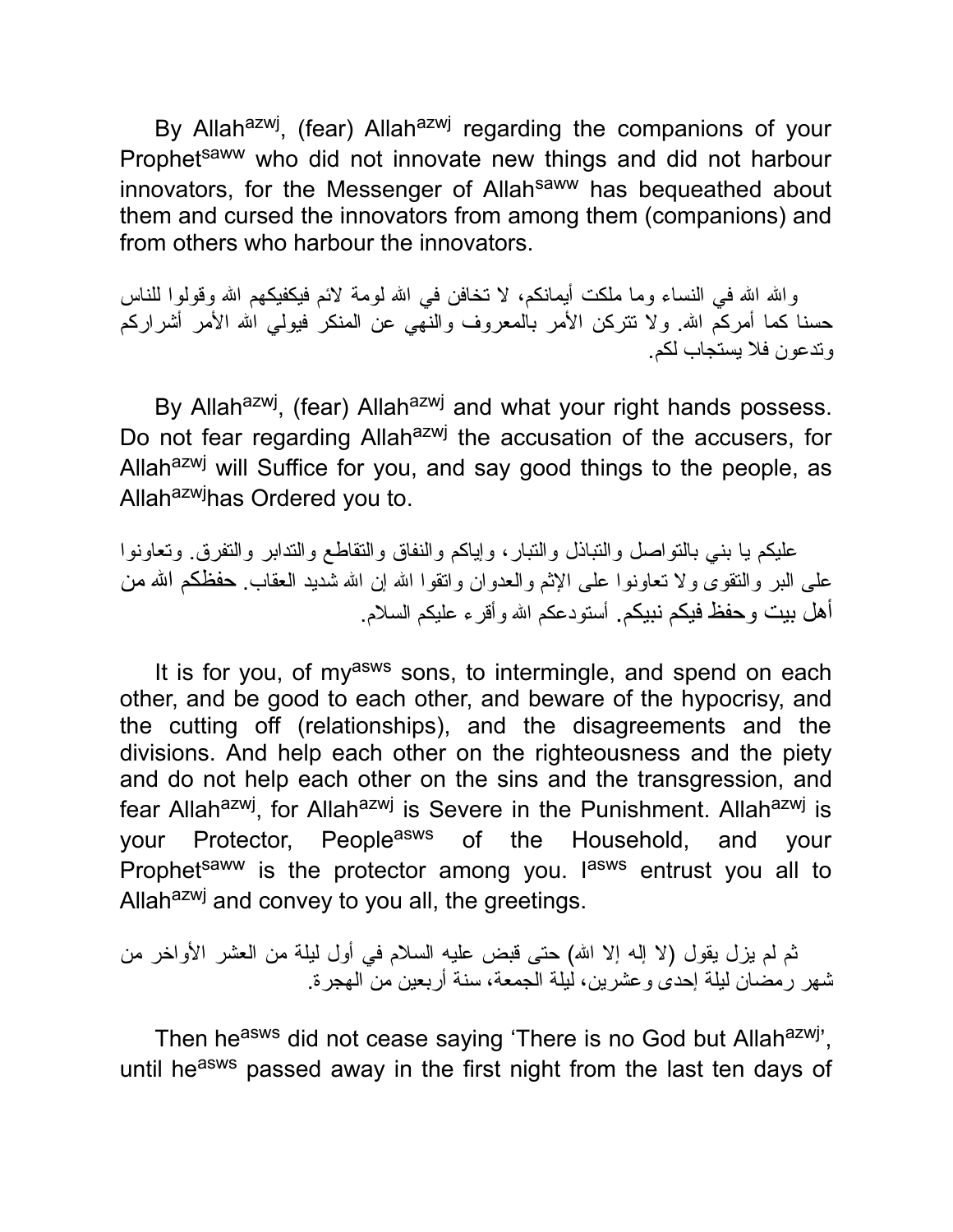By Allah<sup>azwj</sup>, (fear) Allah<sup>azwj</sup> regarding the companions of your Prophetsaww who did not innovate new things and did not harbour innovators, for the Messenger of Allahsaww has bequeathed about them and cursed the innovators from among them (companions) and from others who harbour the innovators.

والله الله في النساء وما ملكت أیمانكم، لا تخافن في الله لومة لائم فیكفیكهم الله وقولوا للناس حسنا كما أمركم الله. ولا تتركن الأمر بالمعروف والنهي عن المنكر فیولی الله الأمر أشراركم وتدعون فلا یستجاب لكم.

By Allah<sup>azwj</sup>, (fear) Allah<sup>azwj</sup> and what your right hands possess. Do not fear regarding Allah<sup>azwj</sup> the accusation of the accusers, for Allah<sup>azwj</sup> will Suffice for you, and say good things to the people, as Allah<sup>azwj</sup>has Ordered you to.

علیكم یا بني بالتواصل والتباذل والتبار، وإیاكم والنفاق والتقاطع والتدابر والتفرق. وتعاونوا على البر والنقوى ولا تعاونوا على الإثم والعدوان وانقوا الله إن الله شدید العقاب. حفظكم الله من أهل بیت وحفظ فیكم نبیكم. أستودعكم االله وأقرء علیكم السلام.

It is for you, of my<sup>asws</sup> sons, to intermingle, and spend on each other, and be good to each other, and beware of the hypocrisy, and the cutting off (relationships), and the disagreements and the divisions. And help each other on the righteousness and the piety and do not help each other on the sins and the transgression, and fear Allah<sup>azwj</sup>, for Allah<sup>azwj</sup> is Severe in the Punishment. Allah<sup>azwj</sup> is your Protector, People<sup>asws</sup> of the Household, and your Prophet<sup>saww</sup> is the protector among you. I<sup>asws</sup> entrust you all to Allah<sup>azwj</sup> and convey to you all, the greetings.

ثم لم یزل یقول (لا إله إلا االله) حتى قبض علیه السلام في أول لیلة من العشر الأواخر من شهر رمضان لیلة إحدى وعشرین، لیلة الجمعة، سنة أربعین من الهجرة.

Then he<sup>asws</sup> did not cease saying 'There is no God but Allah<sup>azwj</sup>', until he<sup>asws</sup> passed away in the first night from the last ten days of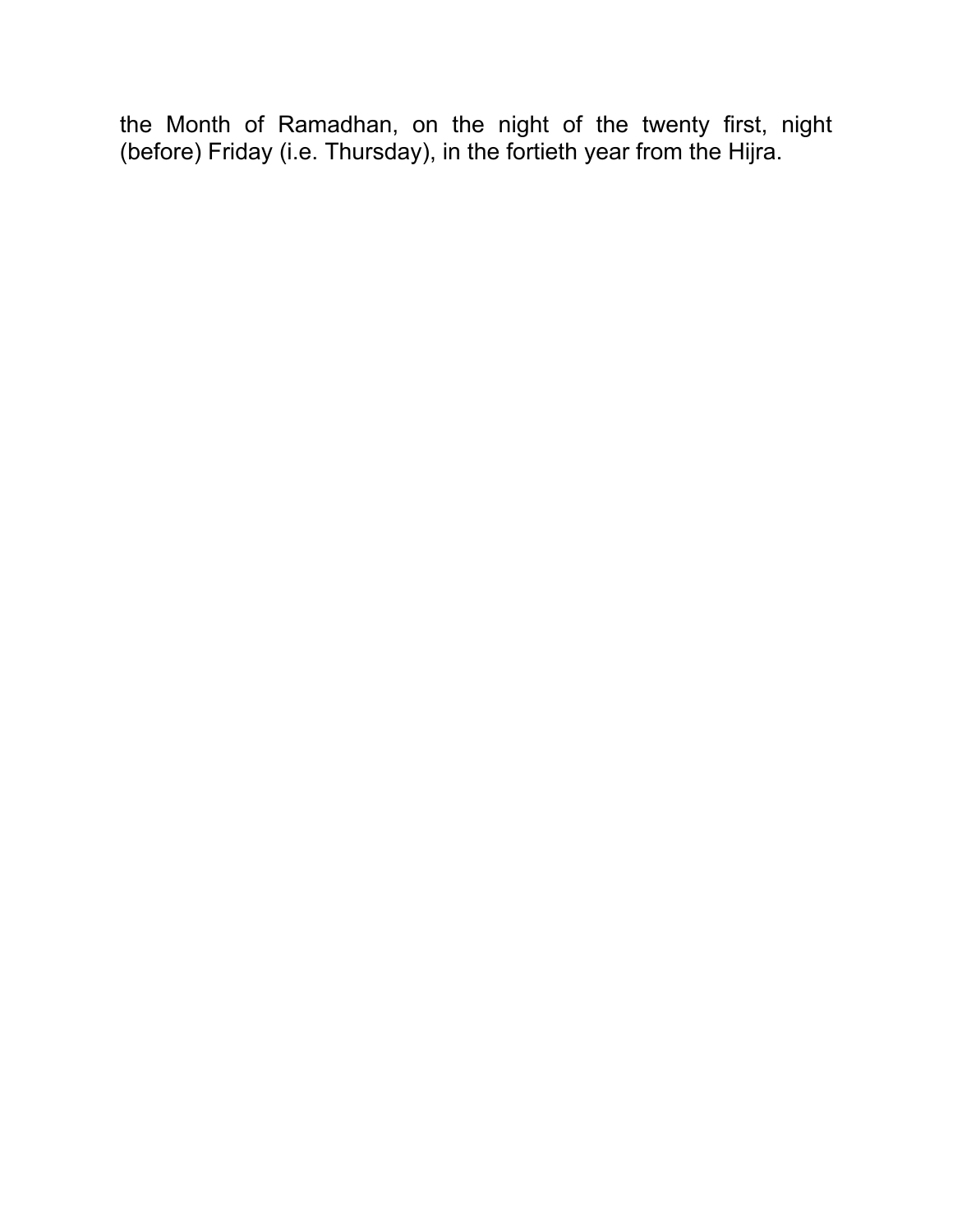the Month of Ramadhan, on the night of the twenty first, night (before) Friday (i.e. Thursday), in the fortieth year from the Hijra.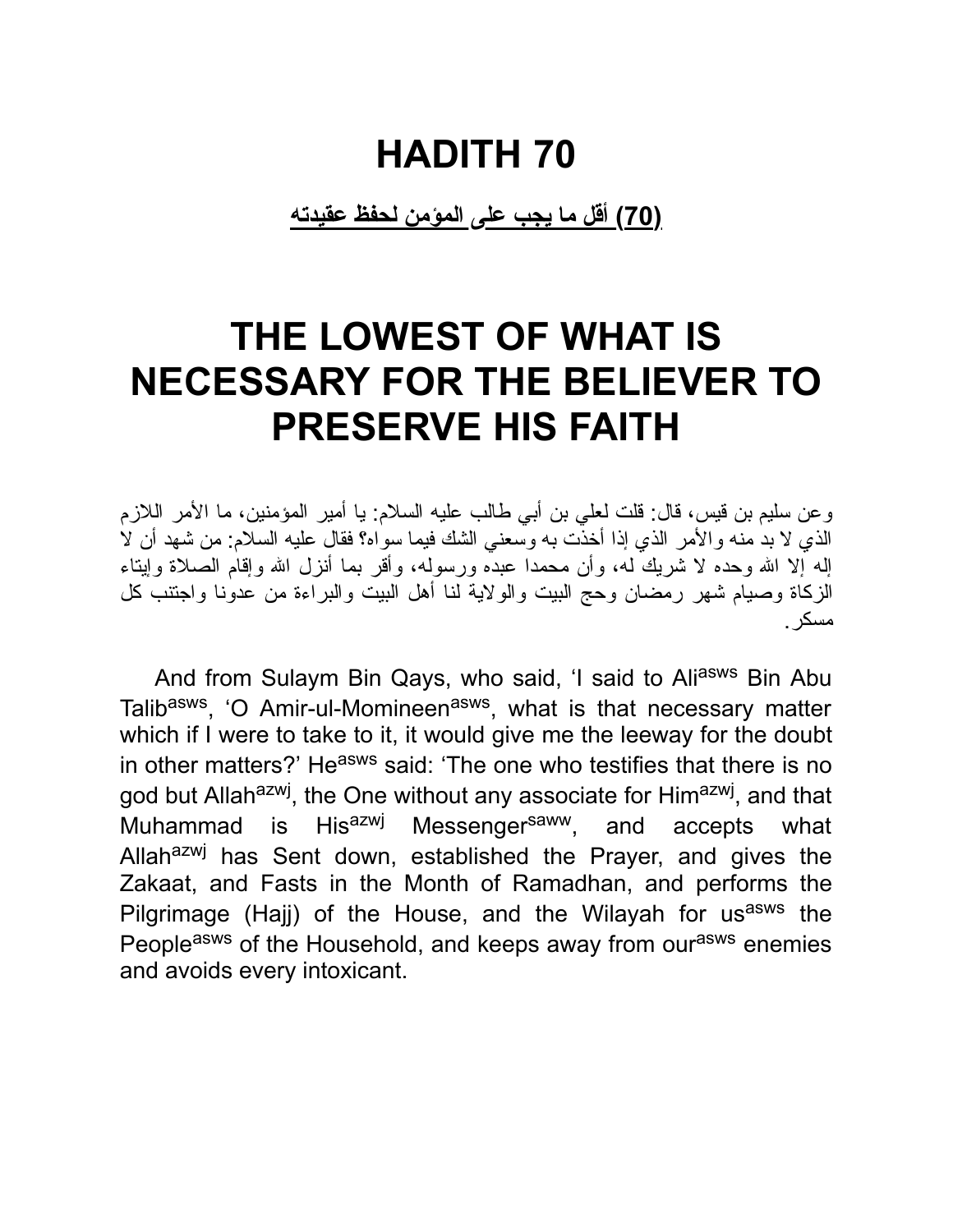**(70) أقل ما یجب على المؤمن لحفظ عقیدته**

### **THE LOWEST OF WHAT IS NECESSARY FOR THE BELIEVER TO PRESERVE HIS FAITH**

وعن سلیم بن قیس، قال: قلت لعلي بن أبي طالب علیه السلام: یا أمیر المؤمنین، ما الأمر اللازم الذي لا بد منه والأمر الذي إذا أخذت به وسعني الشك فیما سواه؟ فقال علیه السلام: من شهد أن لا إله إلا االله وحده لا شریك له، وأن محمدا عبده ورسوله، وأقر بما أنزل االله وإقام الصلاة وإیتاء الزكاة وصیام شهر رمضان وحج البیت والولایة لنا أهل البیت والبراءة من عدونا واجتنب كل مسكر.

And from Sulaym Bin Qays, who said, 'I said to Aliasws Bin Abu Talib<sup>asws</sup>, 'O Amir-ul-Momineen<sup>asws</sup>, what is that necessary matter which if I were to take to it, it would give me the leeway for the doubt in other matters?' He<sup>asws</sup> said: 'The one who testifies that there is no god but Allah<sup>azwj</sup>, the One without any associate for Him<sup>azwj</sup>, and that Muhammad is His<sup>azwj</sup> Messenger<sup>saww</sup>, and accepts what Allah<sup>azwj</sup> has Sent down, established the Prayer, and gives the Zakaat, and Fasts in the Month of Ramadhan, and performs the Pilgrimage (Hajj) of the House, and the Wilayah for us<sup>asws</sup> the Peopleasws of the Household, and keeps away from ourasws enemies and avoids every intoxicant.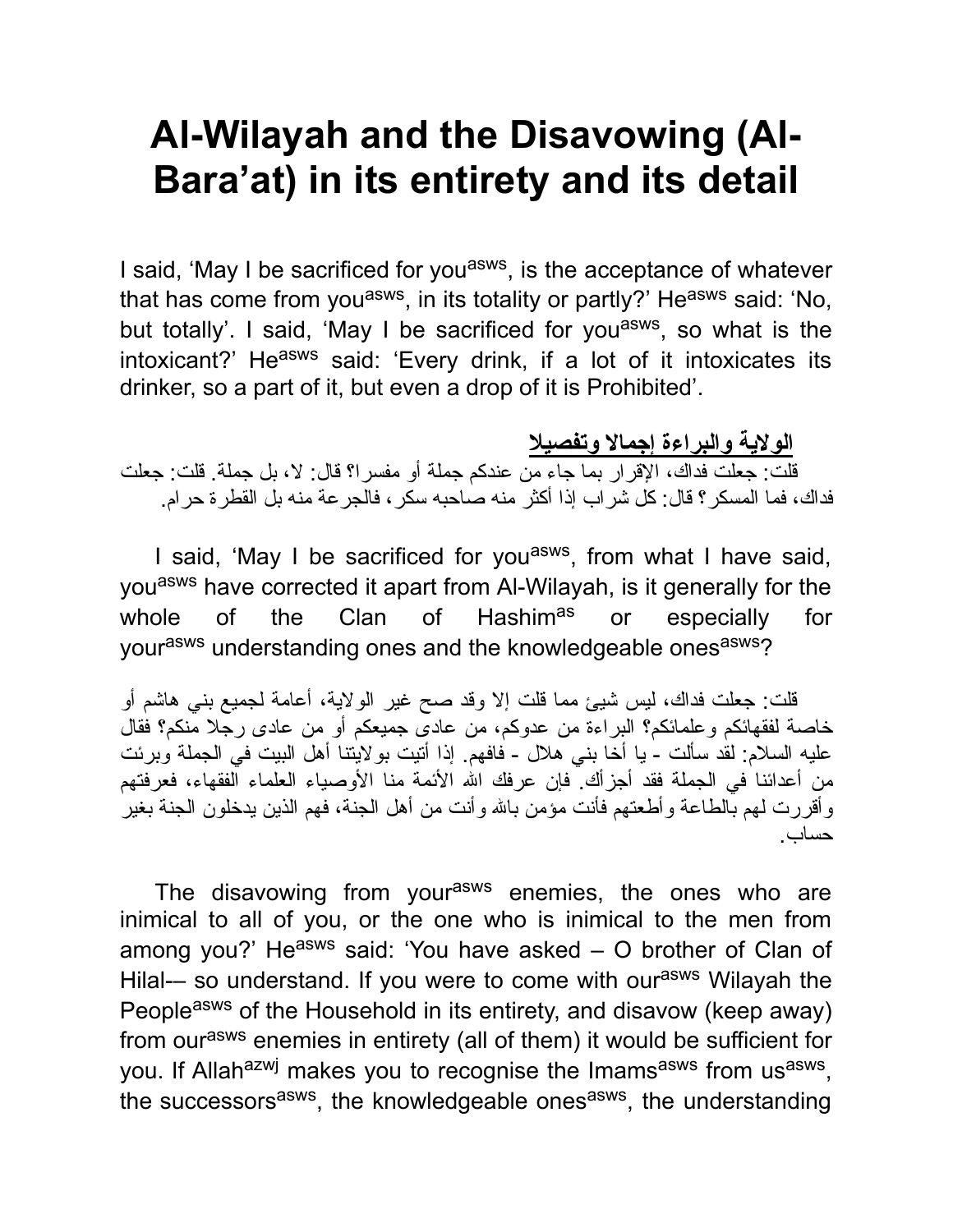### **Al-Wilayah and the Disavowing (Al-Bara'at) in its entirety and its detail**

I said, 'May I be sacrificed for you<sup>asws</sup>, is the acceptance of whatever that has come from you<sup>asws</sup>, in its totality or partly?' He<sup>asws</sup> said: 'No, but totally'. I said, 'May I be sacrificed for you<sup>asws</sup>, so what is the intoxicant?' He<sup>asws</sup> said: 'Every drink, if a lot of it intoxicates its drinker, so a part of it, but even a drop of it is Prohibited'.

#### **الولایة والبراءة إجمالا وتفصیلا**

قلت: جعلت فداك، الإقرار بما جاء من عندكم جملة أو مفسرا؟ قال: لا، بل جملة. قلت: جعلت فداك، فما المسكر؟ قال: كل شراب إذا أكثر منه صاحبه سكر، فالجرعة منه بل القطرة حرام.

I said, 'May I be sacrificed for you<sup>asws</sup>, from what I have said, youasws have corrected it apart from Al-Wilayah, is it generally for the whole of the Clan of Hashim<sup>as</sup> or especially for yourasws understanding ones and the knowledgeable onesasws?

قلت: جعلت فداك، لیس شیئ مما قلت إلا وقد صح غیر الولایة، أعامة لجمیع بني هاشم أو خاصة لفقهائكم وعلمائكم؟ البراءة من عدوكم، من عادى جمیعكم أو من عادى رجلا منكم؟ فقال علیه السلام: لقد سألت - یا أخا بني هلال - فافهم. إذا أتیت بولایتنا أهل البیت في الجملة وبرئت من أعدائنا في الجملة فقد أجزأك ً فإن عرفك الله الأئمة منا الأوصياء العلماء الفقهاء، فعرفتهم وأقررت لهم بالطاعة وأطعتهم فأنت مؤمن باالله وأنت من أهل الجنة، فهم الذین یدخلون الجنة بغیر حساب.

The disavowing from your<sup>asws</sup> enemies, the ones who are inimical to all of you, or the one who is inimical to the men from among you?' Heasws said: 'You have asked  $-$  O brother of Clan of Hilal-– so understand. If you were to come with our<sup>asws</sup> Wilayah the People<sup>asws</sup> of the Household in its entirety, and disavow (keep away) from our<sup>asws</sup> enemies in entirety (all of them) it would be sufficient for you. If Allah<sup>azwj</sup> makes you to recognise the Imams<sup>asws</sup> from us<sup>asws</sup>, the successors<sup>asws</sup>, the knowledgeable ones<sup>asws</sup>, the understanding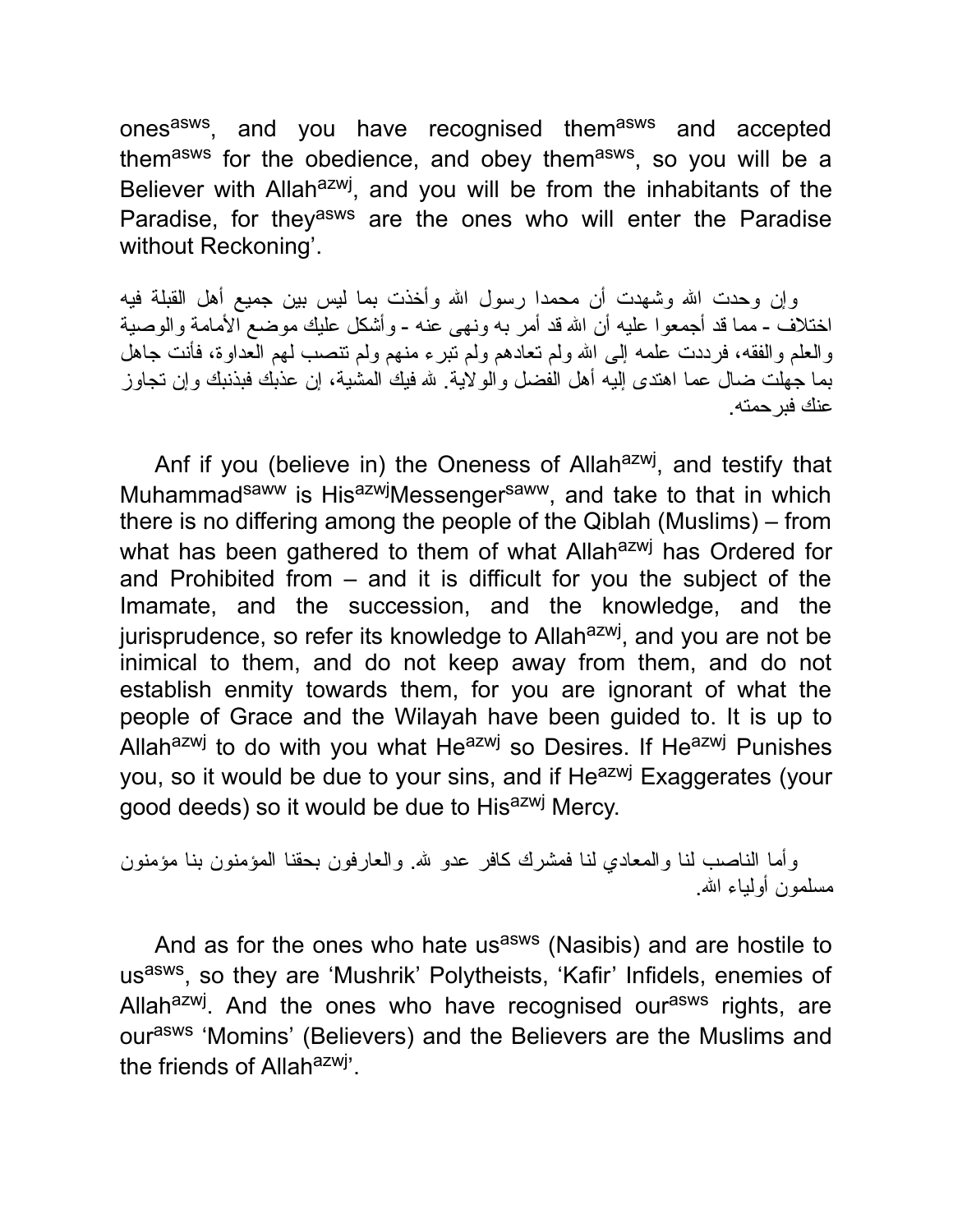ones<sup>asws</sup>, and you have recognised them<sup>asws</sup> and accepted them<sup>asws</sup> for the obedience, and obey them<sup>asws</sup>, so you will be a Believer with Allah<sup>azwj</sup>, and you will be from the inhabitants of the Paradise, for they<sup>asws</sup> are the ones who will enter the Paradise without Reckoning'.

وإن وحدت االله وشهدت أن محمدا رسول االله وأخذت بما لیس بین جمیع أهل القبلة فیه اختلاف - مما قد أجمعوا علیه أن االله قد أمر به ونهى عنه - وأشكل علیك موضع الأمامة والوصیة والعلم والفقه، فرددت علمه إلى االله ولم تعادهم ولم تبرء منهم ولم تنصب لهم العداوة، فأنت جاهل بما جهلت ضال عما اهتدى إلیه أهل الفضل والولایة. الله فیك المشیة، إن عذبك فبذنبك وإن تجاوز عنك فبرحمته.

Anf if you (believe in) the Oneness of Allah<sup>azwj</sup>, and testify that Muhammad<sup>saww</sup> is His<sup>azwj</sup>Messenger<sup>saww</sup>, and take to that in which there is no differing among the people of the Qiblah (Muslims) – from what has been gathered to them of what Allah<sup>azwj</sup> has Ordered for and Prohibited from – and it is difficult for you the subject of the Imamate, and the succession, and the knowledge, and the jurisprudence, so refer its knowledge to Allah<sup>azwj</sup>, and you are not be inimical to them, and do not keep away from them, and do not establish enmity towards them, for you are ignorant of what the people of Grace and the Wilayah have been guided to. It is up to Allah<sup>azwj</sup> to do with you what He<sup>azwj</sup> so Desires. If He<sup>azwj</sup> Punishes you, so it would be due to your sins, and if He<sup>azwj</sup> Exaggerates (your good deeds) so it would be due to Hisazwj Mercy.

وأما الناصب لنا والمعادي لنا فمشرك كافر عدو الله. والعارفون بحقنا المؤمنون بنا مؤمنون مسلمون أولیاء االله.

And as for the ones who hate usasws (Nasibis) and are hostile to us<sup>asws</sup>, so they are 'Mushrik' Polytheists, 'Kafir' Infidels, enemies of Allah<sup>azwj</sup>. And the ones who have recognised our<sup>asws</sup> rights, are ourasws 'Momins' (Believers) and the Believers are the Muslims and the friends of Allah<sup>azwj</sup>.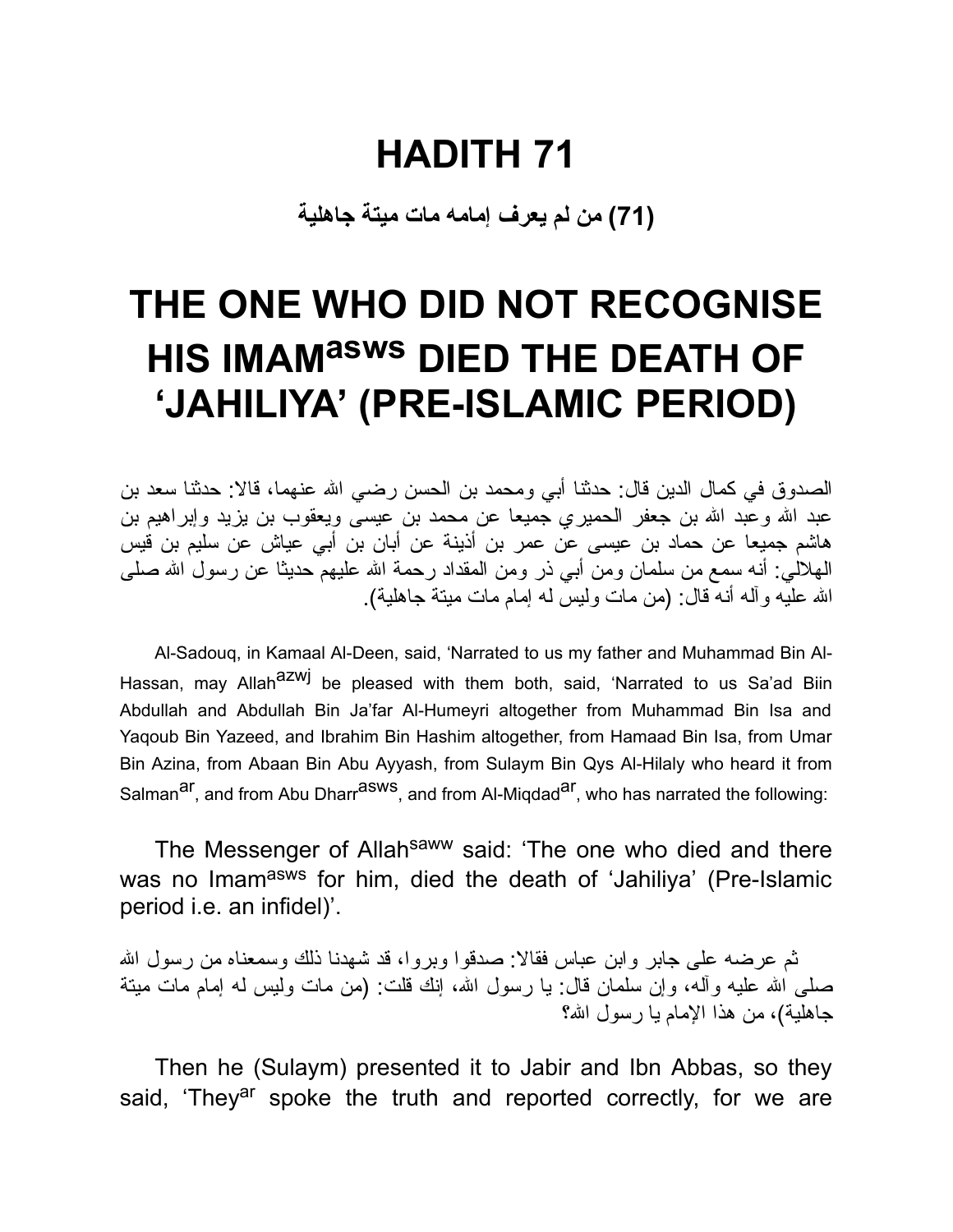**(71) من لم یعرف إمامه مات میتة جاهلیة**

### **THE ONE WHO DID NOT RECOGNISE HIS IMAMasws DIED THE DEATH OF 'JAHILIYA' (PRE-ISLAMIC PERIOD)**

الصدوق في كمال الدین قال: حدثنا أبي ومحمد بن الحسن رضي االله عنهما، قالا: حدثنا سعد بن عبد الله وعبد الله بن جعفر الحمیري جمیعا عن محمد بن عیسى ویعقوب بن یزید وإبراهیم بن هاشم جمیعا عن حماد بن عیسى عن عمر بن أذینة عن أبان بن أبي عیاش عن سلیم بن قیس الهلالي: أنه سمع من سلمان ومن أبي ذر ومن المقداد رحمة االله علیهم حدیثا عن رسول االله صلى االله علیه وآله أنه قال: (من مات ولیس له إمام مات میتة جاهلیة).

Al-Sadouq, in Kamaal Al-Deen, said, 'Narrated to us my father and Muhammad Bin Al-Hassan, may Allah<sup>azwj</sup> be pleased with them both, said, 'Narrated to us Sa'ad Biin Abdullah and Abdullah Bin Ja'far Al-Humeyri altogether from Muhammad Bin Isa and Yaqoub Bin Yazeed, and Ibrahim Bin Hashim altogether, from Hamaad Bin Isa, from Umar Bin Azina, from Abaan Bin Abu Ayyash, from Sulaym Bin Qys Al-Hilaly who heard it from Salman<sup>ar</sup>, and from Abu Dharr<sup>asws</sup>, and from Al-Miqdad<sup>ar</sup>, who has narrated the following:

The Messenger of Allah<sup>saww</sup> said: 'The one who died and there was no Imamasws for him, died the death of 'Jahiliya' (Pre-Islamic period i.e. an infidel)'.

ثم عرضه على جابر وابن عباس فقالا: صدقوا وبروا، قد شهدنا ذلك وسمعناه من رسول االله صلَّى الله علیه وآله، وإن سلمان قال: یا رسول الله، إنك قلت: (من مات ولیس له إمام مات میتة جاهلیة)، من هذا الإمام یا رسول االله؟

Then he (Sulaym) presented it to Jabir and Ibn Abbas, so they said, 'They<sup>ar</sup> spoke the truth and reported correctly, for we are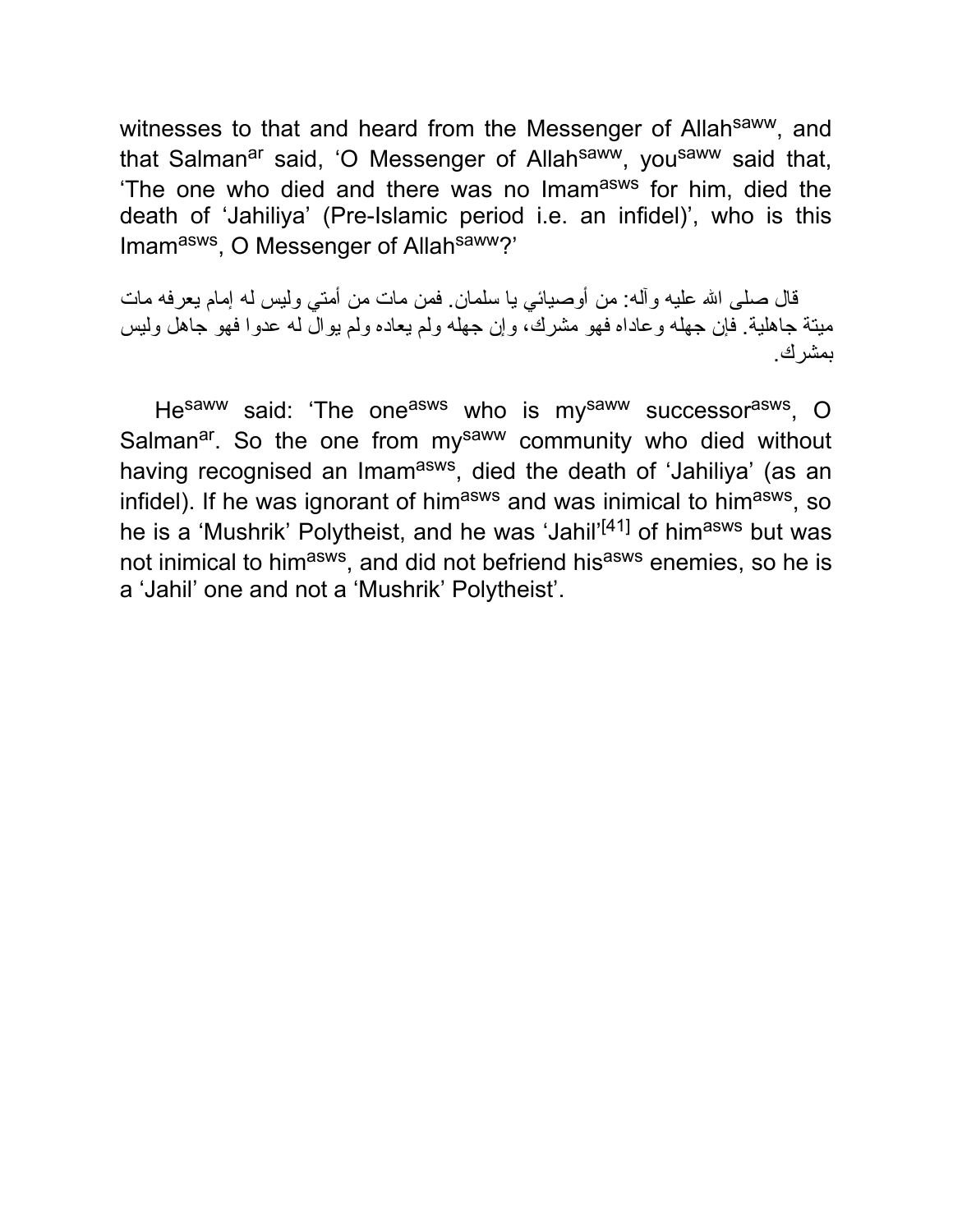witnesses to that and heard from the Messenger of Allah<sup>saww</sup>, and that Salman<sup>ar</sup> said, 'O Messenger of Allah<sup>saww</sup>, you<sup>saww</sup> said that, The one who died and there was no Imam<sup>asws</sup> for him, died the death of 'Jahiliya' (Pre-Islamic period i.e. an infidel)', who is this Imamasws, O Messenger of Allahsaww?'

قال صلى االله علیه وآله: من أوصیائي یا سلمان. فمن مات من أمتي ولیس له إمام یعرفه مات میتة جاهلیة. فإن جهله وعاداه فهو مشرك، وإن جهله ولم یعاده ولم یوال له عدوا فهو جاهل ولیس بمشرك.

He<sup>saww</sup> said: 'The one<sup>asws</sup> who is my<sup>saww</sup> successor<sup>asws</sup>, O Salman<sup>ar</sup>. So the one from my<sup>saww</sup> community who died without having recognised an Imam<sup>asws</sup>, died the death of 'Jahiliya' (as an infidel). If he was ignorant of him<sup>asws</sup> and was inimical to him<sup>asws</sup>, so he is a 'Mushrik' Polytheist, and he was 'Jahil'<sup>[41]</sup> of him<sup>asws</sup> but was not inimical to him<sup>asws</sup>, and did not befriend his<sup>asws</sup> enemies, so he is a 'Jahil' one and not a 'Mushrik' Polytheist'.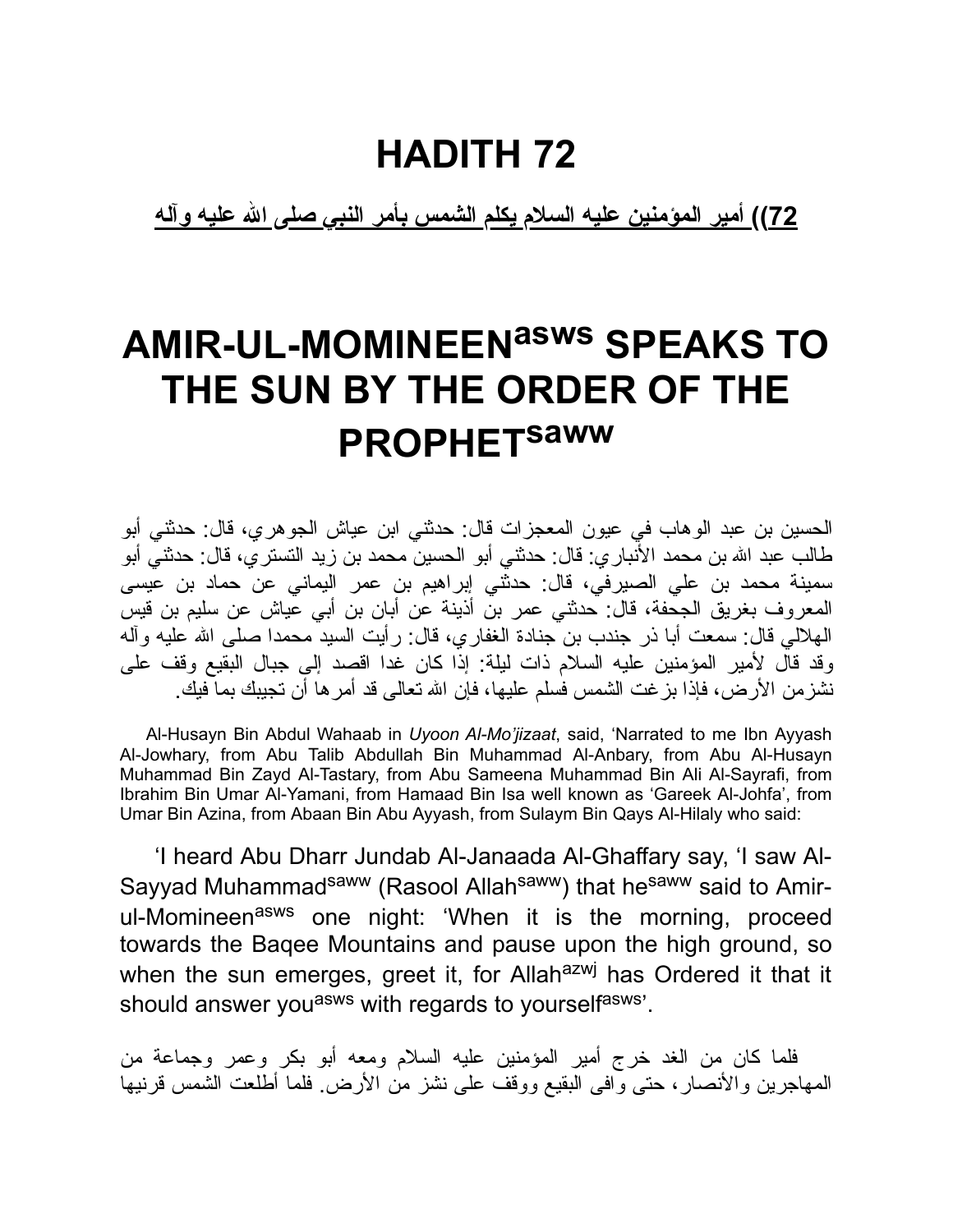**72)) أمیر المؤمنین علیه السلام یكلم الشمس بأمر النبي صلى االله علیه وآله**

### **AMIR-UL-MOMINEENasws SPEAKS TO THE SUN BY THE ORDER OF THE PROPHET saww**

الحسین بن عبد الوهاب في عیون المعجزات قال: حدثني ابن عیاش الجوهري، قال: حدثني أبو طالب عبد االله بن محمد الأنباري: قال: حدثني أبو الحسین محمد بن زید التستري، قال: حدثني أبو سمینة محمد بن علي الصیرفي، قال: حدثني إبراهیم بن عمر الیماني عن حماد بن عیسى المعروف بغریق الجحفة، قال: حدثني عمر بن أذینة عن أبان بن أبي عیاش عن سلیم بن قیس الهلالي قال: سمعت أبا ذر جندب بن جنادة الغفاري، قال: رأیت السید محمدا صلى االله علیه وآله وقد قال لأمیر المؤمنین علیه السلام ذات لیلة: إذا كان غدا اقصد إلى جبال البقیع وقف على نشزمن الأرض، فإذا بزغت الشمس فسلم علیها، فإن االله تعالى قد أمرها أن تجیبك بما فیك.

Al-Husayn Bin Abdul Wahaab in *Uyoon Al-Mo'jizaat*, said, 'Narrated to me Ibn Ayyash Al-Jowhary, from Abu Talib Abdullah Bin Muhammad Al-Anbary, from Abu Al-Husayn Muhammad Bin Zayd Al-Tastary, from Abu Sameena Muhammad Bin Ali Al-Sayrafi, from Ibrahim Bin Umar Al-Yamani, from Hamaad Bin Isa well known as 'Gareek Al-Johfa', from Umar Bin Azina, from Abaan Bin Abu Ayyash, from Sulaym Bin Qays Al-Hilaly who said:

'I heard Abu Dharr Jundab Al-Janaada Al-Ghaffary say, 'I saw Al-Sayyad Muhammad<sup>saww</sup> (Rasool Allah<sup>saww</sup>) that he<sup>saww</sup> said to Amirul-Momineen<sup>asws</sup> one night: 'When it is the morning, proceed towards the Baqee Mountains and pause upon the high ground, so when the sun emerges, greet it, for Allah<sup>azwj</sup> has Ordered it that it should answer you<sup>asws</sup> with regards to yourself<sup>asws</sup>.

فلما كان من الغد خرج أمیر المؤمنین علیه السلام ومعه أبو بكر وعمر وجماعة من المهاجرین والأنصار، حتى وافى البقیع ووقف على نشز من الأرض. فلما أطلعت الشمس قرنیها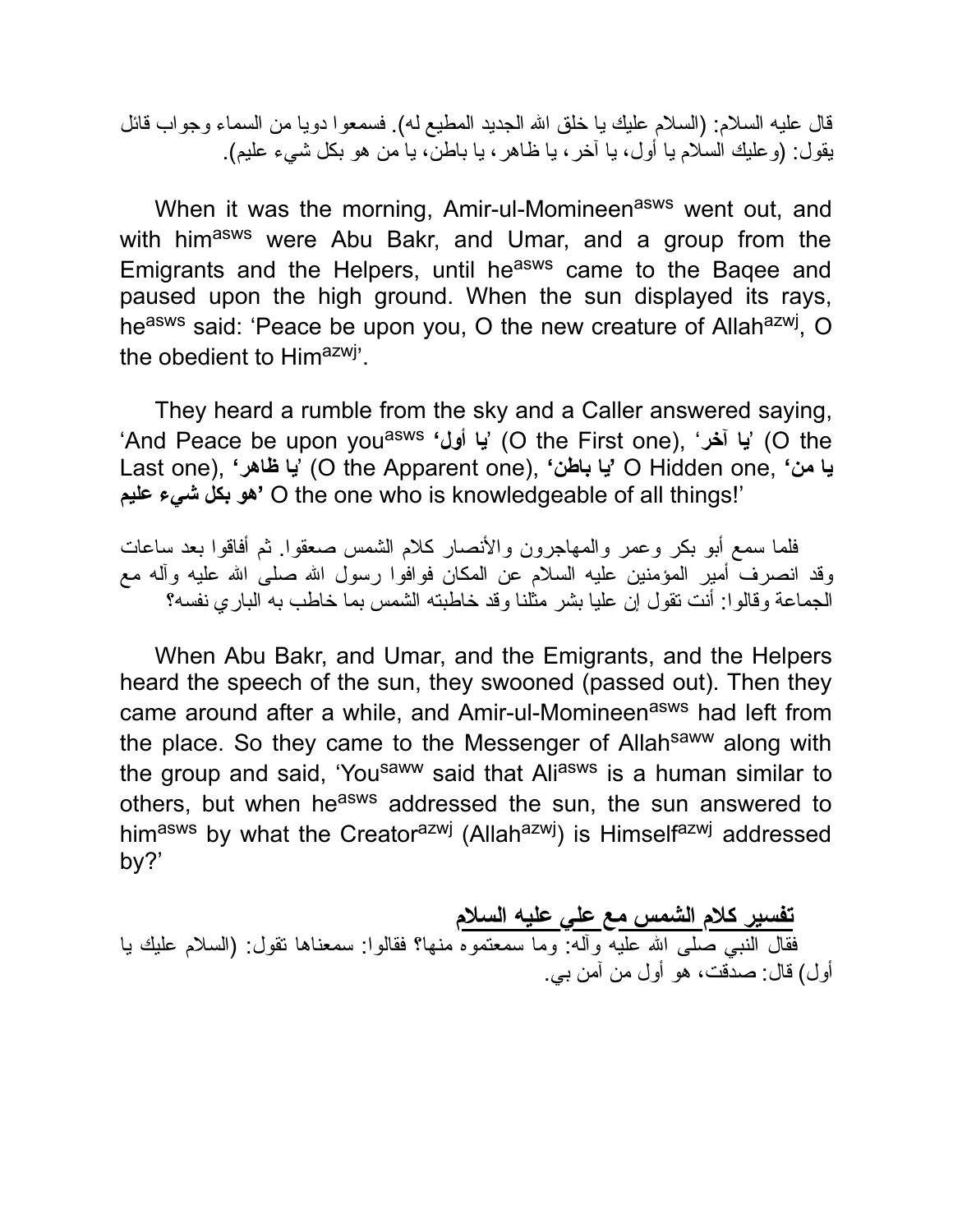قال علیه السلام: (السلام علیك یا خلق االله الجدید المطیع له). فسمعوا دویا من السماء وجواب قائل یقول: (وعلیك السلام یا أول، یا آخر، یا ظاهر، یا باطن، یا من هو بكل شيء علیم).

When it was the morning, Amir-ul-Momineen<sup>asws</sup> went out, and with himasws were Abu Bakr, and Umar, and a group from the Emigrants and the Helpers, until he<sup>asws</sup> came to the Baqee and paused upon the high ground. When the sun displayed its rays, he<sup>asws</sup> said: 'Peace be upon you, O the new creature of Allah<sup>azwj</sup>, O the obedient to Himazwj'.

They heard a rumble from the sky and a Caller answered saying, 'And Peace be upon youasws **'أول یا**) 'O the First one), '**آخر یا**) 'O the Last one), **'ظاهر یا**) 'O the Apparent one), **'باطن یا '**O Hidden one, **'من یا علیم شيء بكل هو '**O the one who is knowledgeable of all things!'

فلما سمع أبو بكر وعمر والمهاجرون والأنصار كلام الشمس صعقوا. ثم أفاقوا بعد ساعات وقد انصرف أمیر المؤمنین علیه السلام عن المكان فوافوا رسول االله صلى االله علیه وآله مع الجماعة وقالوا: أنت تقول إن علیا بشر مثلنا وقد خاطبته الشمس بما خاطب به الباري نفسه؟

When Abu Bakr, and Umar, and the Emigrants, and the Helpers heard the speech of the sun, they swooned (passed out). Then they came around after a while, and Amir-ul-Momineen<sup>asws</sup> had left from the place. So they came to the Messenger of Allahsaww along with the group and said, 'Yousaww said that Aliasws is a human similar to others, but when he<sup>asws</sup> addressed the sun, the sun answered to himasws by what the Creatorazwj (Allahazwj) is Himselfazwj addressed by?'

**تفسیر كلام الشمس مع علي علیه السلام** فقال النبي صلى االله علیه وآله: وما سمعتموه منها؟ فقالوا: سمعناها تقول: (السلام علیك یا أول) قال: صدقت، هو أول من آمن بي.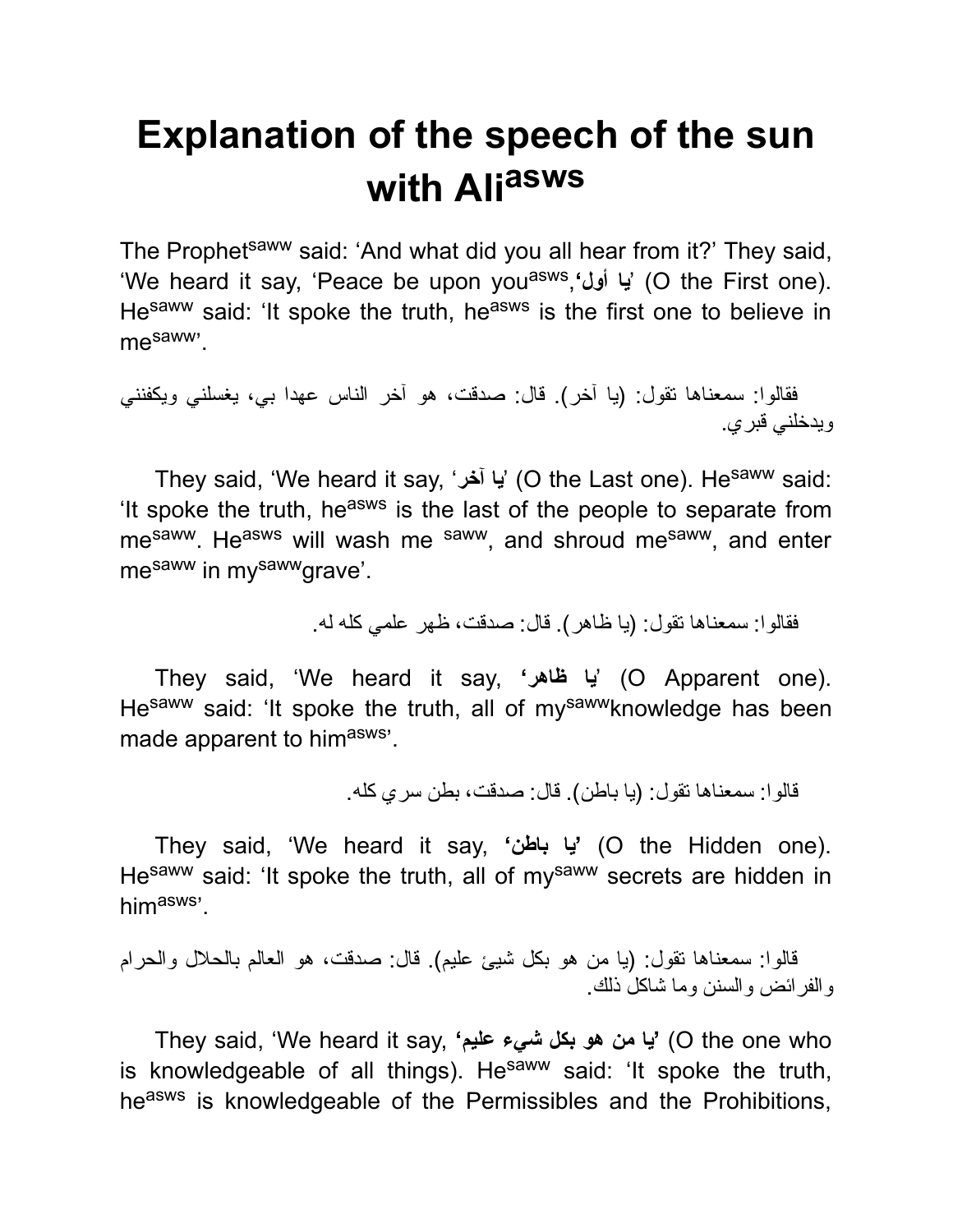## **Explanation of the speech of the sun with Ali asws**

The Prophet<sup>saww</sup> said: 'And what did you all hear from it?' They said, 'We heard it say, 'Peace be upon youasws ,**'أول یا**) 'O the First one). Hesaww said: 'It spoke the truth, heasws is the first one to believe in mesaww'.

فقالوا: سمعناها تقول: (یا آخر). قال: صدقت، هو آخر الناس عهدا بي، یغسلني ویكفنني ویدخلني قبري.

They said, 'We heard it say, '**آخر یا**) 'O the Last one). Hesaww said: 'It spoke the truth, he<sup>asws</sup> is the last of the people to separate from me<sup>saww</sup>. He<sup>asws</sup> will wash me saww, and shroud me<sup>saww</sup>, and enter mesaww in mysawwgrave'.

فقالوا: سمعناها تقول: (یا ظاهر). قال: صدقت، ظهر علمي كله له.

They said, 'We heard it say, **'ظاهر یا**) 'O Apparent one). Hesaww said: 'It spoke the truth, all of mysawwknowledge has been made apparent to himasws'.

قالوا: سمعناها تقول: (یا باطن). قال: صدقت، بطن سري كله.

They said, 'We heard it say, **'باطن یا**) **'**O the Hidden one). Hesaww said: 'It spoke the truth, all of mysaww secrets are hidden in himasws'.

```
قالوا: سمعناها تقول: (یا من هو بكل شیئ علیم). قال: صدقت، هو العالم بالحلال والحرام
                                            والفرائض والسنن وما شاكل ذلك.
```
They said, 'We heard it say, **'علیم شيء بكل هو من یا**) **'**O the one who is knowledgeable of all things). He<sup>saww</sup> said: 'It spoke the truth, heasws is knowledgeable of the Permissibles and the Prohibitions,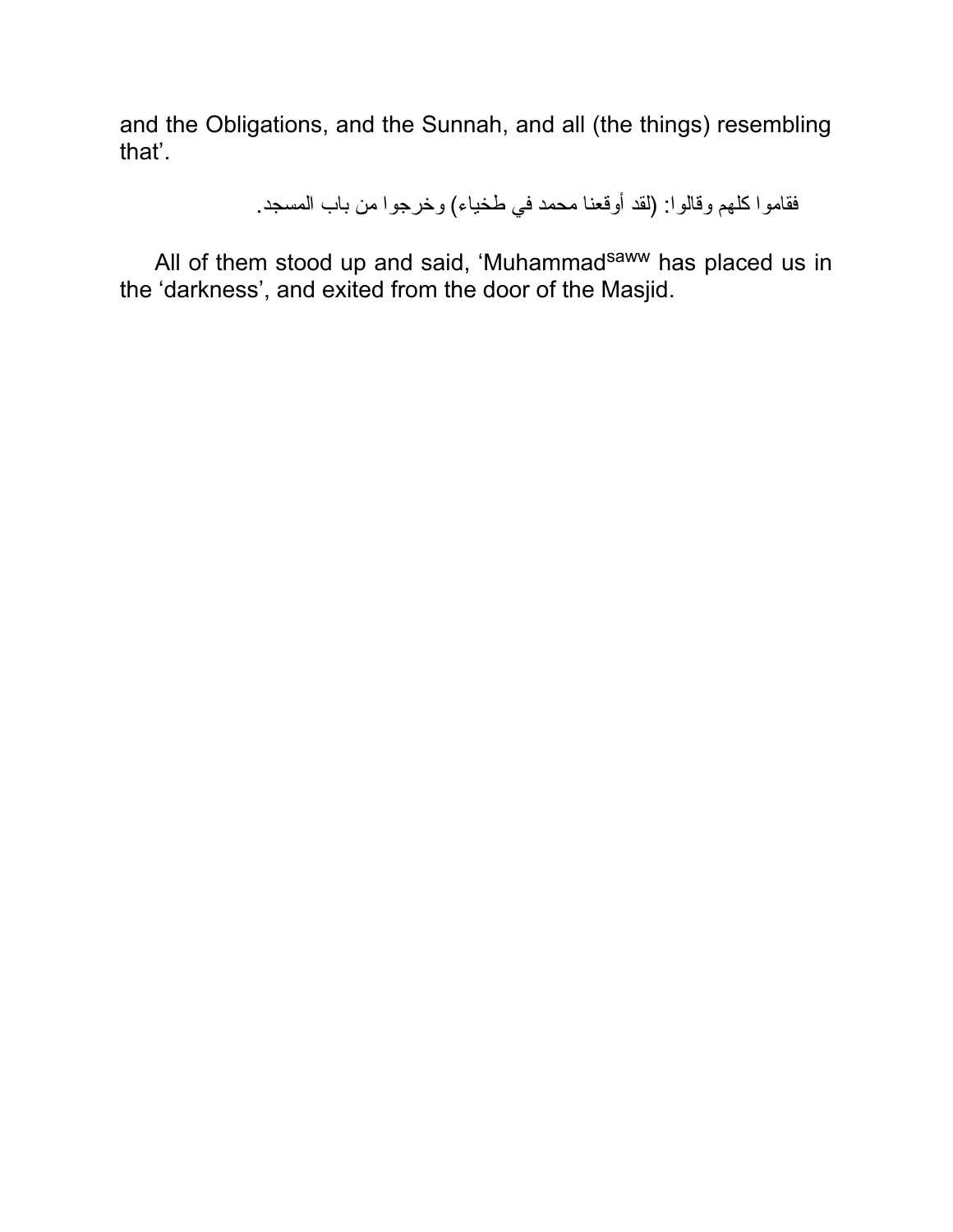and the Obligations, and the Sunnah, and all (the things) resembling that'.

فقاموا كلهم وقالوا: (لقد أوقعنا محمد في طخیاء) وخرجوا من باب المسجد.

All of them stood up and said, 'Muhammad<sup>saww</sup> has placed us in the 'darkness', and exited from the door of the Masjid.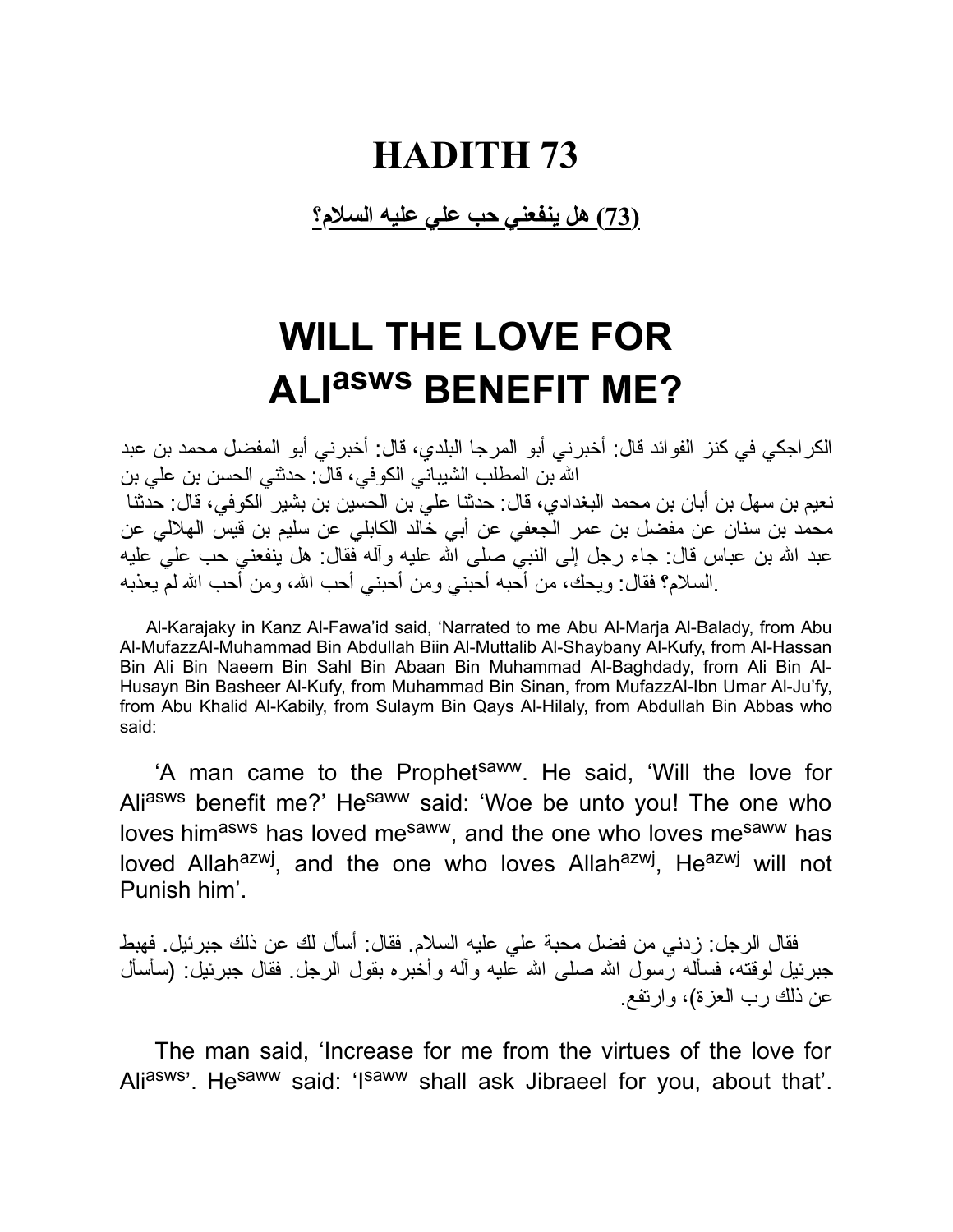#### **(73) هل ینفعني حب علي علیه السلام؟**

### **WILL THE LOVE FOR ALI asws BENEFIT ME?**

الكراجكي في كنز الفوائد قال: أخبرني أبو المرجا البلدي، قال: أخبرني أبو المفضل محمد بن عبد االله بن المطلب الشیباني الكوفي، قال: حدثني الحسن بن علي بن نعیم بن سهل بن أبان بن محمد البغدادي، قال: حدثنا علي بن الحسین بن بشیر الكوفي، قال: حدثنا محمد بن سنان عن مفضل بن عمر الجعفي عن أبي خالد الكابلي عن سلیم بن قیس الهلالي عن عبد الله بن عباس قال: جاء رجل إلى النبيّ صلى الله علیه وآله فقال: هل ینفعنی حب علیّ علیه .السلام؟ فقال: ویحك، من أحبه أحبني ومن أحبني أحب االله، ومن أحب االله لم یعذبه

Al-Karajaky in Kanz Al-Fawa'id said, 'Narrated to me Abu Al-Marja Al-Balady, from Abu Al-MufazzAl-Muhammad Bin Abdullah Biin Al-Muttalib Al-Shaybany Al-Kufy, from Al-Hassan Bin Ali Bin Naeem Bin Sahl Bin Abaan Bin Muhammad Al-Baghdady, from Ali Bin Al-Husayn Bin Basheer Al-Kufy, from Muhammad Bin Sinan, from MufazzAl-Ibn Umar Al-Ju'fy, from Abu Khalid Al-Kabily, from Sulaym Bin Qays Al-Hilaly, from Abdullah Bin Abbas who said:

'A man came to the Prophet<sup>saww</sup>. He said, 'Will the love for Aliasws benefit me?' Hesaww said: 'Woe be unto you! The one who loves himasws has loved mesaww, and the one who loves mesaww has loved Allah<sup>azwj</sup>, and the one who loves Allah<sup>azwj</sup>, He<sup>azwj</sup> will not Punish him'.

فقال الرجل: زدني من فضل محبة علي علیه السلام. فقال: أسأل لك عن ذلك جبرئیل. فهبط جبرئیل لوقته، فسأله رسول الله صلى الله علیه وآله وأخبره بقول الرجل فقال جبرئیل: (سأسأل عن ذلك رب العزة)، وارتفع.

The man said, 'Increase for me from the virtues of the love for Aliasws'. Hesaww said: 'Isaww shall ask Jibraeel for you, about that'.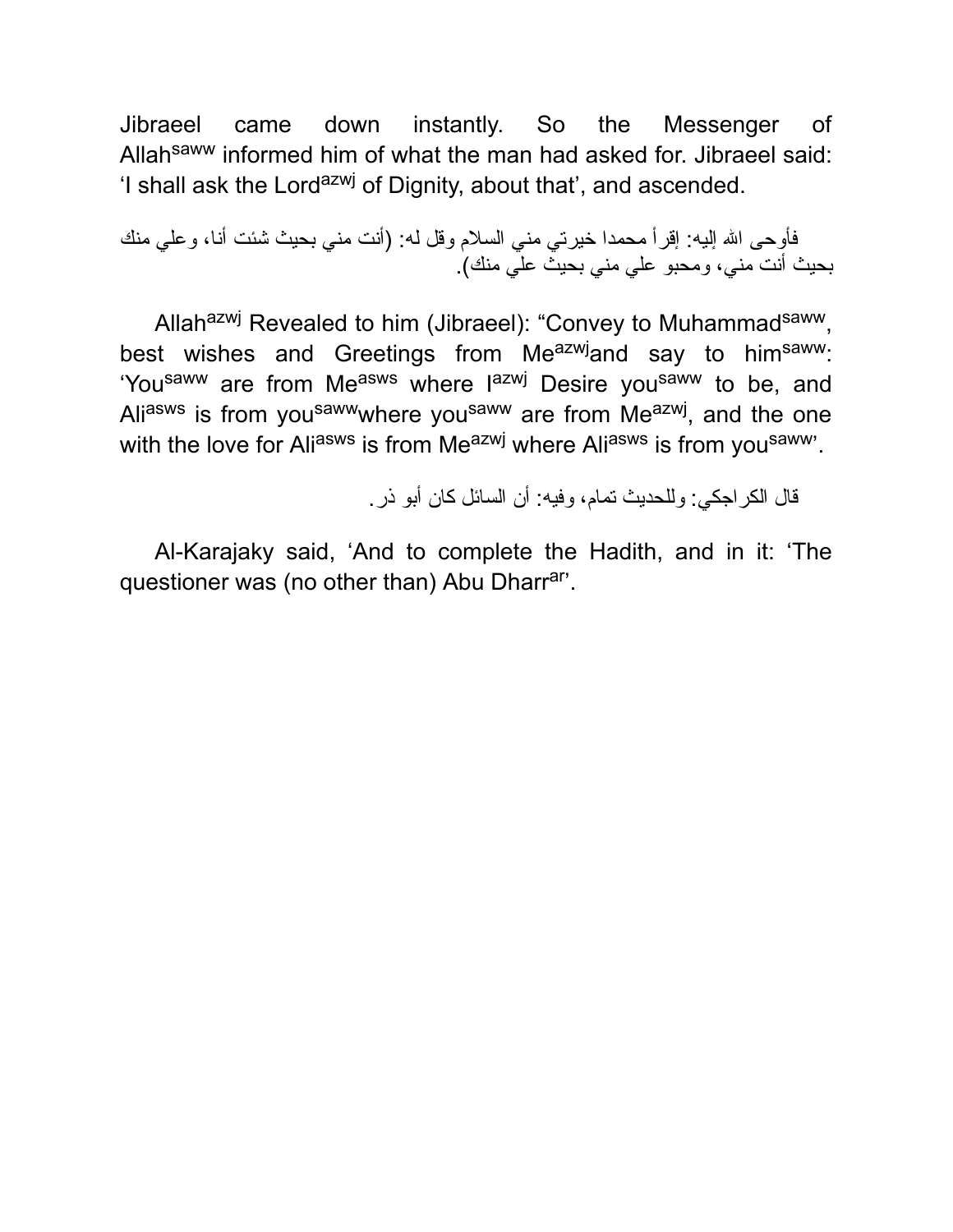Jibraeel came down instantly. So the Messenger of Allahsaww informed him of what the man had asked for. Jibraeel said: 'I shall ask the Lord<sup>azwj</sup> of Dignity, about that', and ascended.

فأوحى االله إلیه: إقرأ محمدا خیرتي مني السلام وقل له: (أنت مني بحیث شئت أنا، وعلي منك بحیث أنت مني، ومحبو علي مني بحیث علي منك).

Allahazwj Revealed to him (Jibraeel): "Convey to Muhammad<sup>saww</sup>, best wishes and Greetings from Meazwjand say to himsaww: 'You<sup>saww</sup> are from Me<sup>asws</sup> where l<sup>azwj</sup> Desire you<sup>saww</sup> to be, and Ali<sup>asws</sup> is from you<sup>saww</sup>where you<sup>saww</sup> are from Me<sup>azwj</sup>, and the one with the love for Aliasws is from Meazwj where Aliasws is from you saww.

قال الكراجكي: وللحدیث تمام، وفیه: أن السائل كان أبو ذر.

Al-Karajaky said, 'And to complete the Hadith, and in it: 'The questioner was (no other than) Abu Dharr<sup>ar</sup>.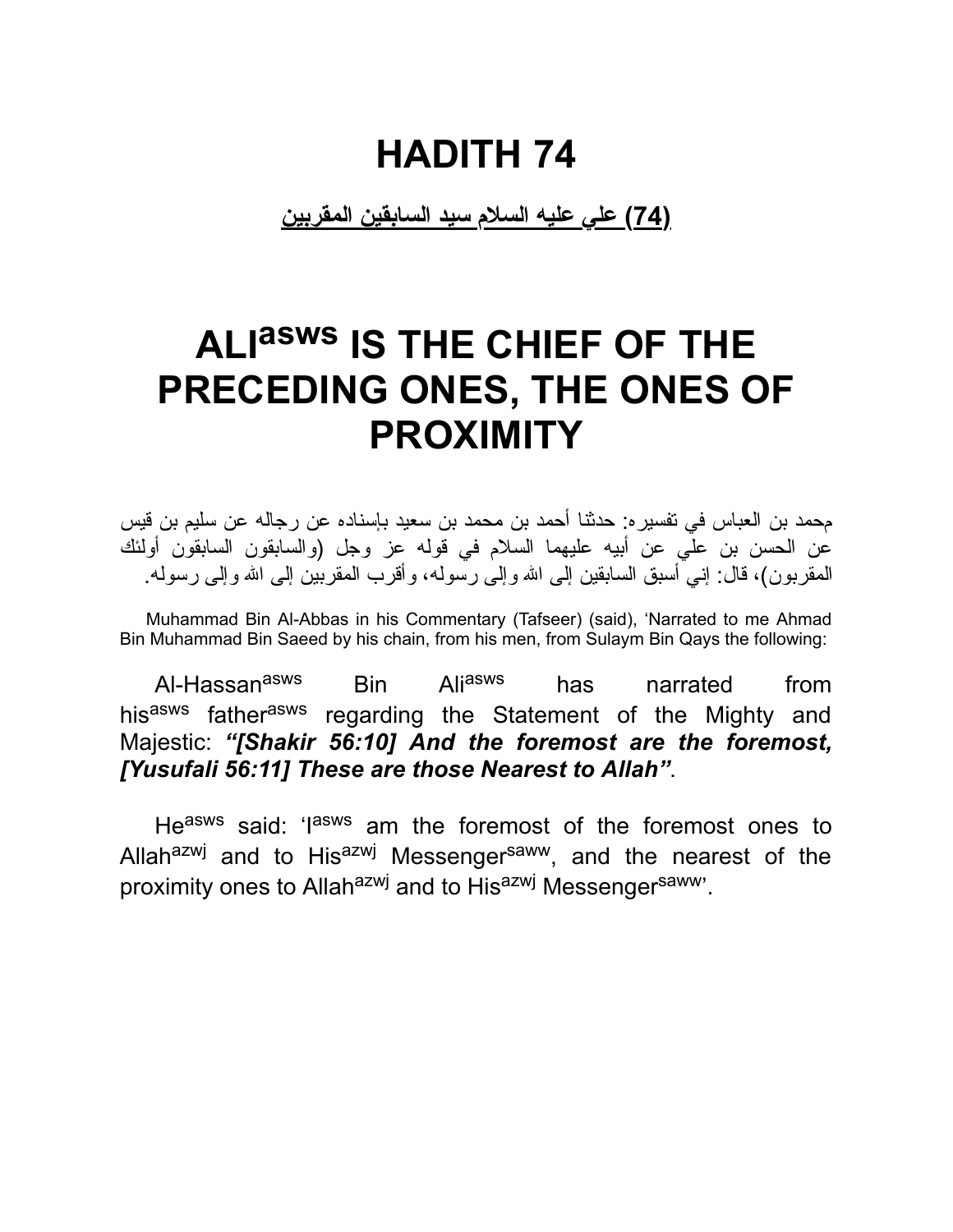**(74) علي علیه السلام سید السابقین المقربین**

### **ALI asws IS THE CHIEF OF THE PRECEDING ONES, THE ONES OF PROXIMITY**

محمد بن العباس في تفسیره: حدثنا أحمد بن محمد بن سعید بإسناده عن رجاله عن سلیم بن قیس عن الحسن بن علي عن أبیه علیهما السلام في قوله عز وجل (والسابقون السابقون أولئك المقربون)، قال: إني أسبق السابقین إلى االله وإلى رسوله، وأقرب المقربین إلى االله وإلى رسوله.

Muhammad Bin Al-Abbas in his Commentary (Tafseer) (said), 'Narrated to me Ahmad Bin Muhammad Bin Saeed by his chain, from his men, from Sulaym Bin Qays the following:

Al-Hassan<sup>asws</sup> Bin Ali<sup>asws</sup> has narrated from hisasws fatherasws regarding the Statement of the Mighty and Majestic: *"[Shakir 56:10] And the foremost are the foremost, [Yusufali 56:11] These are those Nearest to Allah"*.

Heasws said: 'lasws am the foremost of the foremost ones to Allahazwj and to Hisazwj Messengersaww, and the nearest of the proximity ones to Allah<sup>azwj</sup> and to His<sup>azwj</sup> Messenger<sup>saww</sup>'.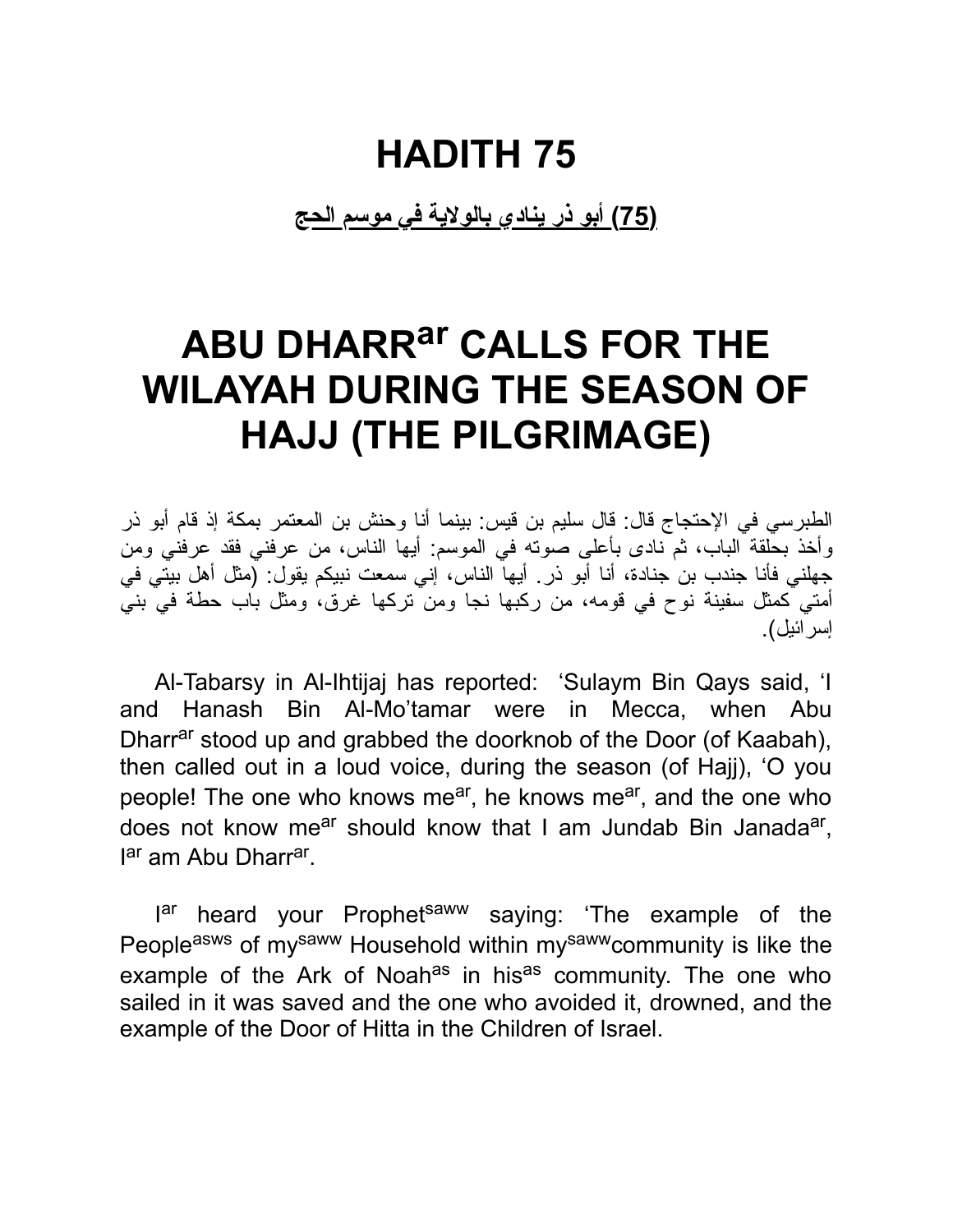**(75) أبو ذر ینادي بالولایة في موسم الحج**

### **ABU DHARRar CALLS FOR THE WILAYAH DURING THE SEASON OF HAJJ (THE PILGRIMAGE)**

الطبرسي في الإحتجاج قال: قال سلیم بن قیس: بینما أنا وحنش بن المعتمر بمكة إذ قام أبو ذر وأخذ بحلقة الباب، ثم نادى بأعلى صوته في الموسم: أیها الناس، من عرفني فقد عرفني ومن جهلني فأنا جندب بن جنادة، أنا أبو ذر. أیها الناس، إني سمعت نبیكم یقول: (مثل أهل بیتي في أمتي كمثل سفینة نوح في قومه، من ركبها نجا ومن تركها غرق، ومثل باب حطة في بني إسرائیل).

Al-Tabarsy in Al-Ihtijaj has reported: 'Sulaym Bin Qays said, 'I and Hanash Bin Al-Mo'tamar were in Mecca, when Abu Dharr<sup>ar</sup> stood up and grabbed the doorknob of the Door (of Kaabah), then called out in a loud voice, during the season (of Hajj), 'O you people! The one who knows me<sup>ar</sup>, he knows me<sup>ar</sup>, and the one who does not know me<sup>ar</sup> should know that I am Jundab Bin Janada<sup>ar</sup>, l<sup>ar</sup> am Abu Dharr<sup>ar</sup>.

I<sup>ar</sup> heard your Prophet<sup>saww</sup> saying: 'The example of the Peopleasws of mysaww Household within mysawwcommunity is like the example of the Ark of Noah<sup>as</sup> in his<sup>as</sup> community. The one who sailed in it was saved and the one who avoided it, drowned, and the example of the Door of Hitta in the Children of Israel.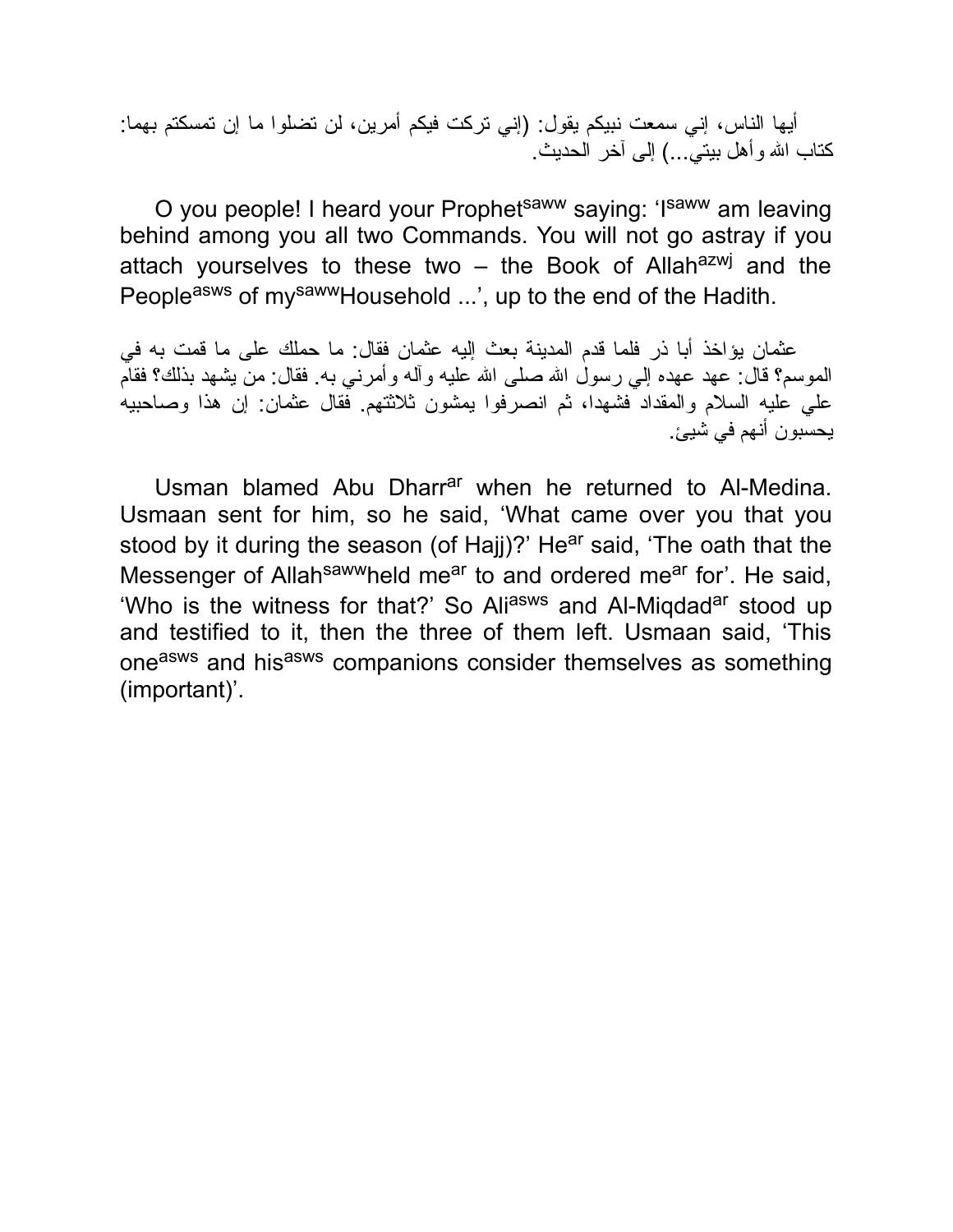أیها الناس، إني سمعت نبیكم یقول: (إني تركت فیكم أمرین، لن تضلوا ما إن تمسكتم بهما: كتاب الله وأهل بیتيّ...) إلى آخر الحدیث.

O you people! I heard your Prophet<sup>saww</sup> saying: 'Isaww am leaving behind among you all two Commands. You will not go astray if you attach yourselves to these two – the Book of Allah<sup>azwj</sup> and the Peopleasws of mysawwHousehold ...', up to the end of the Hadith.

عثمان یؤاخذ أبا ذر فلما قدم المدینة بعث إلیه عثمان فقال: ما حملك على ما قمت به في الموسم؟ قال: عهد عهده إلي رسول االله صلى االله علیه وآله وأمرني به. فقال: من یشهد بذلك؟ فقام علي علیه السلام والمقداد فشهدا، ثم انصرفوا یمشون ثلاثتهم. فقال عثمان: إن هذا وصاحبیه یحسبون أنهم في شیئ.

Usman blamed Abu Dharr<sup>ar</sup> when he returned to Al-Medina. Usmaan sent for him, so he said, 'What came over you that you stood by it during the season (of Hajj)?' He<sup>ar</sup> said, 'The oath that the Messenger of Allah<sup>saww</sup>held me<sup>ar</sup> to and ordered me<sup>ar</sup> for'. He said, 'Who is the witness for that?' So Aliasws and Al-Migdad<sup>ar</sup> stood up and testified to it, then the three of them left. Usmaan said, 'This one<sup>asws</sup> and his<sup>asws</sup> companions consider themselves as something (important)'.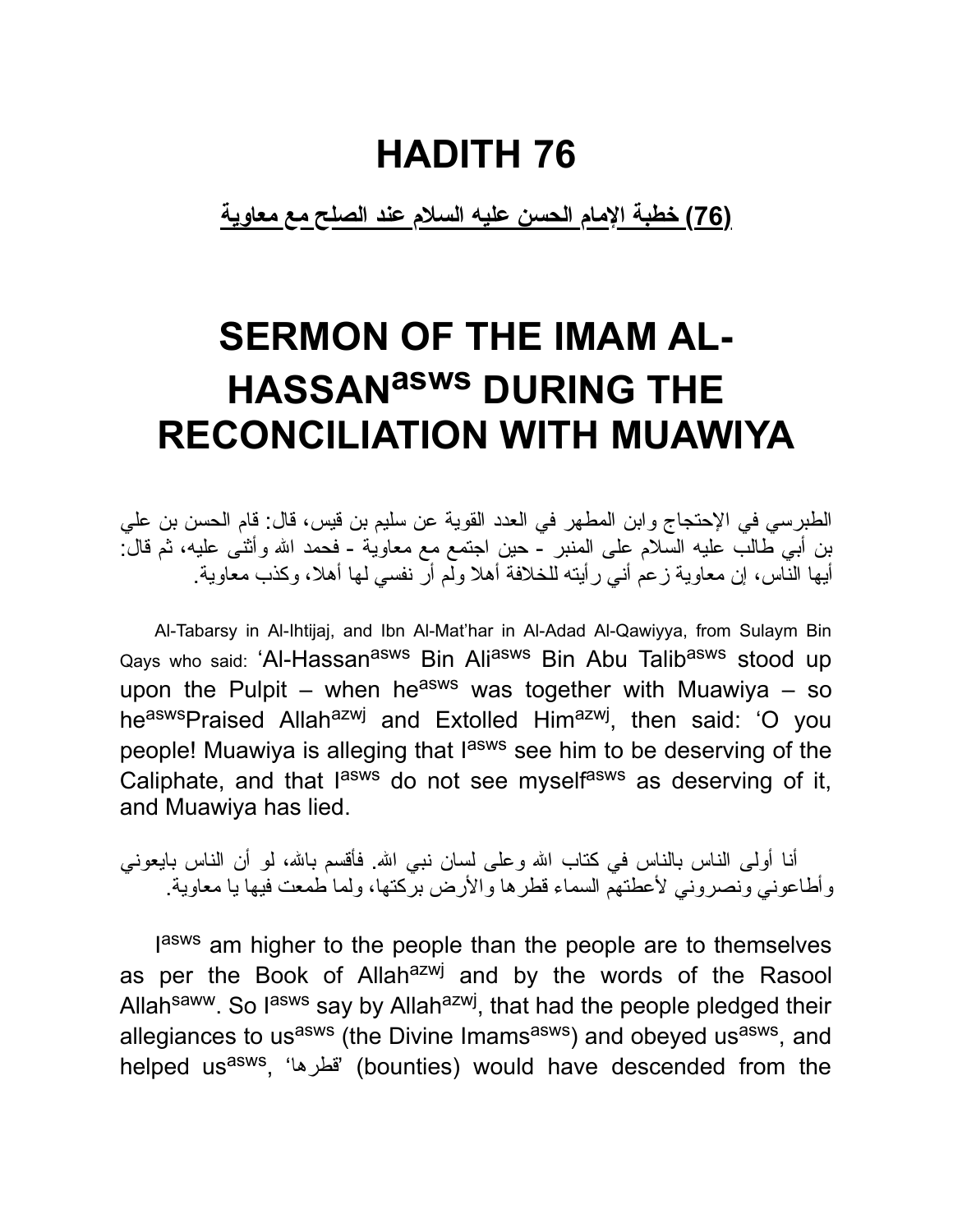**(76) خطبة الإمام الحسن علیه السلام عند الصلح مع معاویة**

### **SERMON OF THE IMAM AL-HASSANasws DURING THE RECONCILIATION WITH MUAWIYA**

الطبرسي في الإحتجاج وابن المطهر في العدد القویة عن سلیم بن قیس، قال: قام الحسن بن علي بن أبي طالب علیه السلام على المنبر - حین اجتمع مع معاویة - فحمد االله وأثنى علیه، ثم قال: أیها الناس، إن معاویة زعم أني رأیته للخلافة أهلا ولم أر نفسي لها أهلا، وكذب معاویة.

Al-Tabarsy in Al-Ihtijaj, and Ibn Al-Mat'har in Al-Adad Al-Qawiyya, from Sulaym Bin Qays who said: 'Al-Hassan<sup>asws</sup> Bin Ali<sup>asws</sup> Bin Abu Talib<sup>asws</sup> stood up upon the Pulpit – when he<sup>asws</sup> was together with Muawiya – so he<sup>asws</sup>Praised Allah<sup>azwj</sup> and Extolled Him<sup>azwj</sup>, then said: 'O you people! Muawiya is alleging that l<sup>asws</sup> see him to be deserving of the Caliphate, and that l<sup>asws</sup> do not see myself<sup>asws</sup> as deserving of it, and Muawiya has lied.

أنا أولى الناس بالناس في كتاب الله وعلى لسان نبي الله. فأقسم بالله، لو أن الناس بايعوني وأطاعوني ونصروني لأعطتهم السماء قطرها والأرض بركتها، ولما طمعت فیها یا معاویة.

lasws am higher to the people than the people are to themselves as per the Book of Allah<sup>azwj</sup> and by the words of the Rasool Allah<sup>saww</sup>. So lasws say by Allah<sup>azwj</sup>, that had the people pledged their allegiances to us<sup>asws</sup> (the Divine Imams<sup>asws</sup>) and obeyed us<sup>asws</sup>, and helped us<sup>asws</sup>, 'قطرها' (bounties) would have descended from the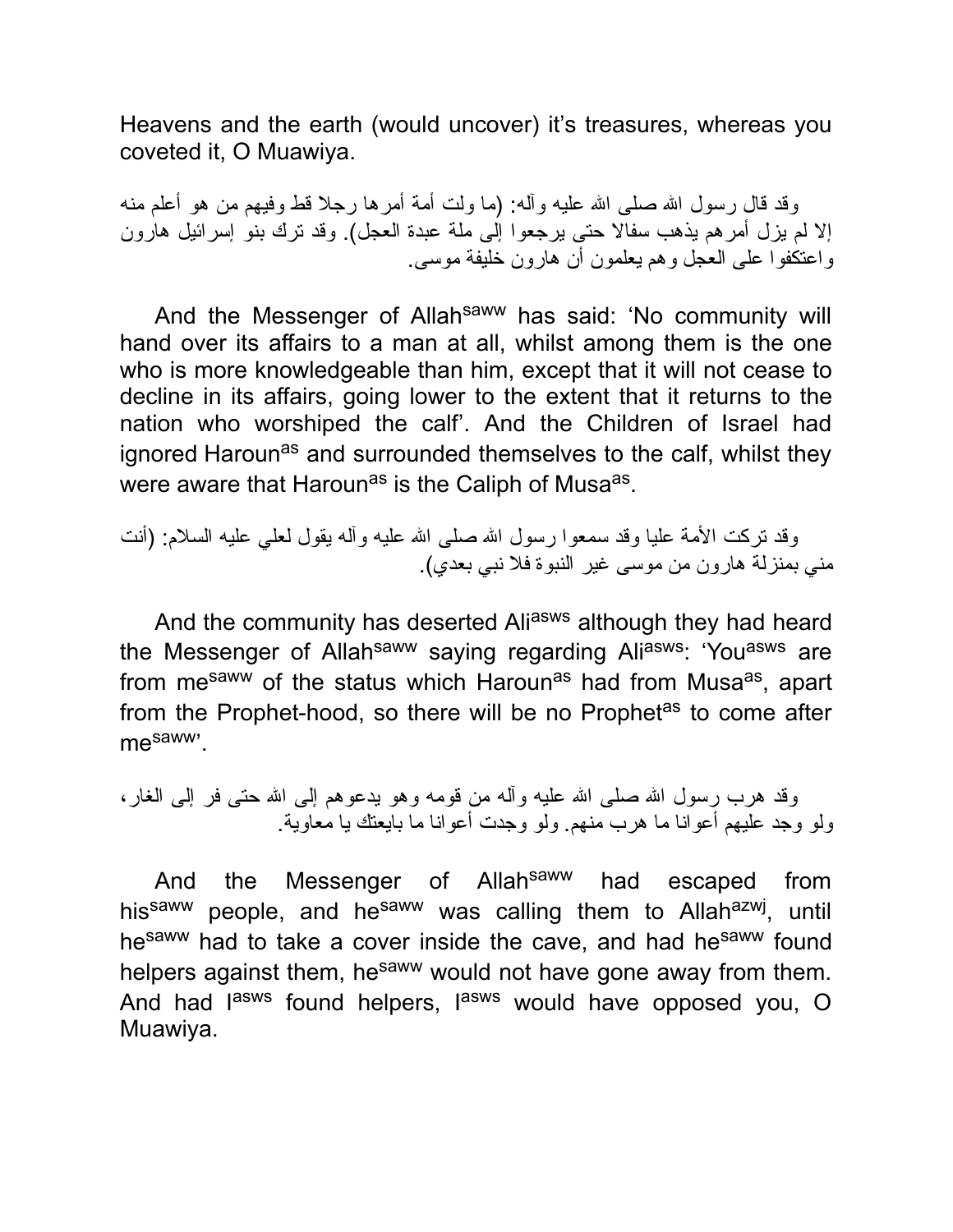Heavens and the earth (would uncover) it's treasures, whereas you coveted it, O Muawiya.

وقد قال رسول الله صلى الله علیه وآله: (ما ولت أمة أمرها رجلا قط وفیهم من هو أعلم منه إلا لم یزل أمرهم یذهب سفالا حتى یرجعوا إلى ملة عبدة العجل). وقد ترك بنو إسرائیل هارون واعتكفوا على العجل وهم یعلمون أن هارون خلیفة موسى.

And the Messenger of Allah<sup>saww</sup> has said: 'No community will hand over its affairs to a man at all, whilst among them is the one who is more knowledgeable than him, except that it will not cease to decline in its affairs, going lower to the extent that it returns to the nation who worshiped the calf'. And the Children of Israel had ignored Haroun<sup>as</sup> and surrounded themselves to the calf, whilst they were aware that Haroun<sup>as</sup> is the Caliph of Musa<sup>as</sup>.

وقد تركت الأمة علیا وقد سمعوا رسول الله صلى الله علیه وآله یقول لعلبي علیه السلام: (أنت مني بمنزلة هارون من موسى غیر النبوة فلا نبي بعدي).

And the community has deserted Aliasws although they had heard the Messenger of Allah<sup>saww</sup> saying regarding Aliasws: 'You<sup>asws</sup> are from me<sup>saww</sup> of the status which Haroun<sup>as</sup> had from Musa<sup>as</sup>, apart from the Prophet-hood, so there will be no Prophet<sup>as</sup> to come after mesaww'.

وقد هرب رسول الله صلَّى الله عليه وأله من قومه وهو يدعوهم إلى الله حتى فر إلى الغار، ولو وجد علیهم أعوانا ما هرب منهم. ولو وجدت أعوانا ما بایعتك یا معاویة.

And the Messenger of Allah<sup>saww</sup> had escaped from his<sup>saww</sup> people, and he<sup>saww</sup> was calling them to Allah<sup>azwj</sup>, until hesaww had to take a cover inside the cave, and had hesaww found helpers against them, he<sup>saww</sup> would not have gone away from them. And had l<sup>asws</sup> found helpers, l<sup>asws</sup> would have opposed you, O Muawiya.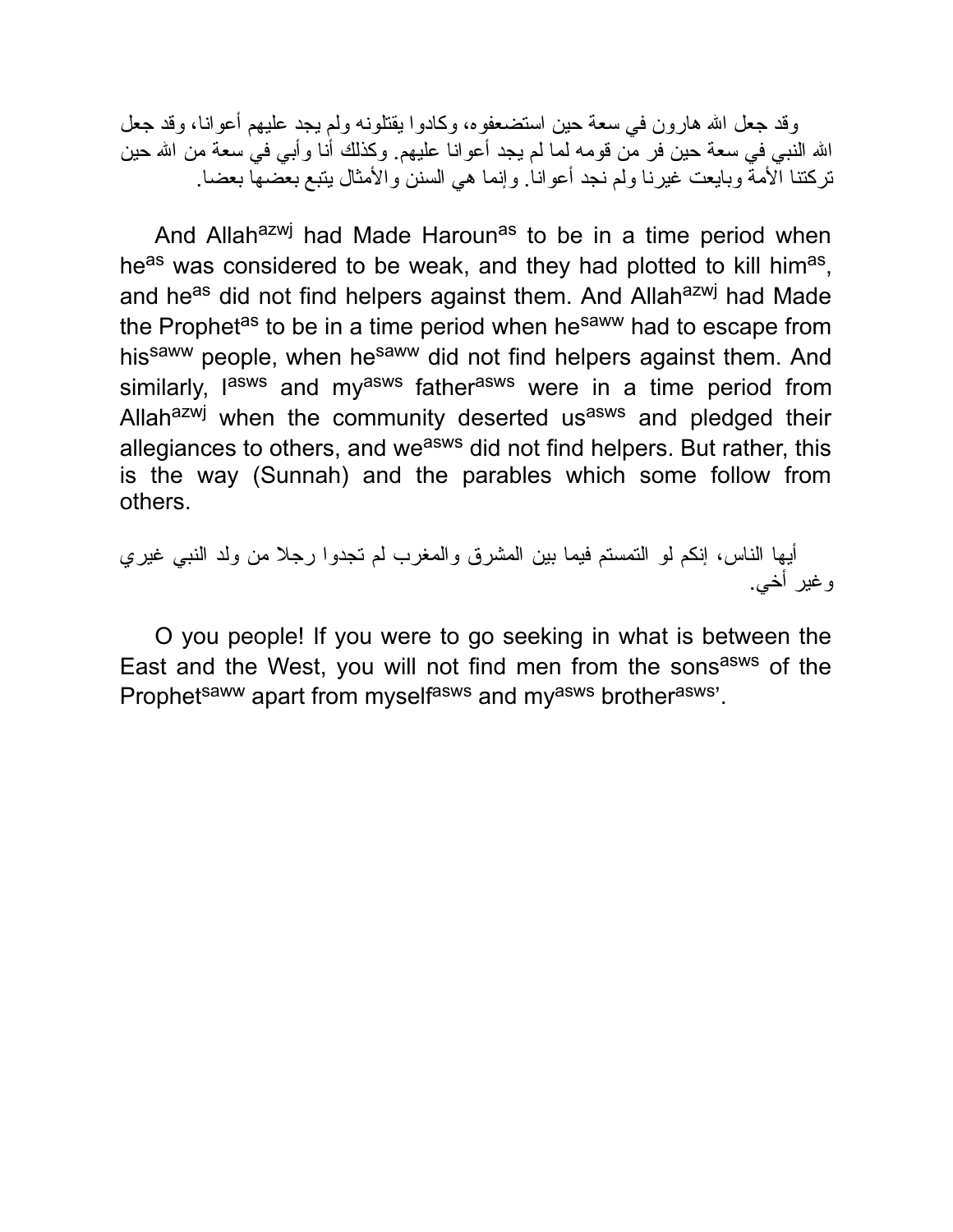وقد جعل الله هارون في سعة حین استضعفوه، وكادوا یقتلونه ولم یجد علیهم أعوانا، وقد جعل االله النبي في سعة حین فر من قومه لما لم یجد أعوانا علیهم. وكذلك أنا وأبي في سعة من االله حین تركتنا الأمة وبایعت غیرنا ولم نجد أعوانا. وإنما هي السنن والأمثال یتبع بعضها بعضا.

And Allah<sup>azwj</sup> had Made Haroun<sup>as</sup> to be in a time period when he<sup>as</sup> was considered to be weak, and they had plotted to kill him<sup>as</sup>, and he<sup>as</sup> did not find helpers against them. And Allah<sup>azwj</sup> had Made the Prophet<sup>as</sup> to be in a time period when he<sup>saww</sup> had to escape from hissaww people, when hesaww did not find helpers against them. And similarly, l<sup>asws</sup> and my<sup>asws</sup> father<sup>asws</sup> were in a time period from Allah<sup>azwj</sup> when the community deserted us<sup>asws</sup> and pledged their allegiances to others, and we<sup>asws</sup> did not find helpers. But rather, this is the way (Sunnah) and the parables which some follow from others.

أیها الناس، إنكم لو التمستم فیما بین المشرق والمغرب لم تجدوا رجلا من ولد النبي غیري وغیر أخي.

O you people! If you were to go seeking in what is between the East and the West, you will not find men from the sons<sup>asws</sup> of the Prophet<sup>saww</sup> apart from myself<sup>asws</sup> and my<sup>asws</sup> brother<sup>asws</sup>'.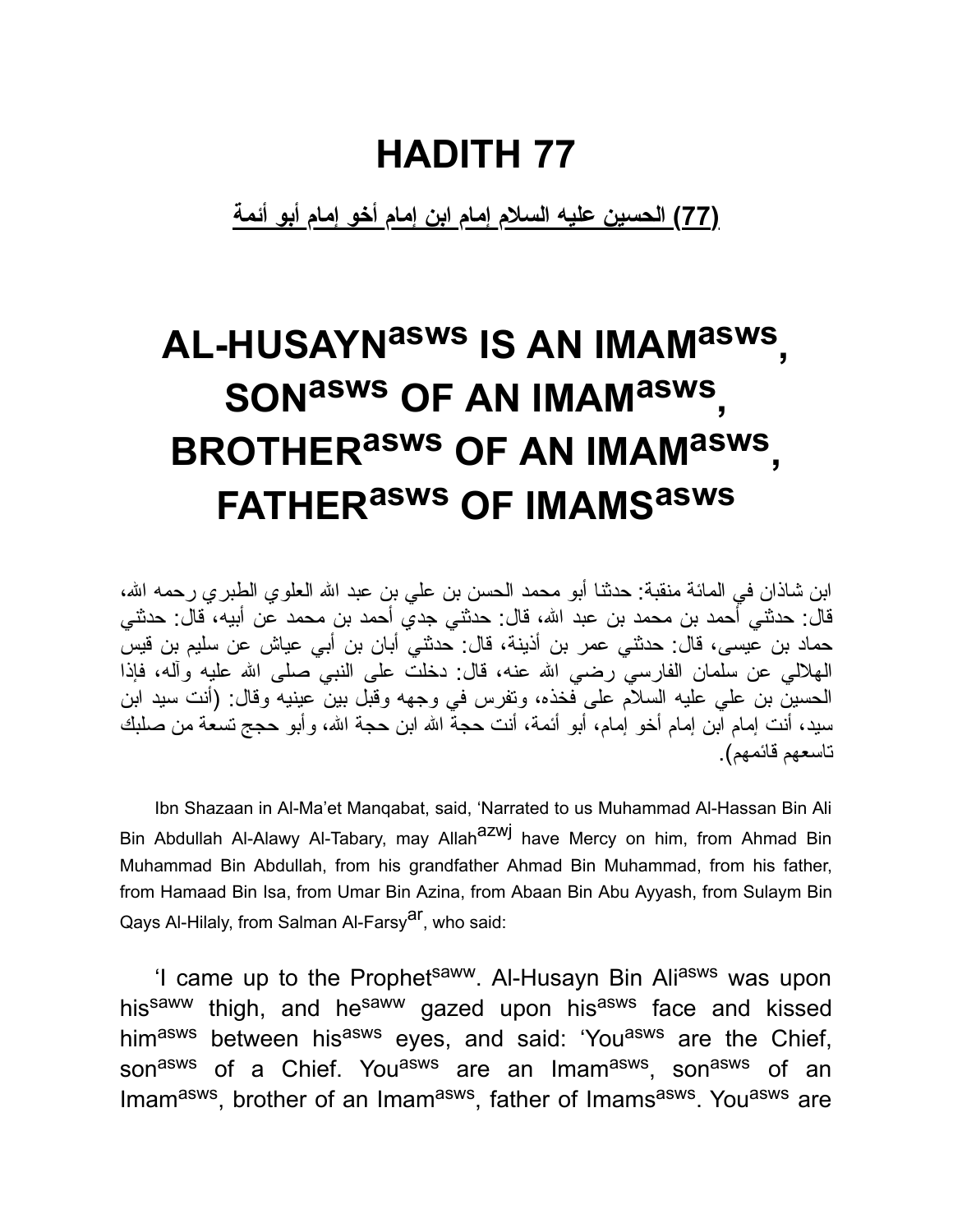**(77) الحسین علیه السلام إمام ابن إمام أخو إمام أبو أئمة**

# **AL-HUSAYNasws IS AN IMAMasws , SONasws OF AN IMAMasws , BROTHERasws OF AN IMAMasws , FATHERasws OF IMAMS asws**

ابن شاذان في المائة منقبة: حدثنا أبو محمد الحسن بن علي بن عبد الله العلوي الطبري رحمه الله، قال: حدثني أحمد بن محمد بن عبد االله، قال: حدثني جدي أحمد بن محمد عن أبیه، قال: حدثني حماد بن عیسى، قال: حدثني عمر بن أذینة، قال: حدثني أبان بن أبي عیاش عن سلیم بن قیس الهلالي عن سلمان الفارسي رضي االله عنه، قال: دخلت على النبي صلى االله علیه وآله، فإذا الحسین بن علي علیه السلام على فخذه، وتفرس في وجهه وقبل بین عینیه وقال: (أنت سید ابن سید، أنت إمام ابن إمام أخو إمام، أبو أئمة، أنت حجة االله ابن حجة االله، وأبو حجج تسعة من صلبك تاسعهم قائمهم).

Ibn Shazaan in Al-Ma'et Manqabat, said, 'Narrated to us Muhammad Al-Hassan Bin Ali Bin Abdullah Al-Alawy Al-Tabary, may Allah<sup>azwj</sup> have Mercy on him, from Ahmad Bin Muhammad Bin Abdullah, from his grandfather Ahmad Bin Muhammad, from his father, from Hamaad Bin Isa, from Umar Bin Azina, from Abaan Bin Abu Ayyash, from Sulaym Bin Qays Al-Hilaly, from Salman Al-Farsy<sup>ar</sup>, who said:

'I came up to the Prophet<sup>saww</sup>. Al-Husayn Bin Ali<sup>asws</sup> was upon his<sup>saww</sup> thigh, and he<sup>saww</sup> gazed upon his<sup>asws</sup> face and kissed himasws between hisasws eyes, and said: 'Youasws are the Chief, son<sup>asws</sup> of a Chief. You<sup>asws</sup> are an Imam<sup>asws</sup>, son<sup>asws</sup> of an Imam<sup>asws</sup>, brother of an Imam<sup>asws</sup>, father of Imams<sup>asws</sup>. You<sup>asws</sup> are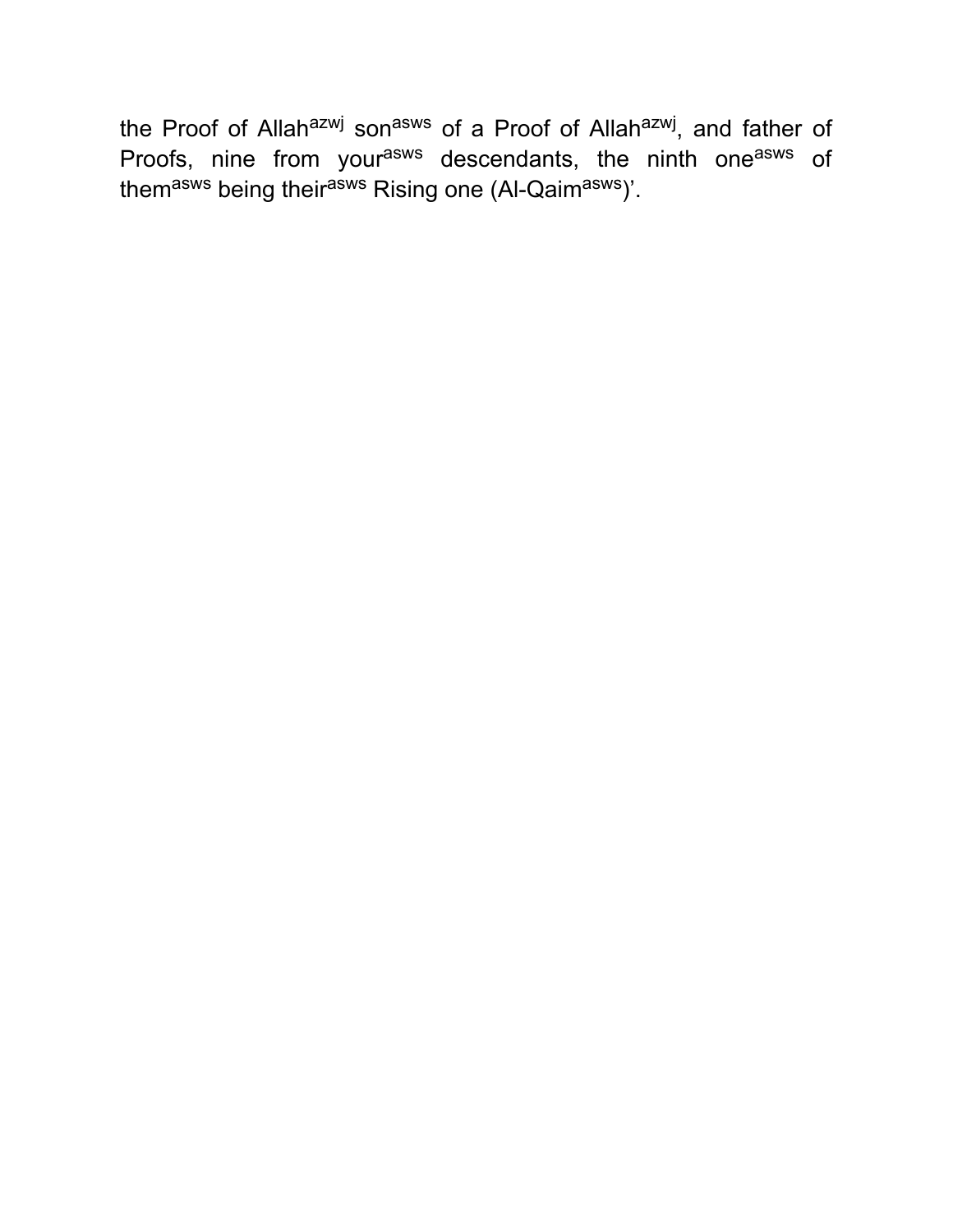the Proof of Allah<sup>azwj</sup> son<sup>asws</sup> of a Proof of Allah<sup>azwj</sup>, and father of Proofs, nine from your<sup>asws</sup> descendants, the ninth one<sup>asws</sup> of them<sup>asws</sup> being their<sup>asws</sup> Rising one (Al-Qaim<sup>asws</sup>)'.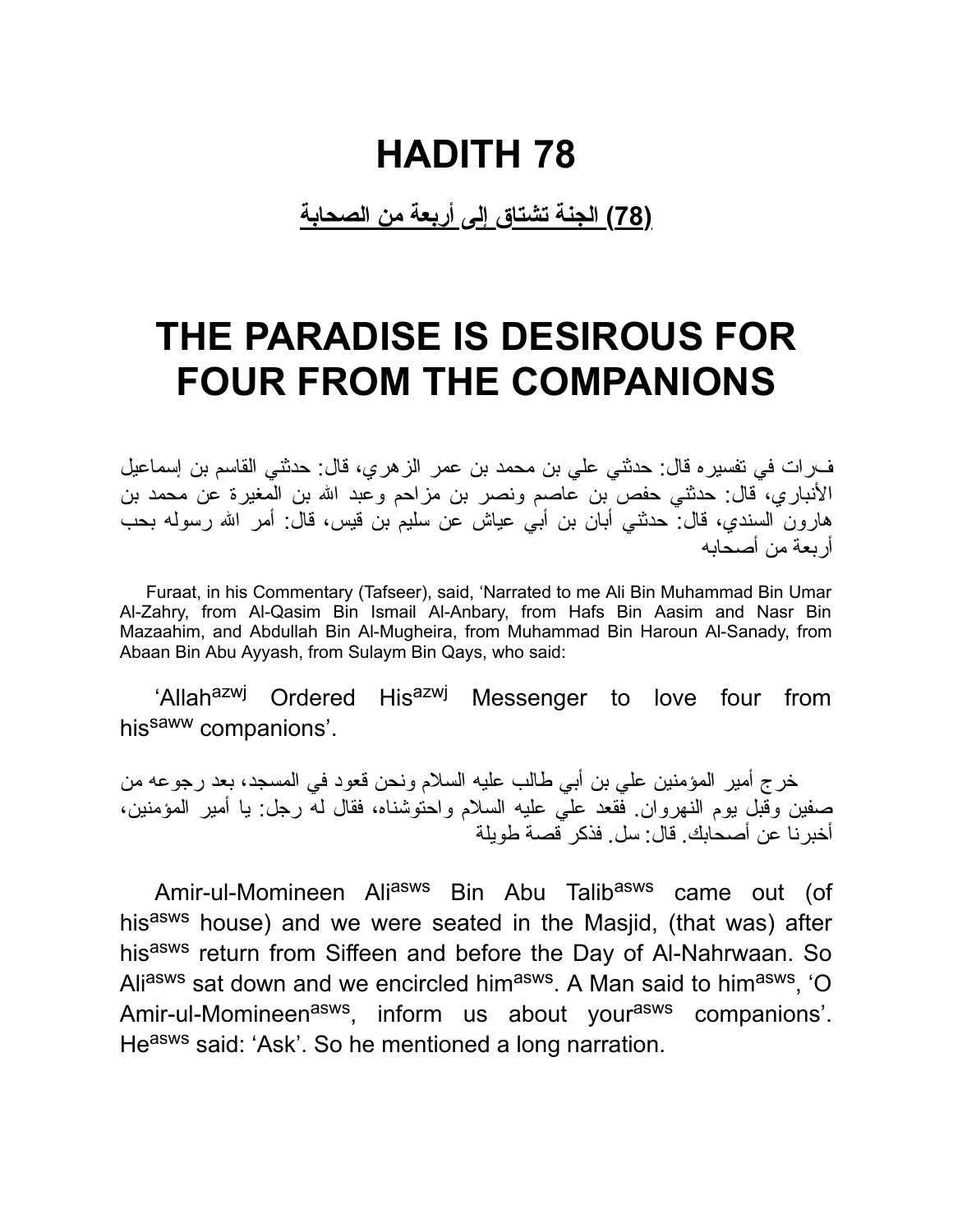**(78) الجنة تشتاق إلى أربعة من الصحابة**

### **THE PARADISE IS DESIROUS FOR FOUR FROM THE COMPANIONS**

فرات في تفسیره قال: حدثني علي بن محمد بن عمر الزهري، قال: حدثني القاسم بن إسماعیل الأنباري، قال: حدثني حفص بن عاصم ونصر بن مزاحم وعبد االله بن المغیرة عن محمد بن هارون السندي، قال: حدثني أبان بن أبي عیاش عن سلیم بن قیس، قال: أمر االله رسوله بحب أربعة من أصحابه

Furaat, in his Commentary (Tafseer), said, 'Narrated to me Ali Bin Muhammad Bin Umar Al-Zahry, from Al-Qasim Bin Ismail Al-Anbary, from Hafs Bin Aasim and Nasr Bin Mazaahim, and Abdullah Bin Al-Mugheira, from Muhammad Bin Haroun Al-Sanady, from Abaan Bin Abu Ayyash, from Sulaym Bin Qays, who said:

'Allah<sup>azwj</sup> Ordered His<sup>azwj</sup> Messenger to love four from his<sup>saww</sup> companions'.

خرج أمیر المؤمنین علي بن أبي طالب علیه السلام ونحن قعود في المسجد، بعد رجوعه من صفین وقبل یوم النهروان. فقعد علي علیه السلام واحتوشناه، فقال له رجل: یا أمیر المؤمنین، أخبرنا عن أصحابك. قال: سل. فذكر قصة طویلة

Amir-ul-Momineen Ali<sup>asws</sup> Bin Abu Talib<sup>asws</sup> came out (of hisasws house) and we were seated in the Masjid, (that was) after hisasws return from Siffeen and before the Day of Al-Nahrwaan. So Ali<sup>asws</sup> sat down and we encircled him<sup>asws</sup>. A Man said to him<sup>asws</sup>, 'O Amir-ul-Momineen<sup>asws</sup>, inform us about your<sup>asws</sup> companions'. Heasws said: 'Ask'. So he mentioned a long narration.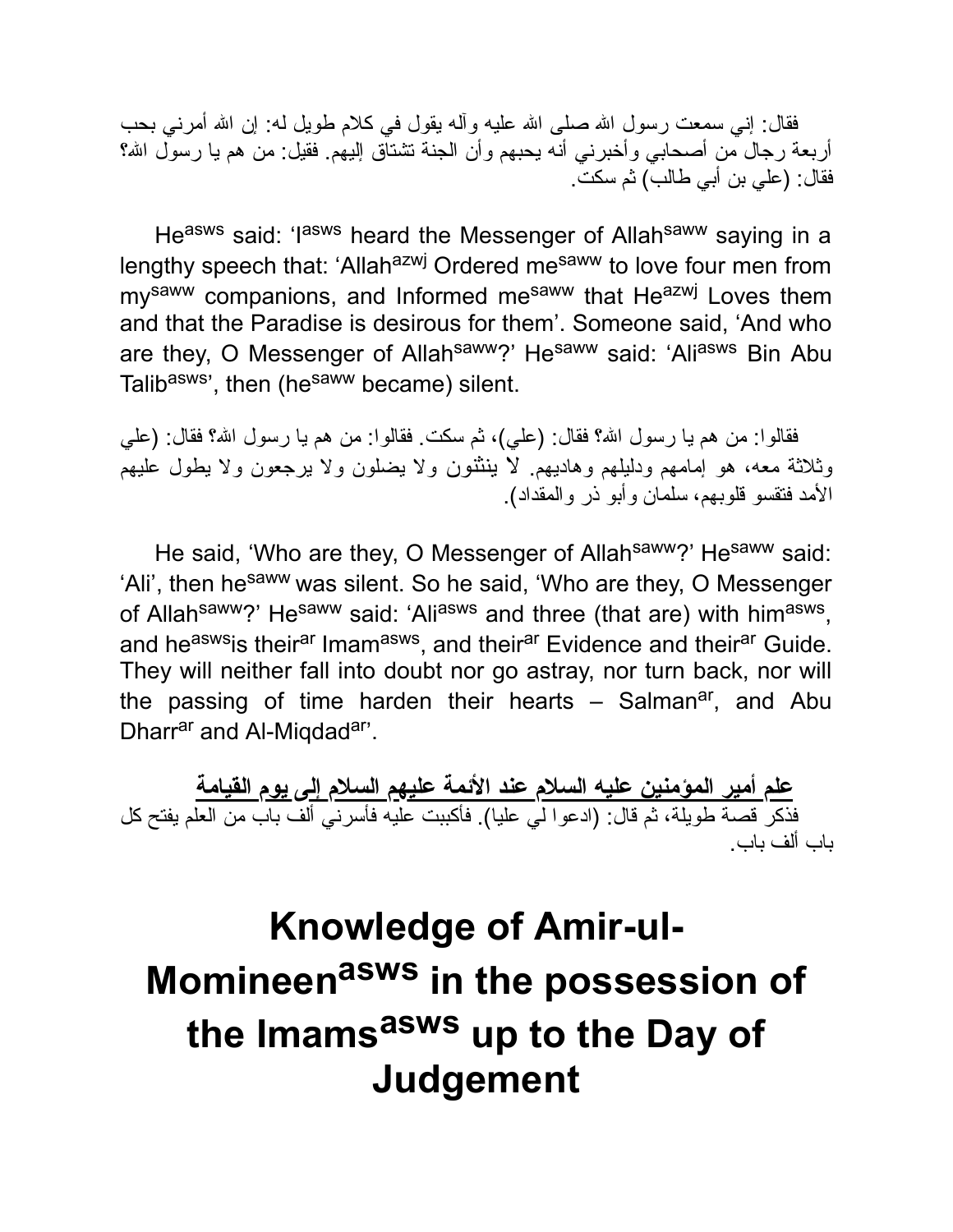فقال: إني سمعت رسول الله صلى الله علیه وأله یقول في كلام طویل له: إن الله أمرني بحب أربعة رجال من أصحابي وأخبرني أنه يحبهم وأن الجنة تشتآق إليهم. فقيل: من هم يا رسول الله؟ فقال: (علي بن أبي طالب) ثم سكت.

Heasws said: 'lasws heard the Messenger of Allahsaww saying in a lengthy speech that: 'Allah<sup>azwj</sup> Ordered me<sup>saww</sup> to love four men from my<sup>saww</sup> companions, and Informed me<sup>saww</sup> that He<sup>azwj</sup> Loves them and that the Paradise is desirous for them'. Someone said, 'And who are they, O Messenger of Allah<sup>saww</sup>?' He<sup>saww</sup> said: 'Ali<sup>asws</sup> Bin Abu Talib<sup>asws</sup>', then (he<sup>saww</sup> became) silent.

فقالوا: من هم یا رسول االله؟ فقال: (علي)، ثم سكت. فقالوا: من هم یا رسول االله؟ فقال: (علي وثلاثة معه، هو إمامهم ودلیلهم وهادیهم. لا ینثنون ولا یضلون ولا یرجعون ولا یطول علیهم الأمد فتقسو قلوبهم، سلمان وأبو ذر والمقداد).

He said, 'Who are they, O Messenger of Allahsaww?' Hesaww said: 'Ali', then he<sup>saww</sup> was silent. So he said, 'Who are they, O Messenger of Allah<sup>saww</sup>?' He<sup>saww</sup> said: 'Ali<sup>asws</sup> and three (that are) with him<sup>asws</sup>, and he<sup>asws</sup>is their<sup>ar</sup> Imam<sup>asws</sup>, and their<sup>ar</sup> Evidence and their<sup>ar</sup> Guide. They will neither fall into doubt nor go astray, nor turn back, nor will the passing of time harden their hearts – Salman<sup>ar</sup>, and Abu Dharrar and Al-Migdadar'.

**علم أمیر المؤمنین علیه السلام عند الأئمة علیهم السلام إلى یوم القیامة** فذكر قصة طویلة، ثم قال: (ادعوا لي علیا). فأكببت علیه فأسرني ألف باب من العلم یفتح كل باب ألف باب.

## **Knowledge of Amir-ul-Momineen asws in the possession of the Imams asws up to the Day of Judgement**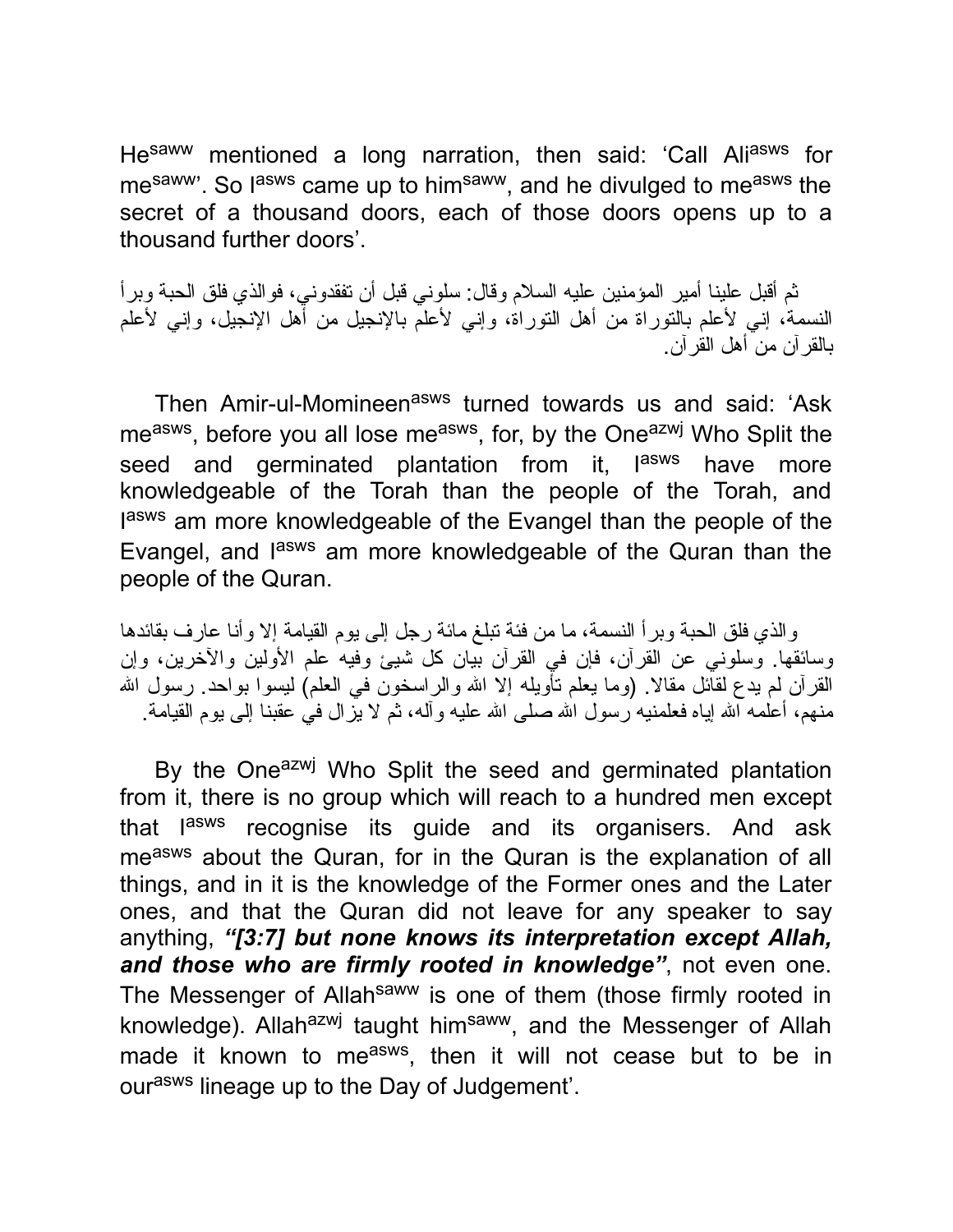He<sup>saww</sup> mentioned a long narration, then said: 'Call Ali<sup>asws</sup> for mesaww<sup>"</sup>. So lasws came up to himsaww, and he divulged to measws the secret of a thousand doors, each of those doors opens up to a thousand further doors'.

ثم أقبل علینا أمیر المؤمنین علیه السلام وقال: سلوني قبل أن تفقدوني، فوالذي فلق الحبة وبرأ النسمة، إني لأعلم بالتوراة من أهل التوراة، وإني لأعلم بالإنجیل من أهل الإنجیل، وإني لأعلم بالقرآن من أهل القرآن.

Then Amir-ul-Momineen<sup>asws</sup> turned towards us and said: 'Ask me<sup>asws</sup>, before you all lose me<sup>asws</sup>, for, by the One<sup>azwj</sup> Who Split the seed and germinated plantation from it, lasws have more knowledgeable of the Torah than the people of the Torah, and lasws am more knowledgeable of the Evangel than the people of the Evangel, and l<sup>asws</sup> am more knowledgeable of the Quran than the people of the Quran.

والذي فلق الحبة وبرأ النسمة، ما من فئة تبلغ مائة رجل إلى یوم القیامة إلا وأنا عارف بقائدها وسائقها. وسلوني عن القرآن، فإن في القرآن بیان كل شیئ وفیه علم الأولین والآخرین، وإن القرآن لم یدع لقائل مقالا. (وما یعلم تأویله إلا االله والراسخون في العلم) لیسوا بواحد. رسول االله منهم، أعلمه االله إیاه فعلمنیه رسول االله صلى االله علیه وآله، ثم لا یزال في عقبنا إلى یوم القیامة.

By the One<sup>azwj</sup> Who Split the seed and germinated plantation from it, there is no group which will reach to a hundred men except that l<sup>asws</sup> recognise its guide and its organisers. And ask measws about the Quran, for in the Quran is the explanation of all things, and in it is the knowledge of the Former ones and the Later ones, and that the Quran did not leave for any speaker to say anything, *"[3:7] but none knows its interpretation except Allah, and those who are firmly rooted in knowledge"*, not even one. The Messenger of Allah<sup>saww</sup> is one of them (those firmly rooted in knowledge). Allah<sup>azwj</sup> taught him<sup>saww</sup>, and the Messenger of Allah made it known to me<sup>asws</sup>, then it will not cease but to be in ourasws lineage up to the Day of Judgement'.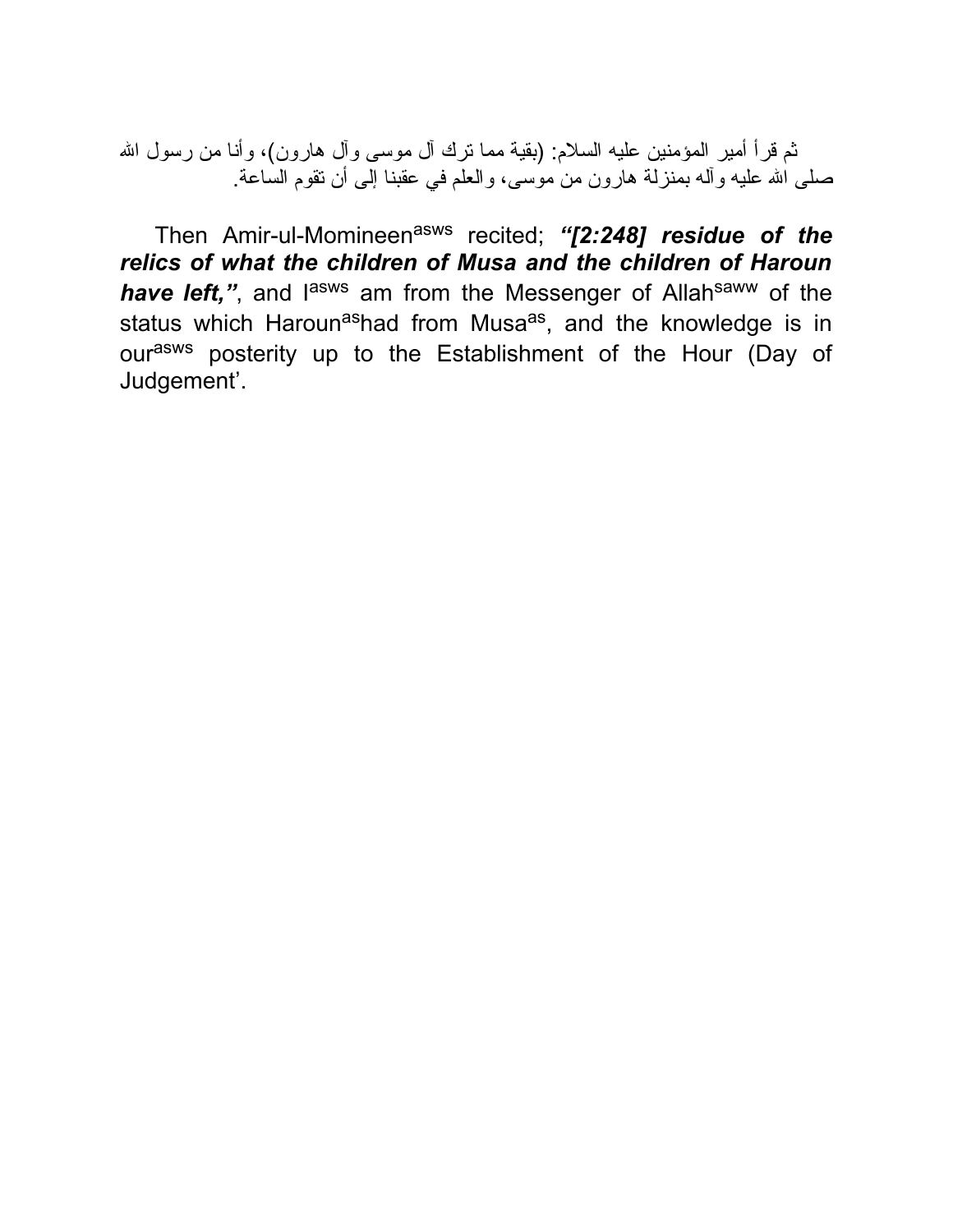ثم قرأ أمیر المؤمنین علیه السلام: (بقیة مما ترك آل موسى وآل هارون)، وأنا من رسول االله صلى االله علیه وآله بمنزلة هارون من موسى، والعلم في عقبنا إلى أن تقوم الساعة.

Then Amir-ul-Momineenasws recited; *"[2:248] residue of the relics of what the children of Musa and the children of Haroun* have left,", and l<sup>asws</sup> am from the Messenger of Allah<sup>saww</sup> of the status which Haroun<sup>as</sup>had from Musa<sup>as</sup>, and the knowledge is in ourasws posterity up to the Establishment of the Hour (Day of Judgement'.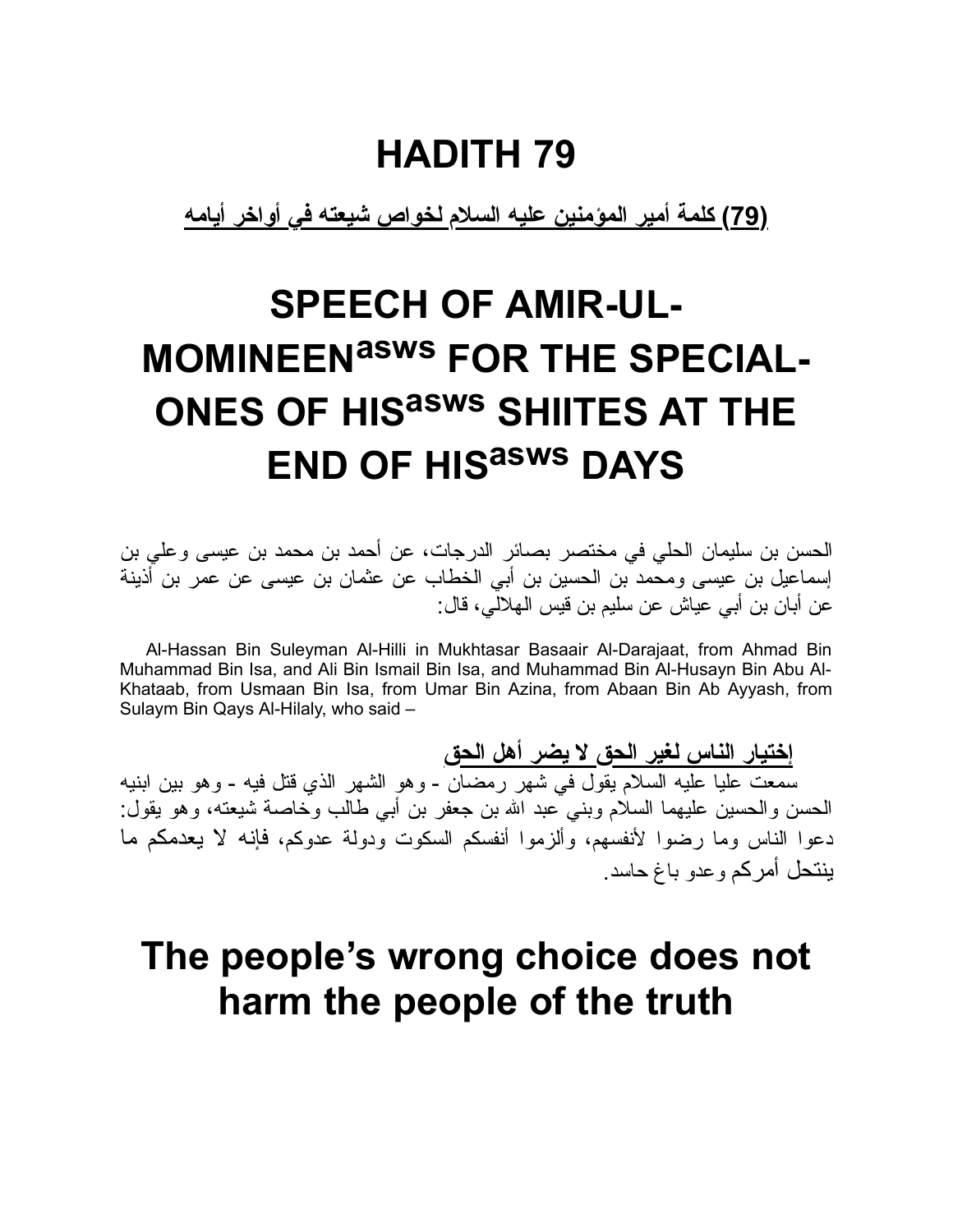**(79) كلمة أمیر المؤمنین علیه السلام لخواص شیعته في أواخر أیامه**

# **SPEECH OF AMIR-UL-MOMINEENasws FOR THE SPECIAL-ONES OF HIS asws SHIITES AT THE END OF HIS asws DAYS**

الحسن بن سلیمان الحلي في مختصر بصائر الدرجات، عن أحمد بن محمد بن عیسى وعلي بن إسماعیل بن عیسى ومحمد بن الحسین بن أبي الخطاب عن عثمان بن عیسى عن عمر بن أذینة عن أبان بن أبي عیاش عن سلیم بن قیس الهلالي، قال:

Al-Hassan Bin Suleyman Al-Hilli in Mukhtasar Basaair Al-Darajaat, from Ahmad Bin Muhammad Bin Isa, and Ali Bin Ismail Bin Isa, and Muhammad Bin Al-Husayn Bin Abu Al-Khataab, from Usmaan Bin Isa, from Umar Bin Azina, from Abaan Bin Ab Ayyash, from Sulaym Bin Qays Al-Hilaly, who said –

**إختیار الناس لغیر الحق لا یضر أهل الحق** سمعت علیا علیه السلام یقول في شهر رمضان - وهو الشهر الذي قتل فیه - وهو بین ابنیه الحسن والحسین علیهما السلام وبني عبد االله بن جعفر بن أبي طالب وخاصة شیعته، وهو یقول: دعوا الناس وما رضوا لأنفسهم، وألزموا أنفسكم السكوت ودولة عدوكم، فإنه لا یعدمكم ما ینتحل أمركم وعدو باغ حاسد.

### **The people's wrong choice does not harm the people of the truth**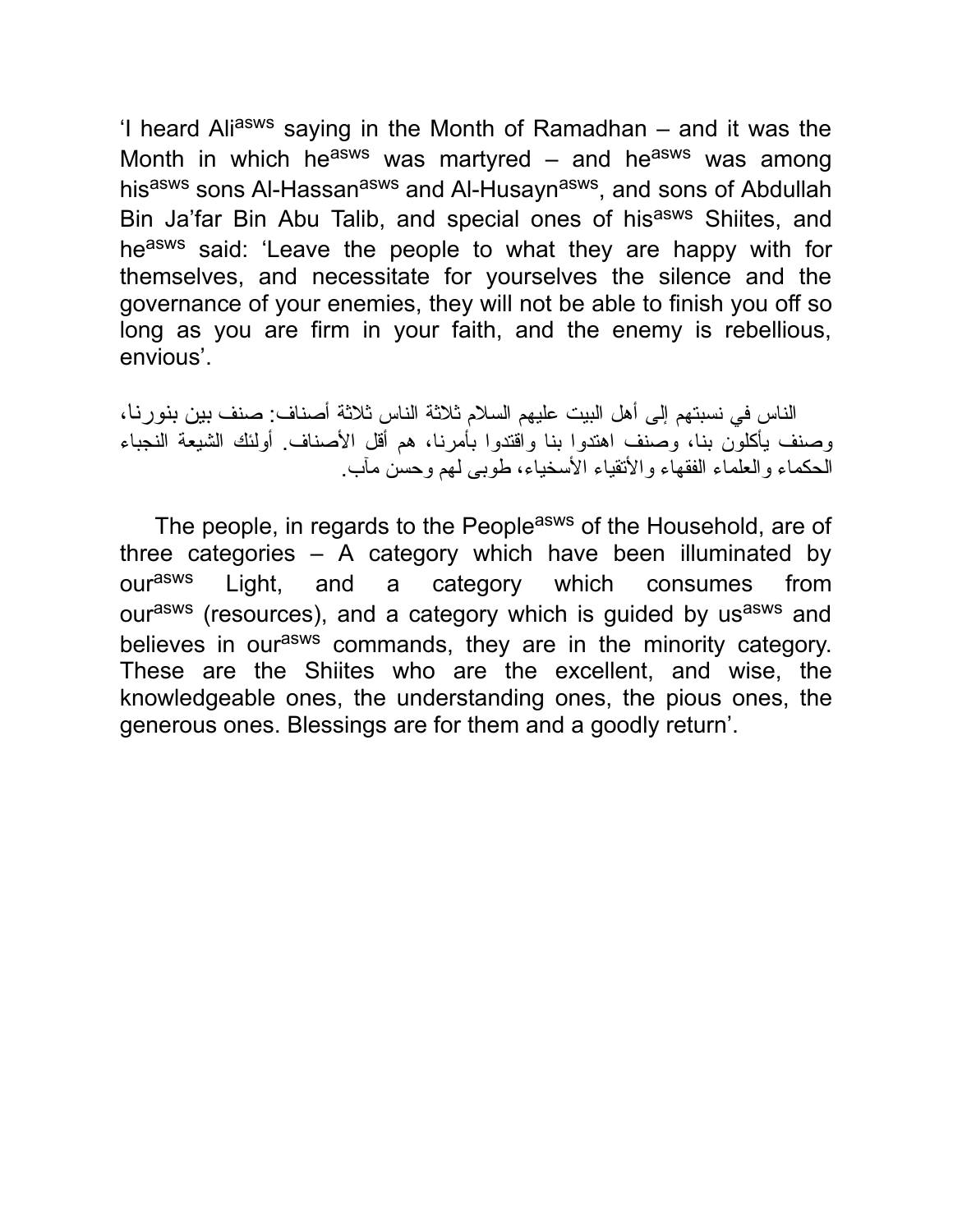'I heard Ali<sup>asws</sup> saying in the Month of Ramadhan  $-$  and it was the Month in which he<sup>asws</sup> was martyred – and he<sup>asws</sup> was among his<sup>asws</sup> sons Al-Hassan<sup>asws</sup> and Al-Husayn<sup>asws</sup>, and sons of Abdullah Bin Ja'far Bin Abu Talib, and special ones of hisasws Shiites, and heasws said: 'Leave the people to what they are happy with for themselves, and necessitate for yourselves the silence and the governance of your enemies, they will not be able to finish you off so long as you are firm in your faith, and the enemy is rebellious, envious'.

الناس في نسبتهم إلى أهل البیت علیهم السلام ثلاثة الناس ثلاثة أصناف: صنف بین بنورنا، وصنف یأكلون بنا، وصنف اهتدوا بنا واقتدوا بأمرنا، هم أقل الأصناف. أولئك الشیعة النجباء الحكماء والعلماء الفقهاء والأتقیاء الأسخیاء، طوبى لهم وحسن مآب.

The people, in regards to the People<sup>asws</sup> of the Household, are of three categories  $-$  A category which have been illuminated by our<sup>asws</sup> Light, and a category which consumes from ourasws (resources), and a category which is guided by usasws and believes in our<sup>asws</sup> commands, they are in the minority category. These are the Shiites who are the excellent, and wise, the knowledgeable ones, the understanding ones, the pious ones, the generous ones. Blessings are for them and a goodly return'.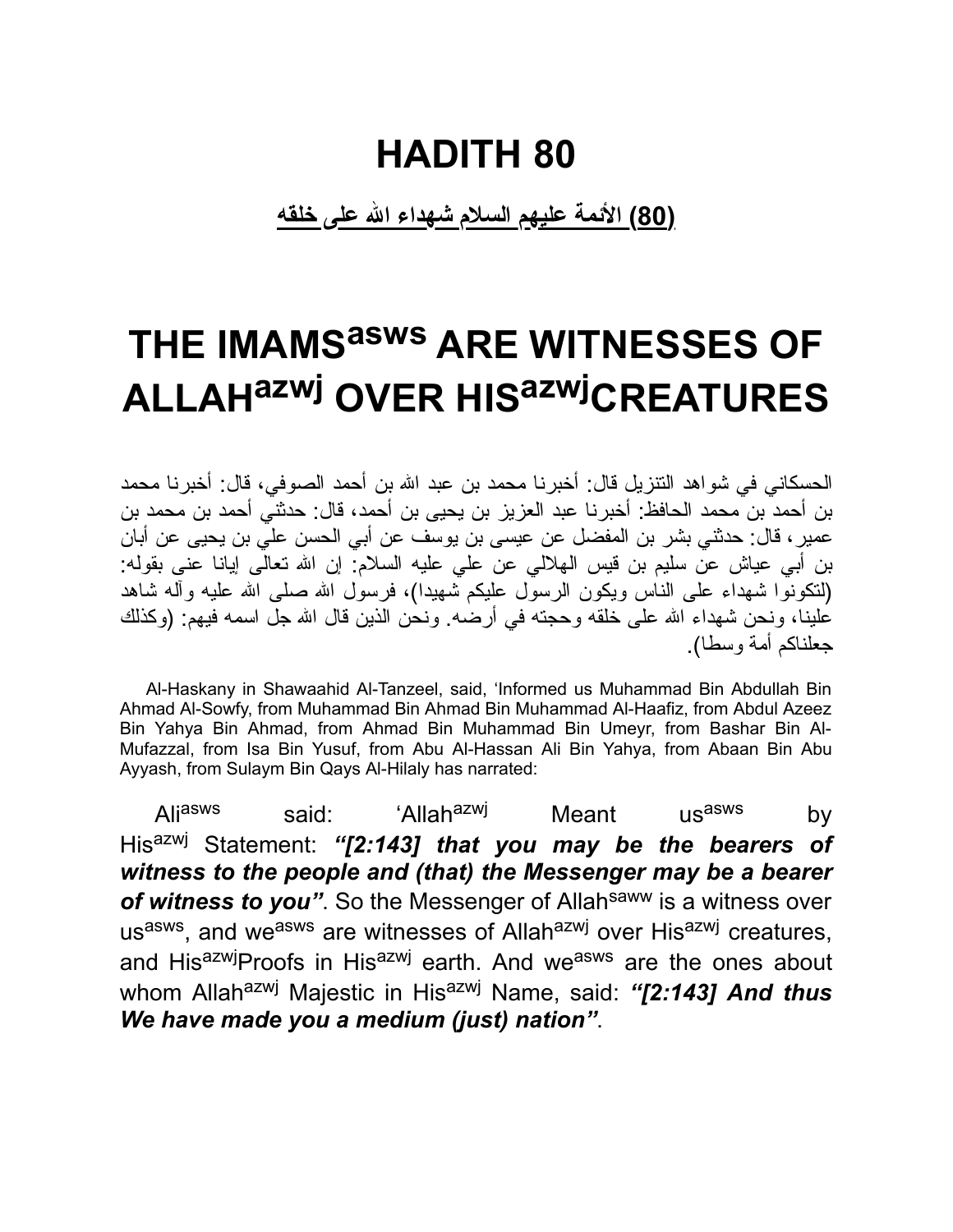**(80) الأئمة علیهم السلام شهداء االله على خلقه**

# **THE IMAMS asws ARE WITNESSES OF ALLAHazwj OVER HIS azwjCREATURES**

الحسكاني في شواهد التنزیل قال: أخبرنا محمد بن عبد االله بن أحمد الصوفي، قال: أخبرنا محمد بن أحمد بن محمد الحافظ: أخبرنا عبد العزیز بن یحیى بن أحمد، قال: حدثني أحمد بن محمد بن عمیر، قال: حدثني بشر بن المفضل عن عیسى بن یوسف عن أبي الحسن علي بن یحیى عن أبان بن أبي عیاش عن سلیم بن قیس الهلالي عن علي علیه السلام: إن االله تعالى إیانا عنى بقوله: (لتكونوا شهداء على الناس ویكون الرسول علیكم شهیدا)، فرسول االله صلى االله علیه وآله شاهد علینا، ونحن شهداء الله على خلقه وحجته في أرضه. ونحن الذین قال الله جل اسمه فیهم: (وكذلك جعلناكم أمة وسطا).

Al-Haskany in Shawaahid Al-Tanzeel, said, 'Informed us Muhammad Bin Abdullah Bin Ahmad Al-Sowfy, from Muhammad Bin Ahmad Bin Muhammad Al-Haafiz, from Abdul Azeez Bin Yahya Bin Ahmad, from Ahmad Bin Muhammad Bin Umeyr, from Bashar Bin Al-Mufazzal, from Isa Bin Yusuf, from Abu Al-Hassan Ali Bin Yahya, from Abaan Bin Abu Ayyash, from Sulaym Bin Qays Al-Hilaly has narrated:

Ali<sup>asws</sup> said: 'Allah<sup>azwj</sup> Meant us<sup>asws</sup> by Hisazwj Statement: *"[2:143] that you may be the bearers of witness to the people and (that) the Messenger may be a bearer* of witness to you". So the Messenger of Allah<sup>saww</sup> is a witness over us<sup>asws</sup>, and we<sup>asws</sup> are witnesses of Allah<sup>azwj</sup> over His<sup>azwj</sup> creatures, and HisazwjProofs in Hisazwj earth. And weasws are the ones about whom Allah<sup>azwj</sup> Majestic in His<sup>azwj</sup> Name, said: "[2:143] And thus *We have made you a medium (just) nation"*.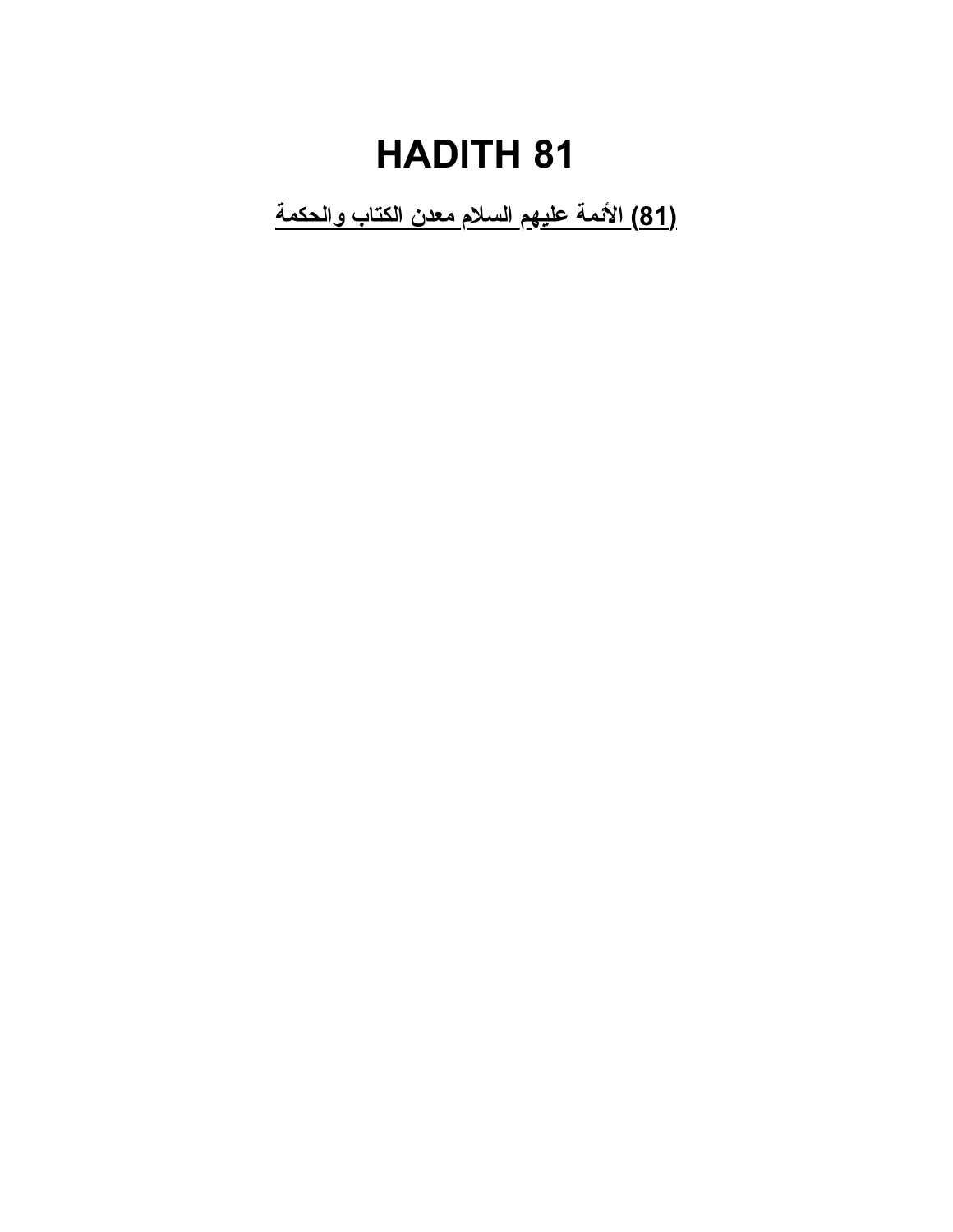**(81) الأئمة علیهم السلام معدن الكتاب والحكمة**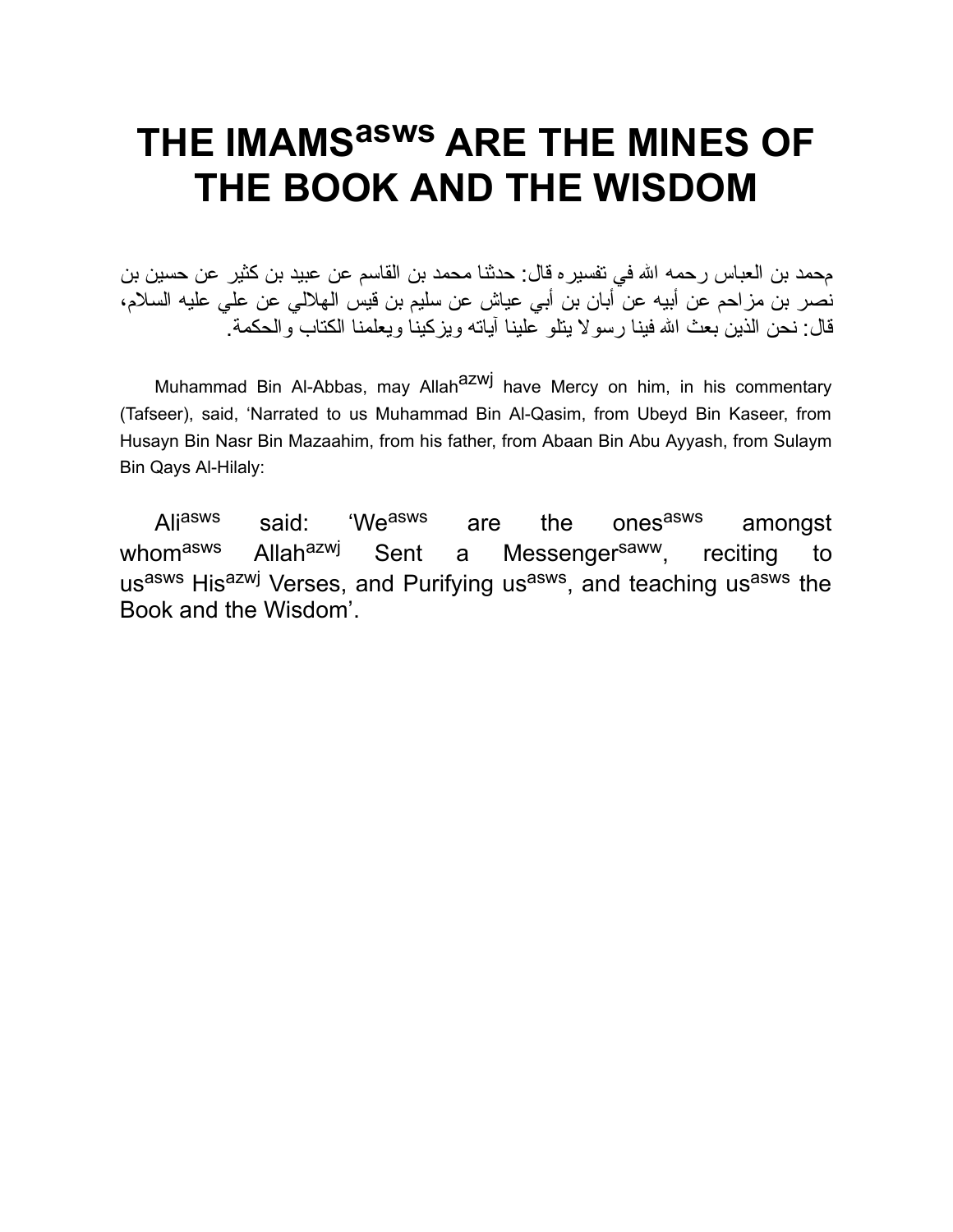# **THE IMAMS asws ARE THE MINES OF THE BOOK AND THE WISDOM**

محمد بن العباس رحمه الله في تفسیر ه قال: حدثنا محمد بن القاسم عن عبید بن كثیر عن حسین بن نصر بن مزاحم عن أبیه عن أبان بن أبي عیاش عن سلیم بن قیس الهلالي عن علي علیه السلام، قال: نحن الذین بعث االله فینا رسولا یتلو علینا آیاته ویزكینا ویعلمنا الكتاب والحكمة.

Muhammad Bin Al-Abbas, may Allah<sup>azwj</sup> have Mercy on him, in his commentary (Tafseer), said, 'Narrated to us Muhammad Bin Al-Qasim, from Ubeyd Bin Kaseer, from Husayn Bin Nasr Bin Mazaahim, from his father, from Abaan Bin Abu Ayyash, from Sulaym Bin Qays Al-Hilaly:

Aliasws said: 'Weasws' are the ones<sup>asws</sup> amongst whom<sup>asws</sup> Allah<sup>azwj</sup> Sent a Messenger<sup>saww</sup>, reciting to us<sup>asws</sup> His<sup>azwj</sup> Verses, and Purifying us<sup>asws</sup>, and teaching us<sup>asws</sup> the Book and the Wisdom'.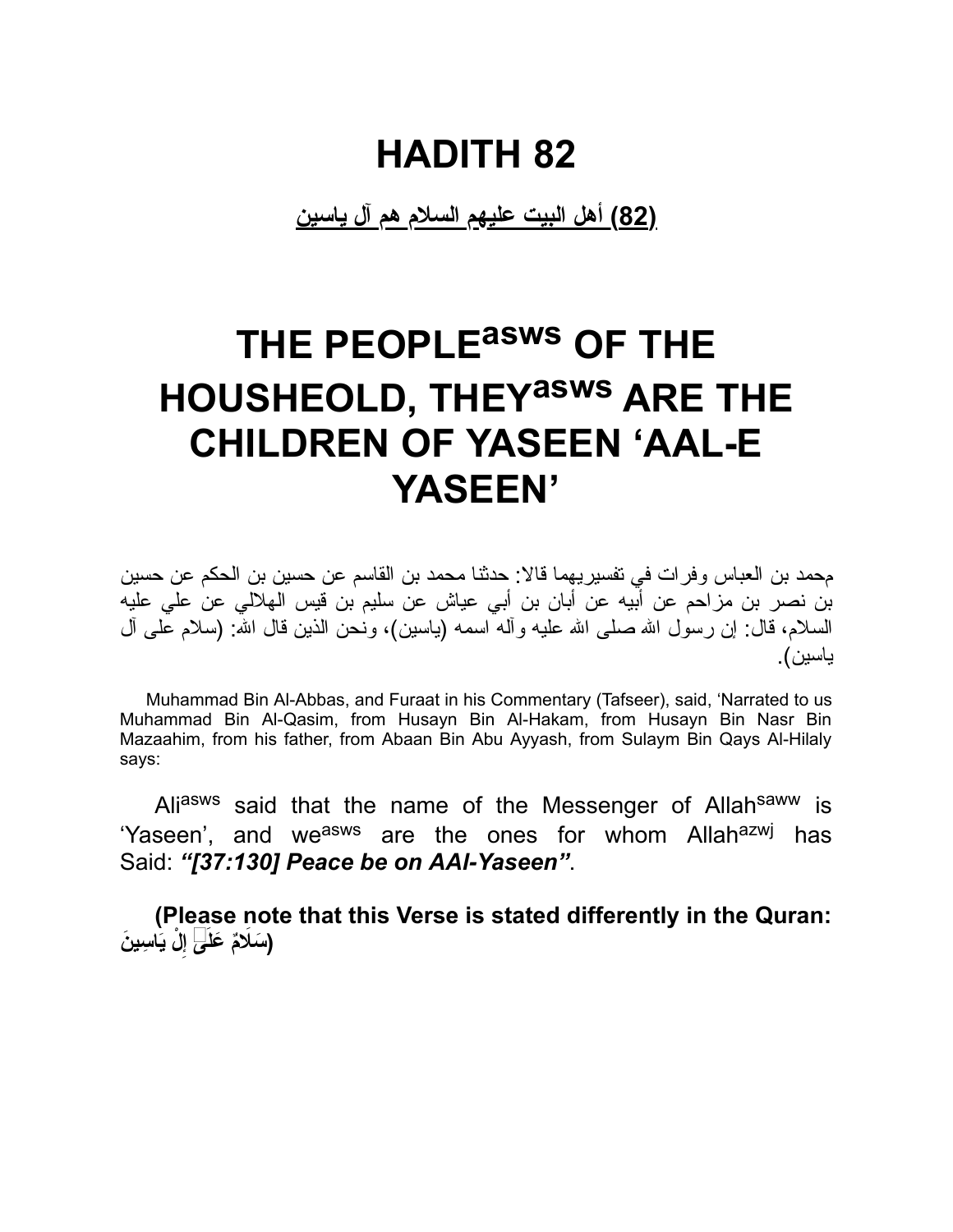**(82) أهل البیت علیهم السلام هم آل یاسین**

# **THE PEOPLE asws OF THE HOUSHEOLD, THEY asws ARE THE CHILDREN OF YASEEN 'AAL-E YASEEN'**

محمد بن العباس وفرات في تفسیریهما قالا: حدثنا محمد بن القاسم عن حسین بن الحكم عن حسین بن نصر بن مزاحم عن أبیه عن أبان بن أبي عیاش عن سلیم بن قیس الهلالي عن علي علیه السلام، قال: إن رسول االله صلى االله علیه وآله اسمه (یاسین)، ونحن الذین قال االله: (سلام على آل یاسین).

Muhammad Bin Al-Abbas, and Furaat in his Commentary (Tafseer), said, 'Narrated to us Muhammad Bin Al-Qasim, from Husayn Bin Al-Hakam, from Husayn Bin Nasr Bin Mazaahim, from his father, from Abaan Bin Abu Ayyash, from Sulaym Bin Qays Al-Hilaly says:

Aliasws said that the name of the Messenger of Allahsaww is 'Yaseen', and we<sup>asws</sup> are the ones for whom Allah<sup>azwj</sup> has Said: *"[37:130] Peace be on AAl-Yaseen"*.

**(Please note that this Verse is stated differently in the Quran: ْل َ ی ِ اس َین ِ إ ( َسَلاٌم َ علَى**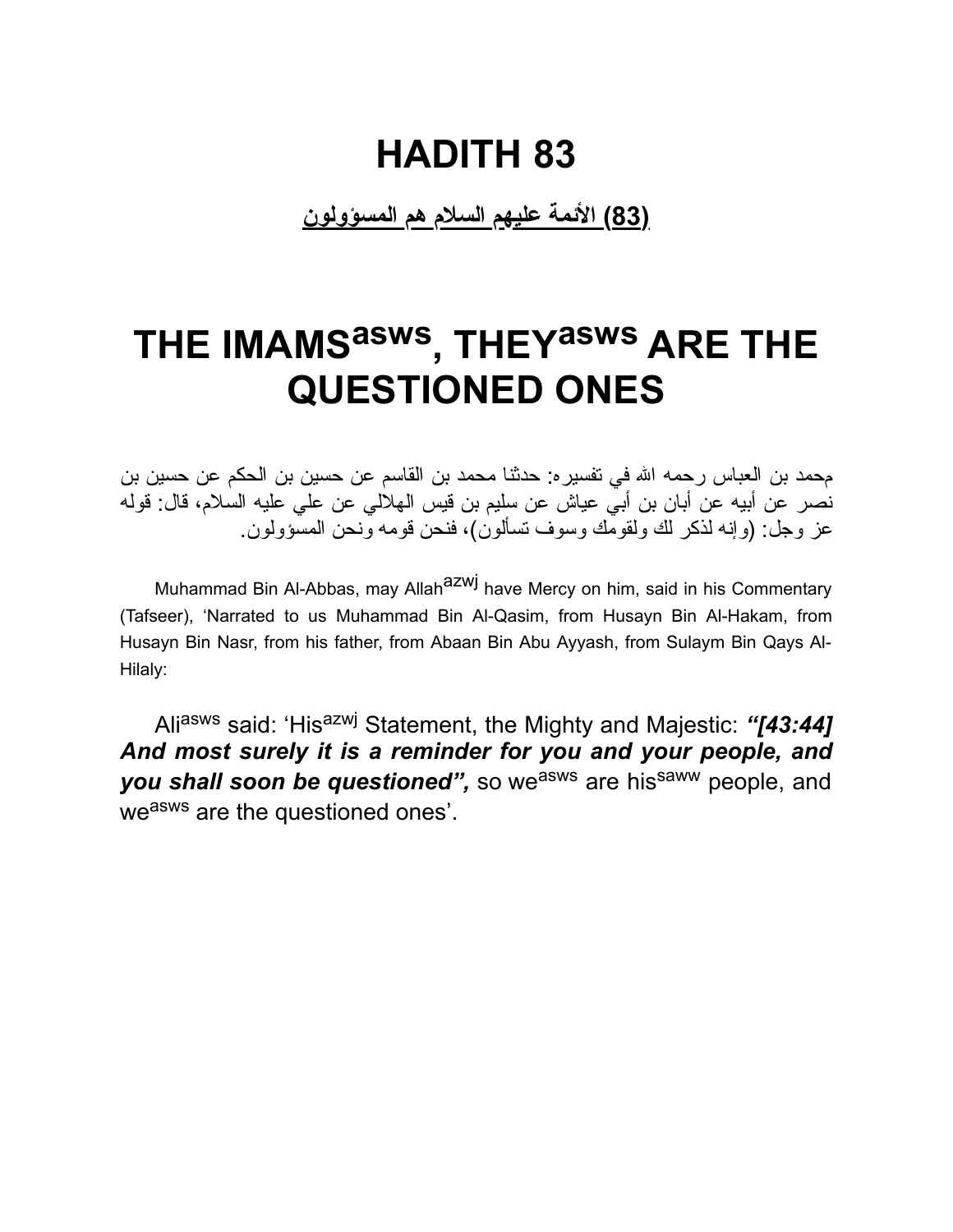**(83) الأئمة علیهم السلام هم المسؤولون**

# **THE IMAMS asws , THEY asws ARE THE QUESTIONED ONES**

محمد بن العباس رحمه االله في تفسیره: حدثنا محمد بن القاسم عن حسین بن الحكم عن حسین بن نصر عن أبیه عن أبان بن أبي عیاش عن سلیم بن قیس الهلالي عن علي علیه السلام، قال: قوله عز وجل: (وإنه لذكر لك ولقومك وسوف تسألون)، فنحن قومه ونحن المسؤولون.

Muhammad Bin Al-Abbas, may Allah<sup>azwj</sup> have Mercy on him, said in his Commentary (Tafseer), 'Narrated to us Muhammad Bin Al-Qasim, from Husayn Bin Al-Hakam, from Husayn Bin Nasr, from his father, from Abaan Bin Abu Ayyash, from Sulaym Bin Qays Al-Hilaly:

Ali<sup>asws</sup> said: 'His<sup>azwj</sup> Statement, the Mighty and Majestic: "[43:44] *And most surely it is a reminder for you and your people, and* **you shall soon be questioned**", so we<sup>asws</sup> are his<sup>saww</sup> people, and weasws are the questioned ones'.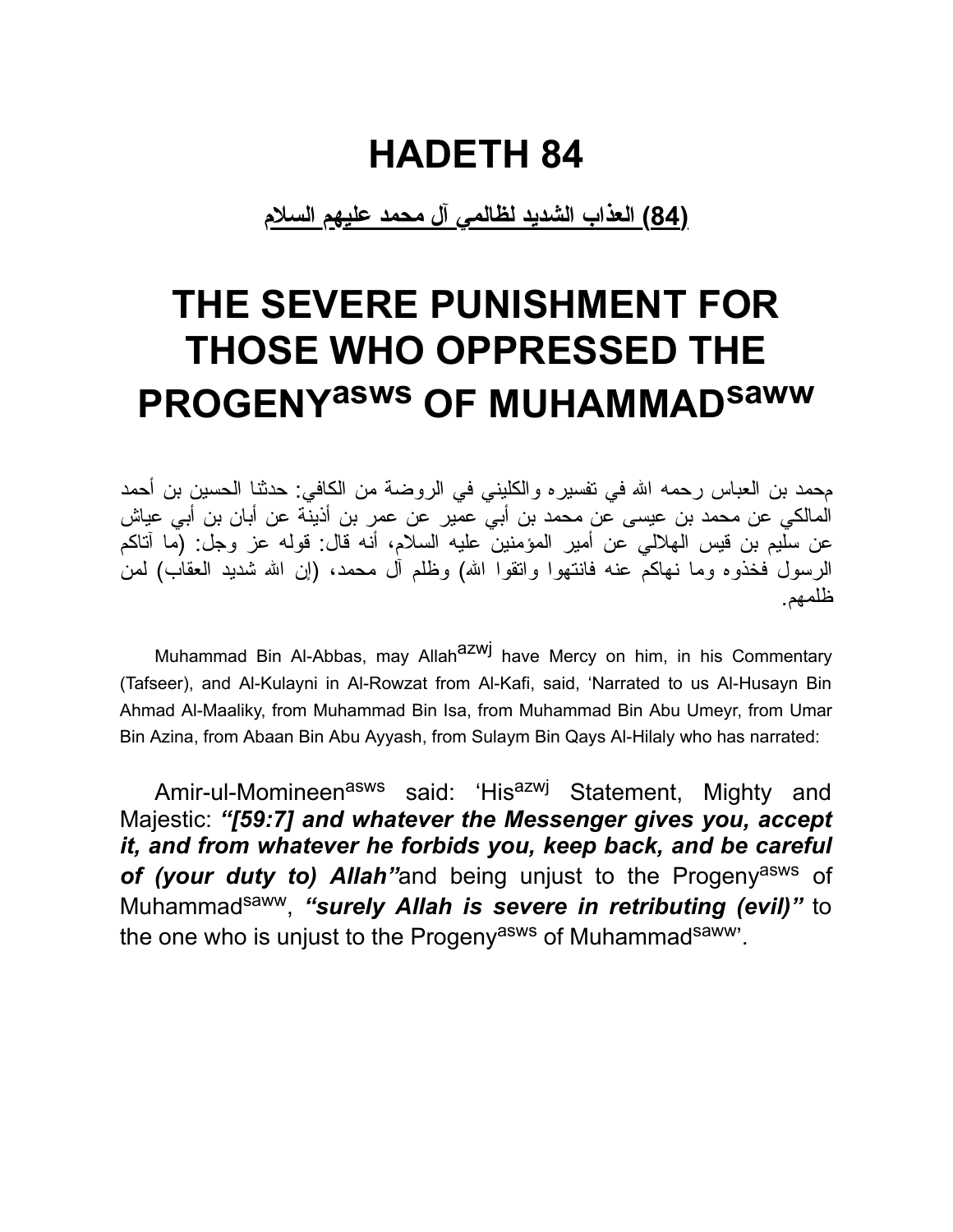#### **HADETH 84**

**(84) العذاب الشدید لظالمي آل محمد علیهم السلام**

# **THE SEVERE PUNISHMENT FOR THOSE WHO OPPRESSED THE PROGENY asws OF MUHAMMADsaww**

محمد بن العباس رحمه االله في تفسیره والكلیني في الروضة من الكافي: حدثنا الحسین بن أحمد المالكي عن محمد بن عیسى عن محمد بن أبي عمیر عن عمر بن أذینة عن أبان بن أبي عیاش عن سلیم بن قیس الهلالي عن أمیر المؤمنین علیه السلام، أنه قال: قوله عز وجل: (ما آتاكم الرسول فخذوه وما نهاكم عنه فانتهوا واتقوا االله) وظلم آل محمد، (إن االله شدید العقاب) لمن ظلمهم.

Muhammad Bin Al-Abbas, may Allah<sup>azwj</sup> have Mercy on him, in his Commentary (Tafseer), and Al-Kulayni in Al-Rowzat from Al-Kafi, said, 'Narrated to us Al-Husayn Bin Ahmad Al-Maaliky, from Muhammad Bin Isa, from Muhammad Bin Abu Umeyr, from Umar Bin Azina, from Abaan Bin Abu Ayyash, from Sulaym Bin Qays Al-Hilaly who has narrated:

Amir-ul-Momineen<sup>asws</sup> said: 'His<sup>azwj</sup> Statement, Mighty and Majestic: *"[59:7] and whatever the Messenger gives you, accept it, and from whatever he forbids you, keep back, and be careful of (your duty to) Allah"*and being unjust to the Progenyasws of Muhammadsaww, *"surely Allah is severe in retributing (evil)"* to the one who is unjust to the Progeny<sup>asws</sup> of Muhammad<sup>saww</sup>'.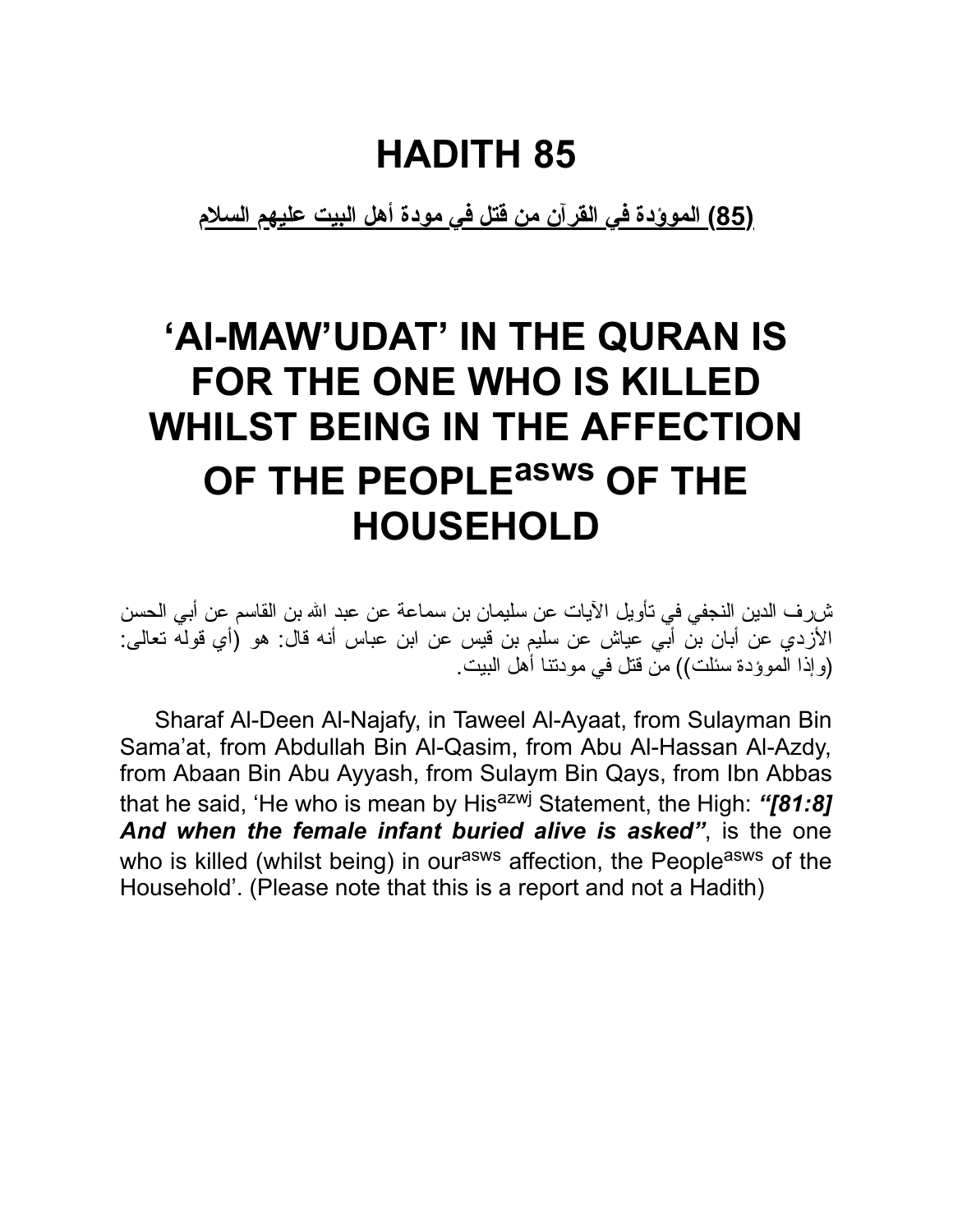**(85) الموؤدة في القرآن من قتل في مودة أهل البیت علیهم السلام**

# **'Al-MAW'UDAT' IN THE QURAN IS FOR THE ONE WHO IS KILLED WHILST BEING IN THE AFFECTION OF THE PEOPLE asws OF THE HOUSEHOLD**

شرف الدین النجفي في تأویل الآیات عن سلیمان بن سماعة عن عبد االله بن القاسم عن أبي الحسن الأزدي عن أبان بن أبي عیاش عن سلیم بن قیس عن ابن عباس أنه قال: هو (أي قوله تعالى: (وإذا الموؤدة سئلت)) من قتل في مودتنا أهل البیت.

Sharaf Al-Deen Al-Najafy, in Taweel Al-Ayaat, from Sulayman Bin Sama'at, from Abdullah Bin Al-Qasim, from Abu Al-Hassan Al-Azdy, from Abaan Bin Abu Ayyash, from Sulaym Bin Qays, from Ibn Abbas that he said, 'He who is mean by His<sup>azwj</sup> Statement, the High: "[81:8] *And when the female infant buried alive is asked"*, is the one who is killed (whilst being) in our<sup>asws</sup> affection, the People<sup>asws</sup> of the Household'. (Please note that this is a report and not a Hadith)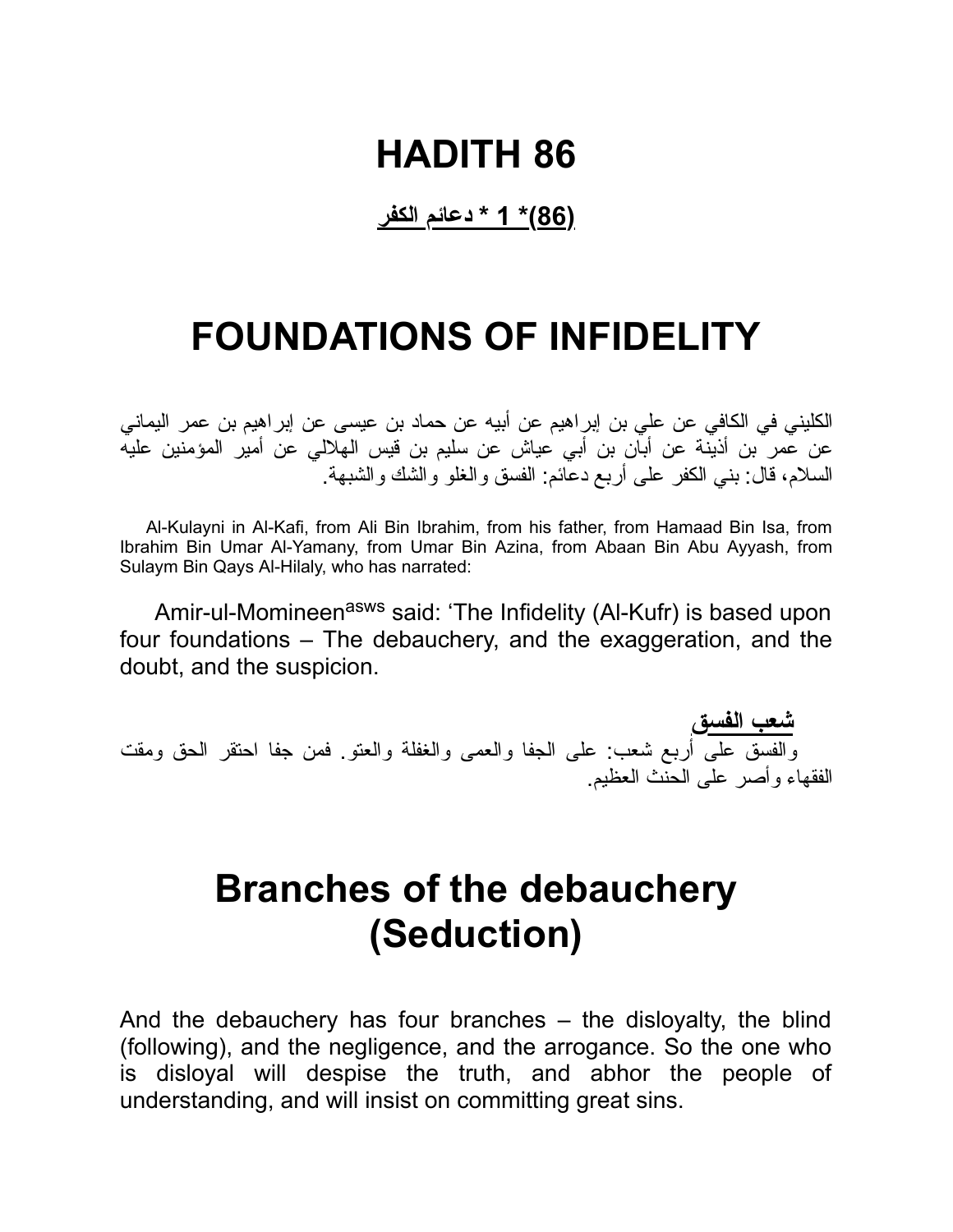#### **(86)\* 1 \* دعائم الكفر**

### **FOUNDATIONS OF INFIDELITY**

الكلیني في الكافي عن علي بن إبراهیم عن أبیه عن حماد بن عیسى عن إبراهیم بن عمر الیماني عن عمر بن أذینة عن أبان بن أبي عیاش عن سلیم بن قیس الهلالي عن أمیر المؤمنین علیه السلام، قال: بني الكفر على أربع دعائم: الفسق والغلو والشك والشبهة.

Al-Kulayni in Al-Kafi, from Ali Bin Ibrahim, from his father, from Hamaad Bin Isa, from Ibrahim Bin Umar Al-Yamany, from Umar Bin Azina, from Abaan Bin Abu Ayyash, from Sulaym Bin Qays Al-Hilaly, who has narrated:

Amir-ul-Momineen<sup>asws</sup> said: 'The Infidelity (Al-Kufr) is based upon four foundations – The debauchery, and the exaggeration, and the doubt, and the suspicion.

**شعب الفسق** والفسق على أربع شعب: على الجفا والعمى والغفلة والعتو. فمن جفا احتقر الحق ومقت الفقهاء وأصر على الحنث العظیم.

### **Branches of the debauchery (Seduction)**

And the debauchery has four branches – the disloyalty, the blind (following), and the negligence, and the arrogance. So the one who is disloyal will despise the truth, and abhor the people of understanding, and will insist on committing great sins.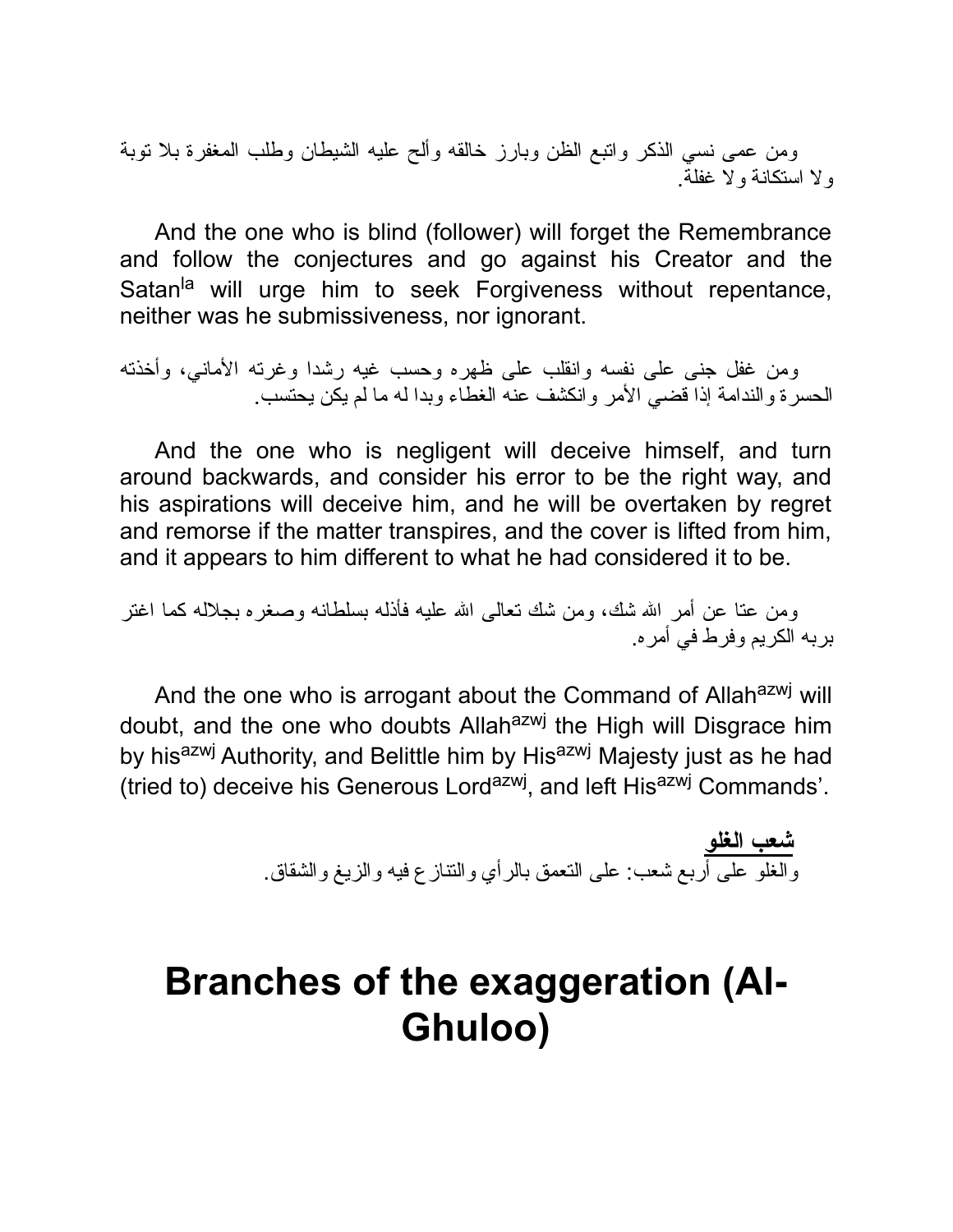ومن عمى نسي الذكر واتبع الظن وبارز خالقه وألح علیه الشیطان وطلب المغفرة بلا توبة ولا استكانة ولا غفلة.

And the one who is blind (follower) will forget the Remembrance and follow the conjectures and go against his Creator and the Satan<sup>la</sup> will urge him to seek Forgiveness without repentance, neither was he submissiveness, nor ignorant.

ومن غفل جنى على نفسه وانقلب على ظهره وحسب غیه رشدا وغرته الأماني، وأخذته الحسرة والندامة إذا قضي الأمر وانكشف عنه الغطاء وبدا له ما لم یكن یحتسب.

And the one who is negligent will deceive himself, and turn around backwards, and consider his error to be the right way, and his aspirations will deceive him, and he will be overtaken by regret and remorse if the matter transpires, and the cover is lifted from him, and it appears to him different to what he had considered it to be.

ومن عتا عن أمر االله شك، ومن شك تعالى االله علیه فأذله بسلطانه وصغره بجلاله كما اغتر بربه الكریم وفرط في أمره.

And the one who is arrogant about the Command of Allah<sup>azwj</sup> will doubt, and the one who doubts Allahazwj the High will Disgrace him by his<sup>azwj</sup> Authority, and Belittle him by His<sup>azwj</sup> Majesty just as he had (tried to) deceive his Generous Lord<sup>azwj</sup>, and left His<sup>azwj</sup> Commands'.

> **شعب الغلو** والغلو على أربع شعب: على التعمق بالرأي والتنازع فیه والزیغ والشقاق.

### **Branches of the exaggeration (Al-Ghuloo)**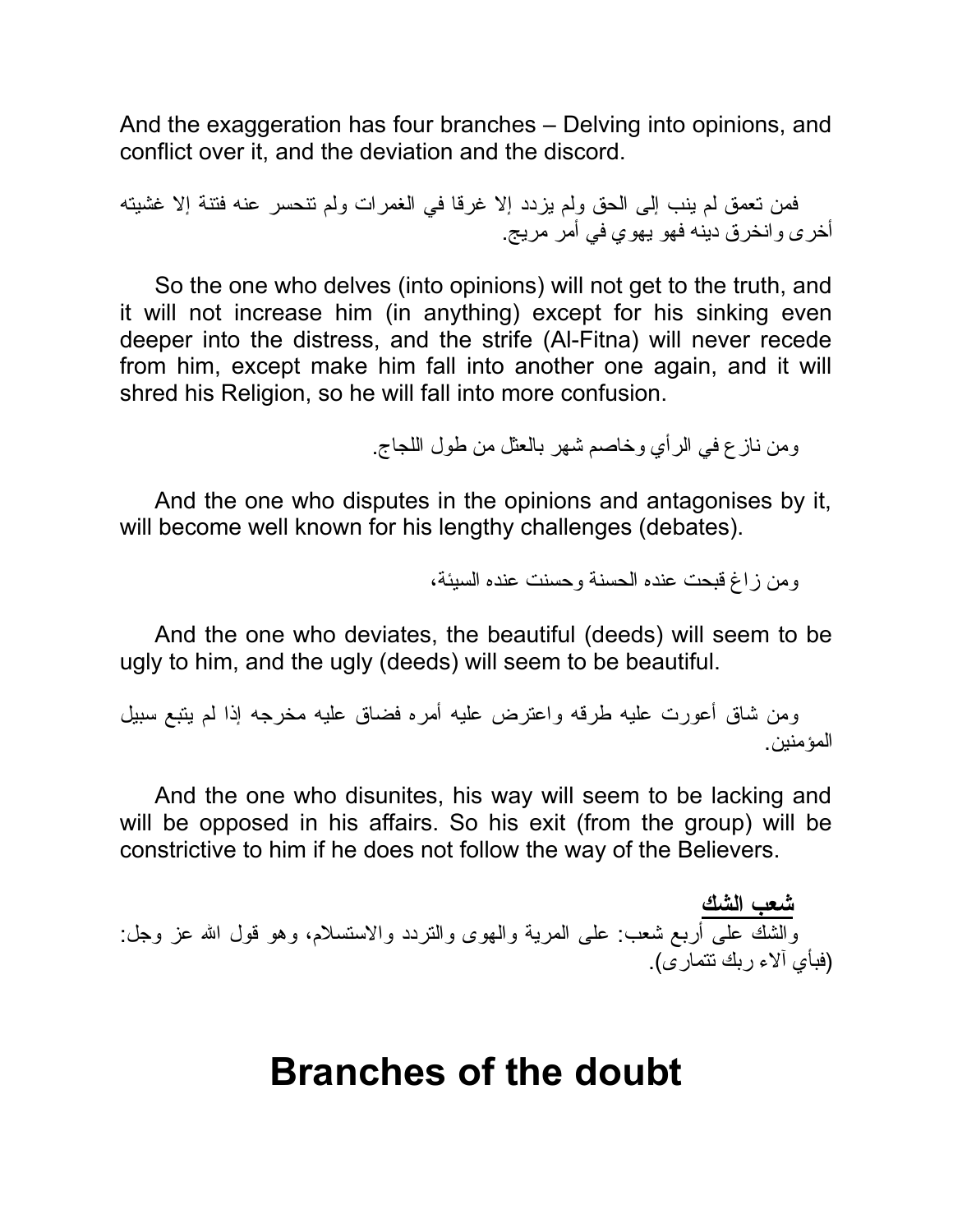And the exaggeration has four branches – Delving into opinions, and conflict over it, and the deviation and the discord.

فمن تعمق لم ینب إلى الحق ولم یزدد إلا غرقا في الغمرات ولم تنحسر عنه فتنة إلا غشیته أخرى وانخرق دینه فهو یهوي في أمر مریج.

So the one who delves (into opinions) will not get to the truth, and it will not increase him (in anything) except for his sinking even deeper into the distress, and the strife (Al-Fitna) will never recede from him, except make him fall into another one again, and it will shred his Religion, so he will fall into more confusion.

ومن نازع في الرأي وخاصم شهر بالعثل من طول اللجاج.

And the one who disputes in the opinions and antagonises by it, will become well known for his lengthy challenges (debates).

ومن زاغ قبحت عنده الحسنة وحسنت عنده السیئة،

And the one who deviates, the beautiful (deeds) will seem to be ugly to him, and the ugly (deeds) will seem to be beautiful.

ومن شاق أعورت علیه طرقه واعترض علیه أمره فضاق علیه مخرجه إذا لم یتبع سبیل المؤمنین.

And the one who disunites, his way will seem to be lacking and will be opposed in his affairs. So his exit (from the group) will be constrictive to him if he does not follow the way of the Believers.

**شعب الشك** والشك على أربع شعب: على المریة والهوى والتردد والاستسلام، وهو قول االله عز وجل: (فبأي آلاء ربك تتمارى).

#### **Branches of the doubt**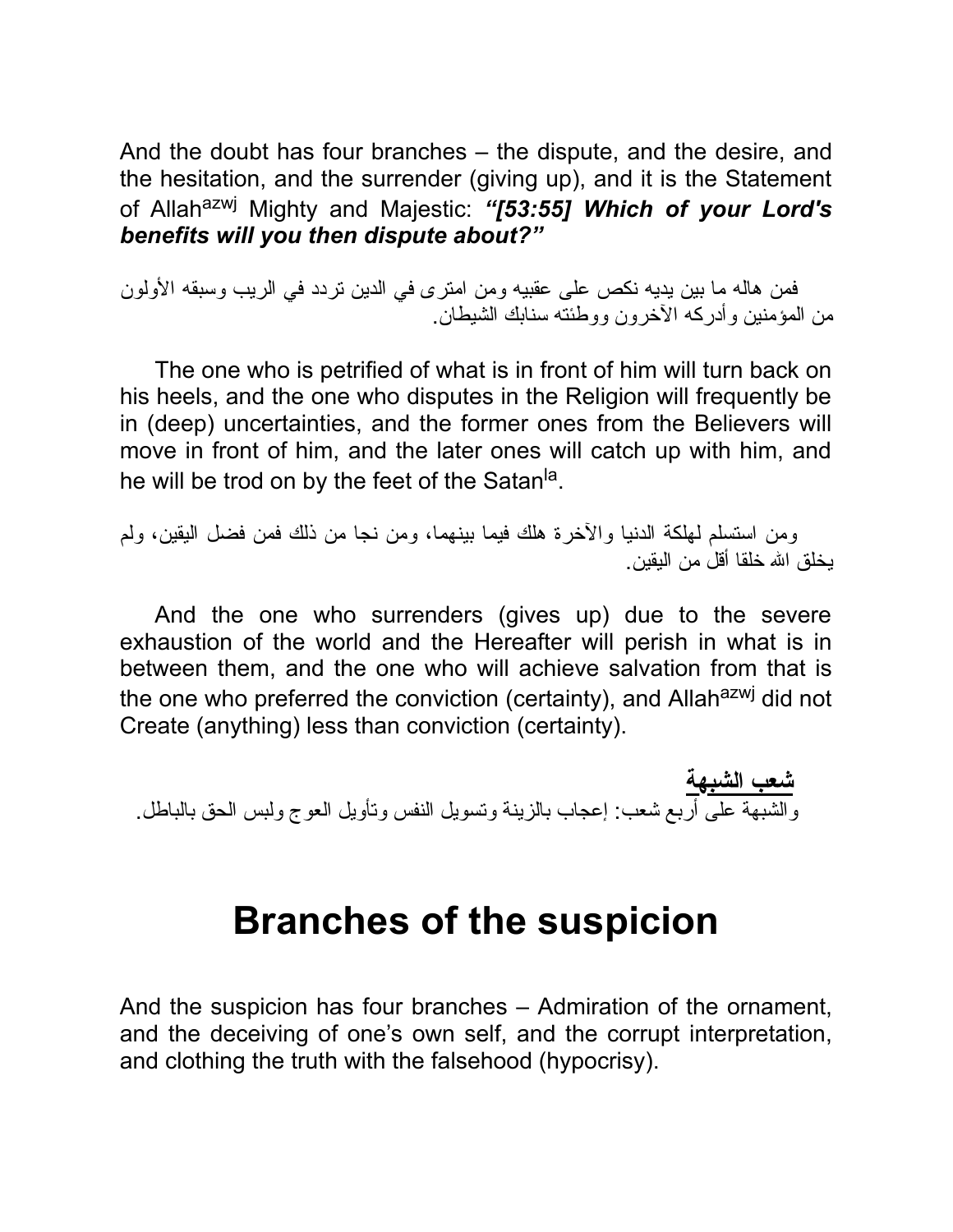And the doubt has four branches – the dispute, and the desire, and the hesitation, and the surrender (giving up), and it is the Statement of Allahazwj Mighty and Majestic: *"[53:55] Which of your Lord's benefits will you then dispute about?"*

فمن هاله ما بین یدیه نكص على عقبیه ومن امترى في الدین تردد في الریب وسبقه الأولون من المؤمنین وأدركه الآخرون ووطئته سنابك الشیطان.

The one who is petrified of what is in front of him will turn back on his heels, and the one who disputes in the Religion will frequently be in (deep) uncertainties, and the former ones from the Believers will move in front of him, and the later ones will catch up with him, and he will be trod on by the feet of the Satan<sup>la</sup>.

ومن استسلم لهلكة الدنیا والآخرة هلك فیما بینهما، ومن نجا من ذلك فمن فضل الیقین، ولم یخلق االله خلقا أقل من الیقین.

And the one who surrenders (gives up) due to the severe exhaustion of the world and the Hereafter will perish in what is in between them, and the one who will achieve salvation from that is the one who preferred the conviction (certainty), and Allahazwj did not Create (anything) less than conviction (certainty).

**شعب الشبهة** والشبهة على أربع شعب: إعجاب بالزینة وتسویل النفس وتأویل العوج ولبس الحق بالباطل.

#### **Branches of the suspicion**

And the suspicion has four branches – Admiration of the ornament, and the deceiving of one's own self, and the corrupt interpretation, and clothing the truth with the falsehood (hypocrisy).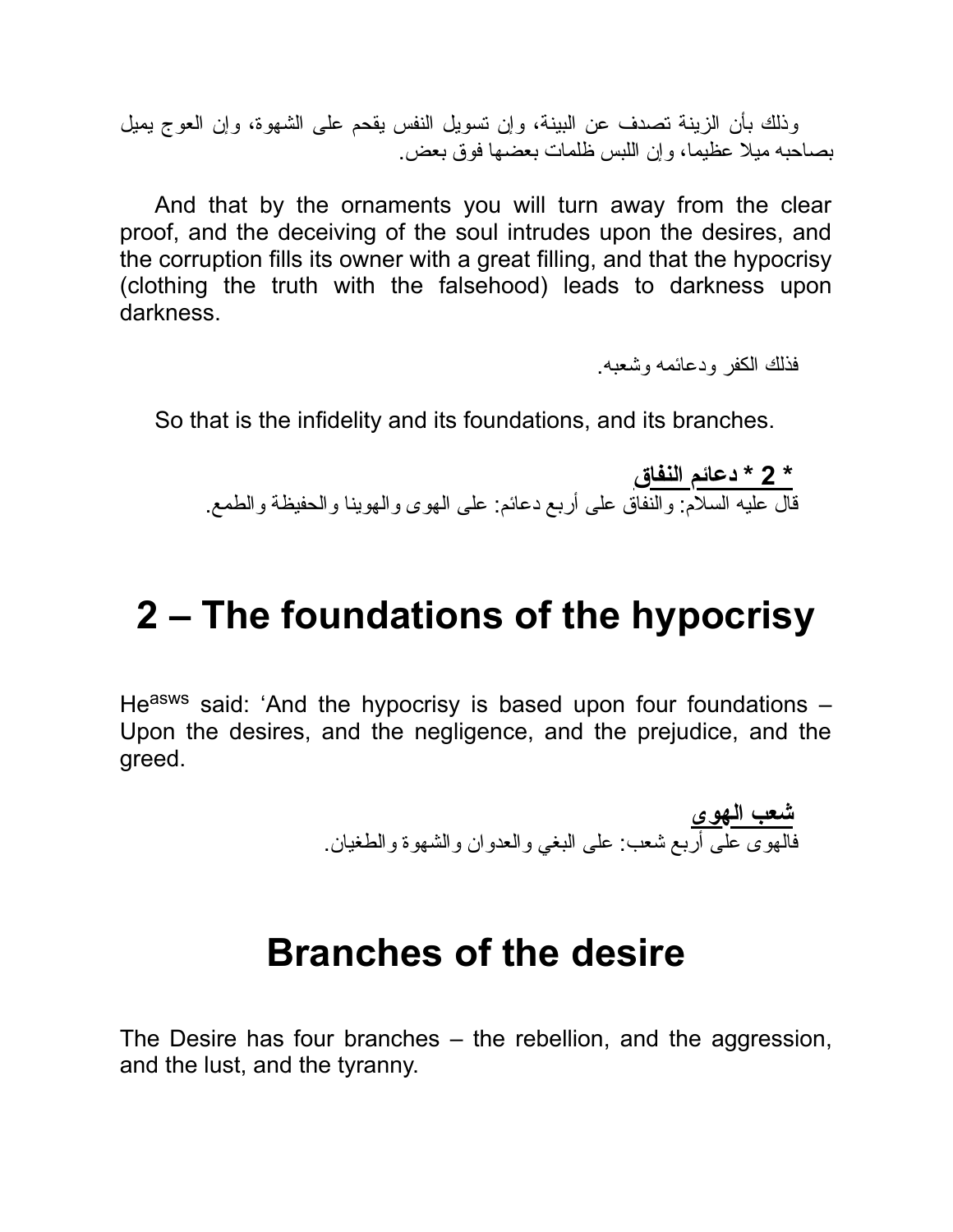وذلك بأن الزینة تصدف عن البینة، وإن تسویل النفس یقحم على الشهوة، وإن العوج یمیل بصاحبه میلا عظیما، وإن اللبس ظلمات بعضها فوق بعض.

And that by the ornaments you will turn away from the clear proof, and the deceiving of the soul intrudes upon the desires, and the corruption fills its owner with a great filling, and that the hypocrisy (clothing the truth with the falsehood) leads to darkness upon darkness.

فذلك الكفر ودعائمه وشعبه.

So that is the infidelity and its foundations, and its branches.

**\* 2 \* دعائم النفاق** قال علیه السلام: والنفاق على أربع دعائم: على الهوى والهوینا والحفیظة والطمع.

### **2 – The foundations of the hypocrisy**

He<sup>asws</sup> said: 'And the hypocrisy is based upon four foundations -Upon the desires, and the negligence, and the prejudice, and the greed.

**شعب الهوى** فالهوى على أربع شعب: على البغي والعدوان والشهوة والطغیان.

#### **Branches of the desire**

The Desire has four branches – the rebellion, and the aggression, and the lust, and the tyranny.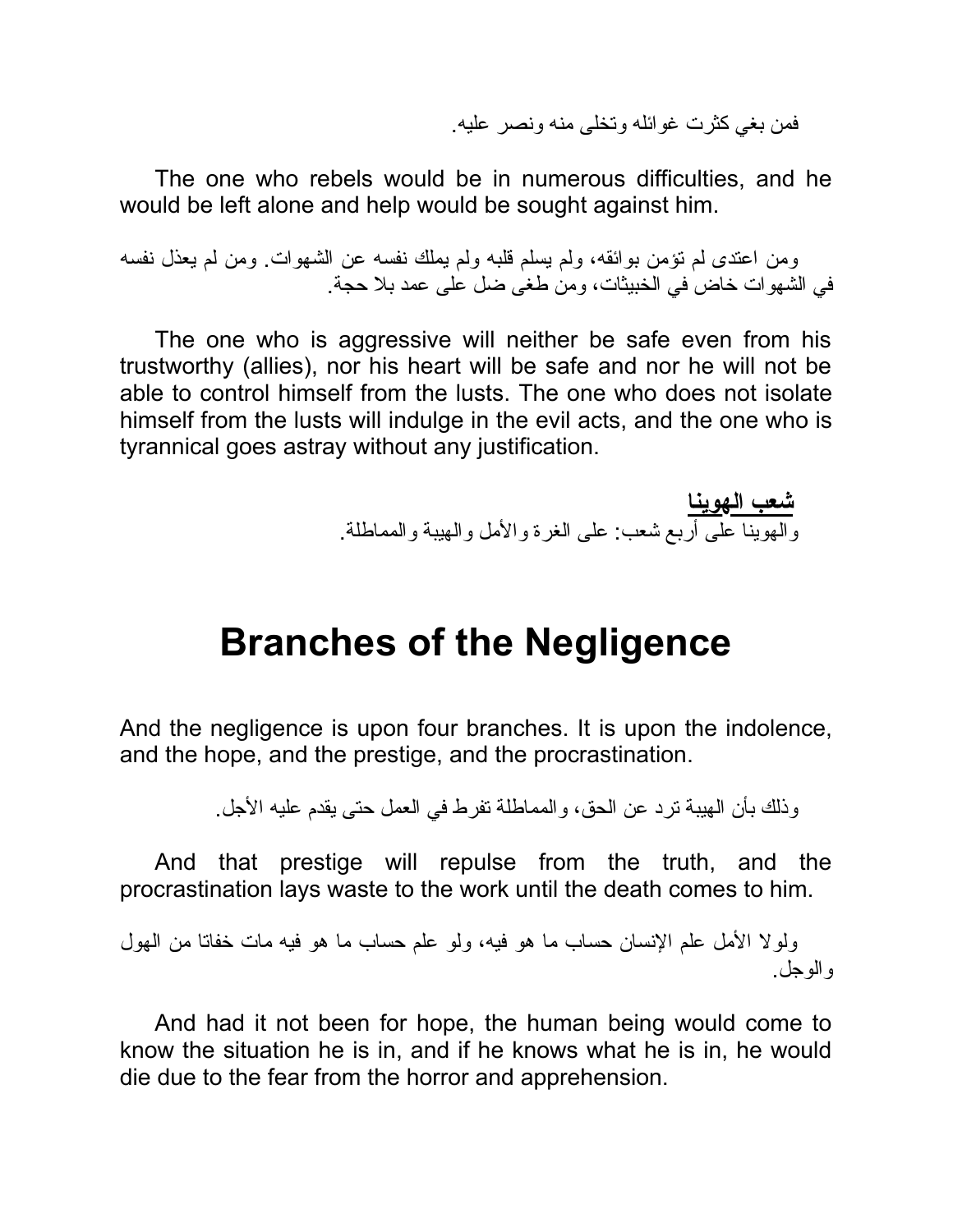فمن بغي كثرت غوائله وتخلى منه ونصر علیه.

The one who rebels would be in numerous difficulties, and he would be left alone and help would be sought against him.

ومن اعتدى لم تؤمن بوائقه، ولم یسلم قلبه ولم یملك نفسه عن الشهوات. ومن لم یعذل نفسه في الشهوات خاض في الخبیثات، ومن طغى ضل على عمد بلا حجة.

The one who is aggressive will neither be safe even from his trustworthy (allies), nor his heart will be safe and nor he will not be able to control himself from the lusts. The one who does not isolate himself from the lusts will indulge in the evil acts, and the one who is tyrannical goes astray without any justification.

> **شعب الهوینا** والهوینا على أربع شعب: على الغرة والأمل والهیبة والمماطلة.

#### **Branches of the Negligence**

And the negligence is upon four branches. It is upon the indolence, and the hope, and the prestige, and the procrastination.

وذلك بأن الهیبة ترد عن الحق، والمماطلة تفرط في العمل حتى یقدم علیه الأجل.

And that prestige will repulse from the truth, and the procrastination lays waste to the work until the death comes to him.

ولولا الأمل علم الإنسان حساب ما هو فیه، ولو علم حساب ما هو فیه مات خفاتا من الهول والوجل.

And had it not been for hope, the human being would come to know the situation he is in, and if he knows what he is in, he would die due to the fear from the horror and apprehension.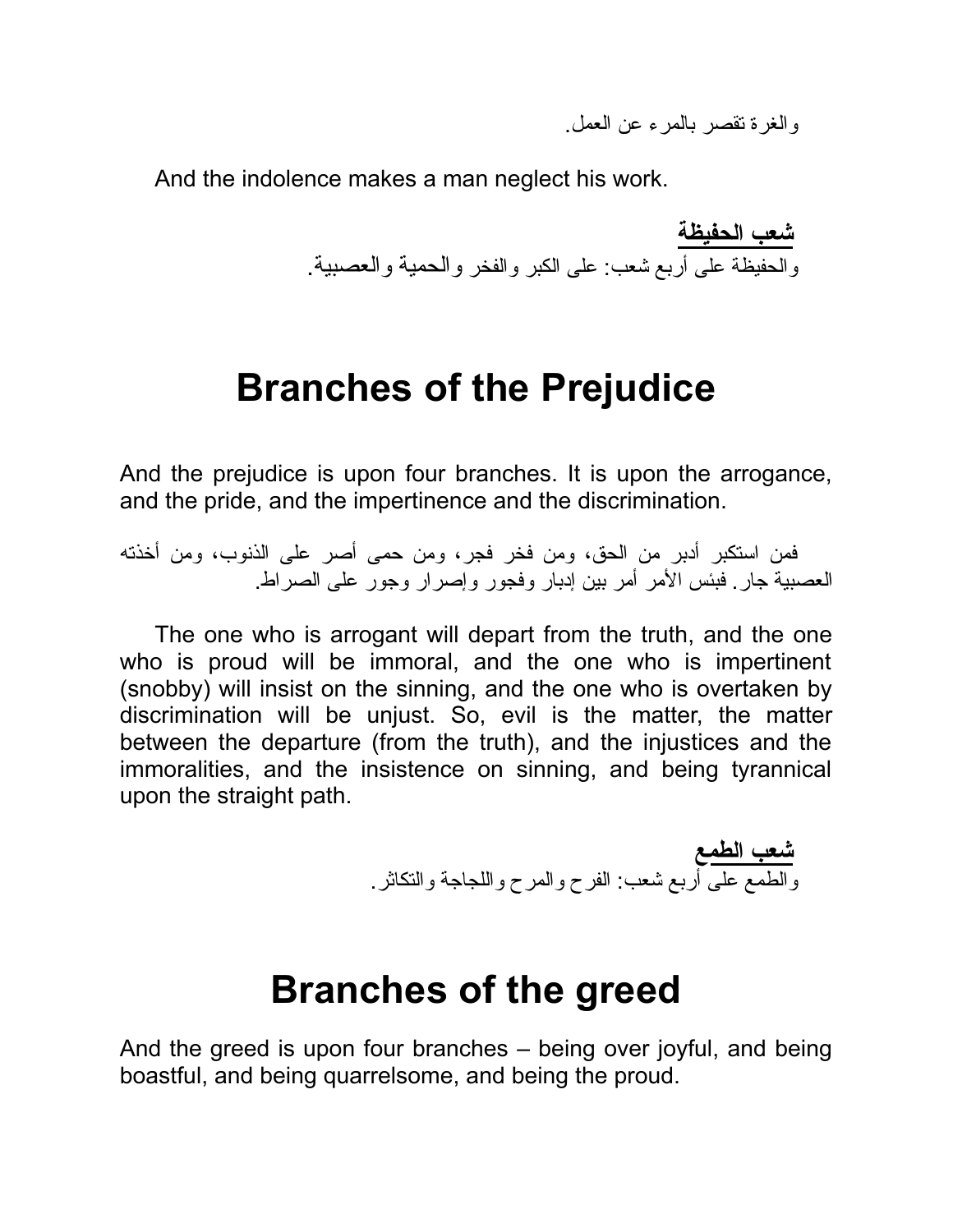والغرة تقصر بالمرء عن العمل.

And the indolence makes a man neglect his work.

**شعب الحفیظة** والحفیظة على أربع شعب: على الكبر والفخر والحمیة والعصبیة.

### **Branches of the Prejudice**

And the prejudice is upon four branches. It is upon the arrogance, and the pride, and the impertinence and the discrimination.

فمن استكبر أدبر من الحق، ومن فخر فجر، ومن حمى أصر على الذنوب، ومن أخذته العصبیة جار. فبئس الأمر أمر بین إدبار وفجور وإصرار وجور على الصراط.

The one who is arrogant will depart from the truth, and the one who is proud will be immoral, and the one who is impertinent (snobby) will insist on the sinning, and the one who is overtaken by discrimination will be unjust. So, evil is the matter, the matter between the departure (from the truth), and the injustices and the immoralities, and the insistence on sinning, and being tyrannical upon the straight path.

> **شعب الطمع** والطمع على أربع شعب: الفرح والمرح واللجاجة والتكاثر.

#### **Branches of the greed**

And the greed is upon four branches – being over joyful, and being boastful, and being quarrelsome, and being the proud.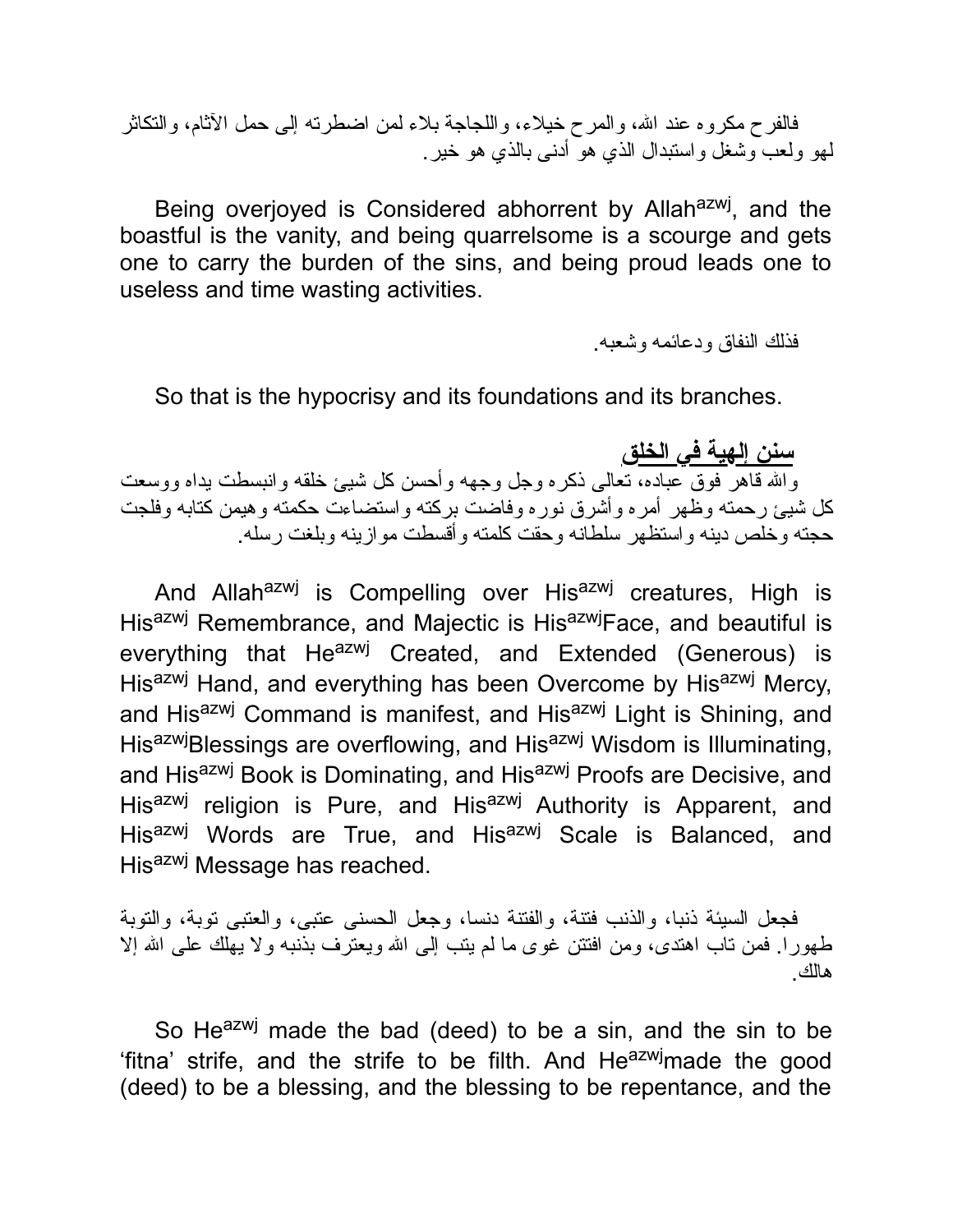فالفرح مكروه عند الله، والمرح خیلاء، واللجاجة بلاء لمن اضطرنه إلى حمل الأثام، والنكاثر لهو ولعب وشغل واستبدال الذي هو أدنى بالذي هو خیر.

Being overjoyed is Considered abhorrent by Allah<sup>azwj</sup>, and the boastful is the vanity, and being quarrelsome is a scourge and gets one to carry the burden of the sins, and being proud leads one to useless and time wasting activities.

فذلك النفاق ودعائمه وشعبه.

So that is the hypocrisy and its foundations and its branches.

**سنن إلهیة في الخلق**

واالله قاهر فوق عباده، تعالى ذكره وجل وجهه وأحسن كل شیئ خلقه وانبسطت یداه ووسعت كل شیئ رحمته وظهر أمره وأشرق نوره وفاضت بركته واستضاءت حكمته وهیمن كتابه وفلجت حجته وخلص دینه واستظهر سلطانه وحقت كلمته وأقسطت موازینه وبلغت رسله.

And Allah<sup>azwj</sup> is Compelling over His<sup>azwj</sup> creatures, High is His<sup>azwj</sup> Remembrance, and Majectic is His<sup>azwj</sup>Face, and beautiful is everything that He<sup>azwj</sup> Created, and Extended (Generous) is Hisazwj Hand, and everything has been Overcome by Hisazwj Mercy, and His<sup>azwj</sup> Command is manifest, and His<sup>azwj</sup> Light is Shining, and His<sup>azwj</sup>Blessings are overflowing, and His<sup>azwj</sup> Wisdom is Illuminating, and His<sup>azwj</sup> Book is Dominating, and His<sup>azwj</sup> Proofs are Decisive, and His<sup>azwj</sup> religion is Pure, and His<sup>azwj</sup> Authority is Apparent, and His<sup>azwj</sup> Words are True, and His<sup>azwj</sup> Scale is Balanced, and His<sup>azwj</sup> Message has reached.

فجعل السیئة ذنبا، والذنب فتنة، والفتنة دنسا، وجعل الحسنى عتبى، والعتبى توبة، والتوبة طهورا. فمن تاب اهتدى، ومن افتتن غوى ما لم يتب إلى الله ويعترف بذنبه ولا يهلك على الله إلا هالك.

So Heazwj made the bad (deed) to be a sin, and the sin to be 'fitna' strife, and the strife to be filth. And He<sup>azwj</sup>made the good (deed) to be a blessing, and the blessing to be repentance, and the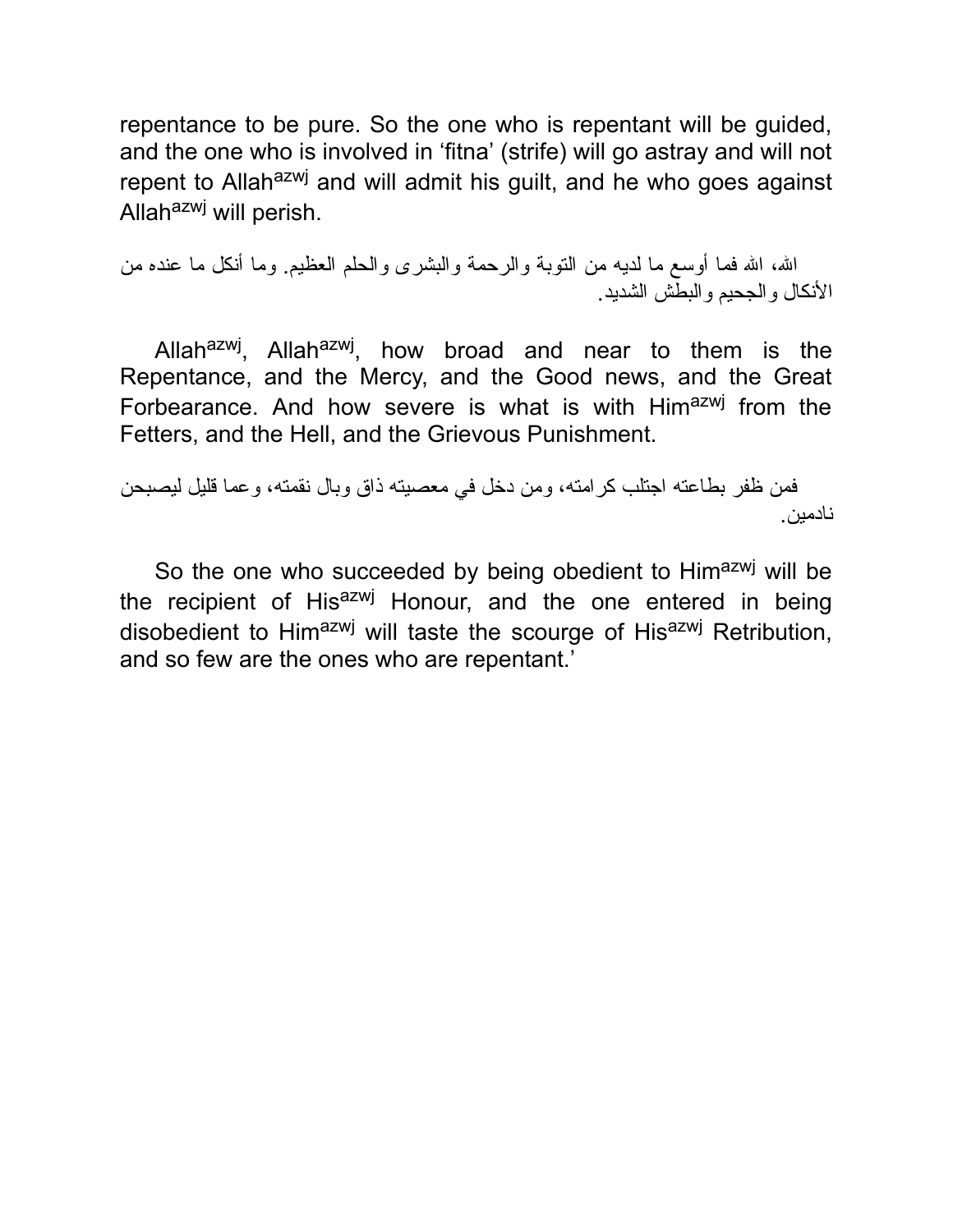repentance to be pure. So the one who is repentant will be guided, and the one who is involved in 'fitna' (strife) will go astray and will not repent to Allah<sup>azwj</sup> and will admit his quilt, and he who goes against Allah<sup>azwj</sup> will perish.

االله، االله فما أوسع ما لدیه من التوبة والرحمة والبشرى والحلم العظیم. وما أنكل ما عنده من الأنكال والجحیم والبطش الشدید.

Allah<sup>azwj</sup>, Allah<sup>azwj</sup>, how broad and near to them is the Repentance, and the Mercy, and the Good news, and the Great Forbearance. And how severe is what is with Himazwj from the Fetters, and the Hell, and the Grievous Punishment.

فمن ظفر بطاعته اجتلب كرامته، ومن دخل في معصیته ذاق وبال نقمته، وعما قلیل لیصبحن نادمین.

So the one who succeeded by being obedient to Himazwj will be the recipient of His<sup>azwj</sup> Honour, and the one entered in being disobedient to Him<sup>azwj</sup> will taste the scourge of His<sup>azwj</sup> Retribution, and so few are the ones who are repentant.'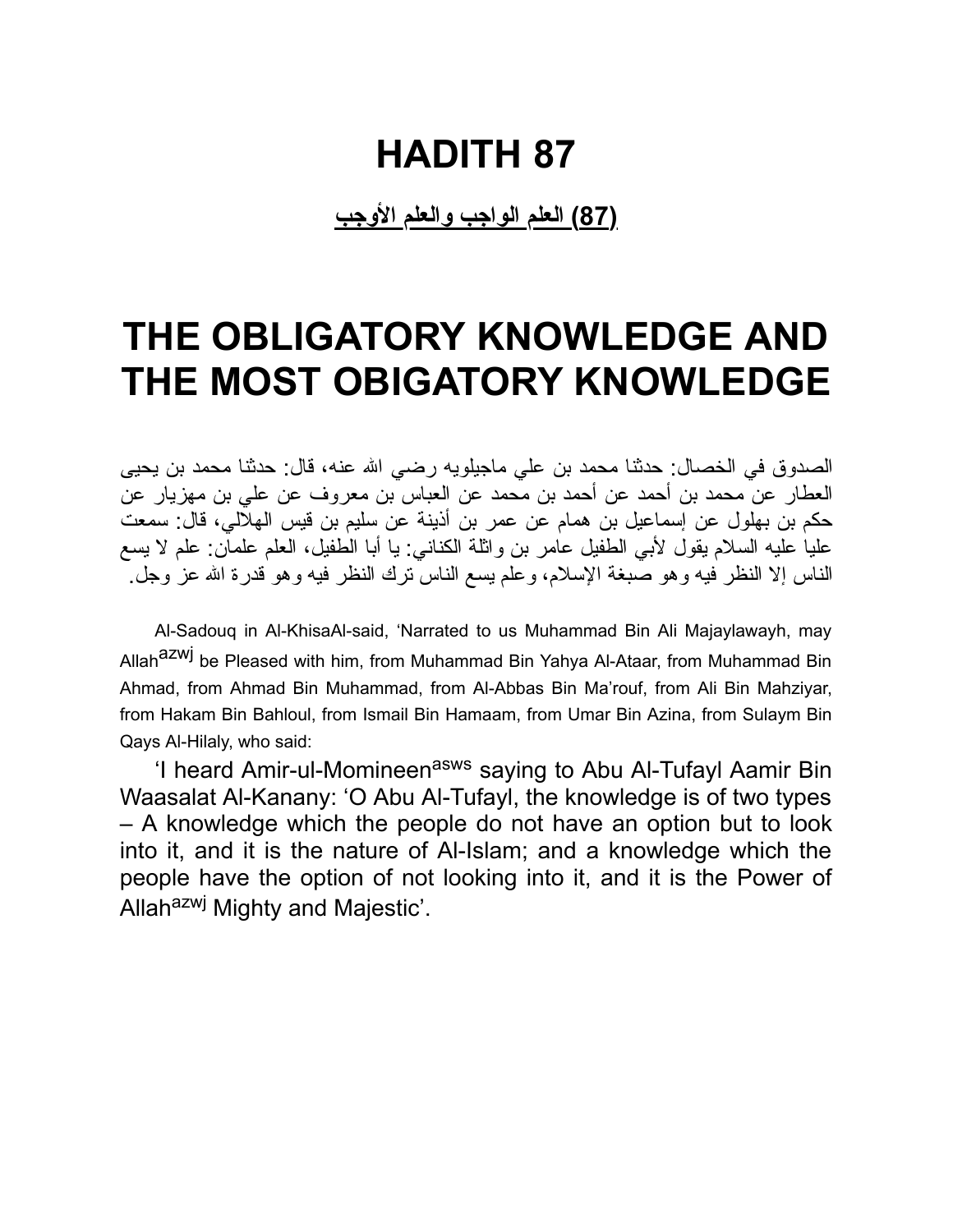**(87) العلم الواجب والعلم الأوجب**

### **THE OBLIGATORY KNOWLEDGE AND THE MOST OBIGATORY KNOWLEDGE**

الصدوق في الخصال: حدثنا محمد بن علي ماجیلویه رضي االله عنه، قال: حدثنا محمد بن یحیى العطار عن محمد بن أحمد عن أحمد بن محمد عن العباس بن معروف عن علي بن مهزیار عن حكم بن بهلول عن إسماعیل بن همام عن عمر بن أذینة عن سلیم بن قیس الهلالي، قال: سمعت علیا علیه السلام یقول لأبي الطفیل عامر بن واثلة الكناني: یا أبا الطفیل، العلم علمان: علم لا یسع الناس إلا النظر فیه وهو صبغة الإسلام، وعلم یسع الناس ترك النظر فیه وهو قدرة االله عز وجل.

Al-Sadouq in Al-KhisaAl-said, 'Narrated to us Muhammad Bin Ali Majaylawayh, may Allah<sup>azwj</sup> be Pleased with him, from Muhammad Bin Yahya Al-Ataar, from Muhammad Bin Ahmad, from Ahmad Bin Muhammad, from Al-Abbas Bin Ma'rouf, from Ali Bin Mahziyar, from Hakam Bin Bahloul, from Ismail Bin Hamaam, from Umar Bin Azina, from Sulaym Bin Qays Al-Hilaly, who said:

'I heard Amir-ul-Momineen<sup>asws</sup> saying to Abu Al-Tufayl Aamir Bin Waasalat Al-Kanany: 'O Abu Al-Tufayl, the knowledge is of two types – A knowledge which the people do not have an option but to look into it, and it is the nature of Al-Islam; and a knowledge which the people have the option of not looking into it, and it is the Power of Allah<sup>azwj</sup> Mighty and Majestic'.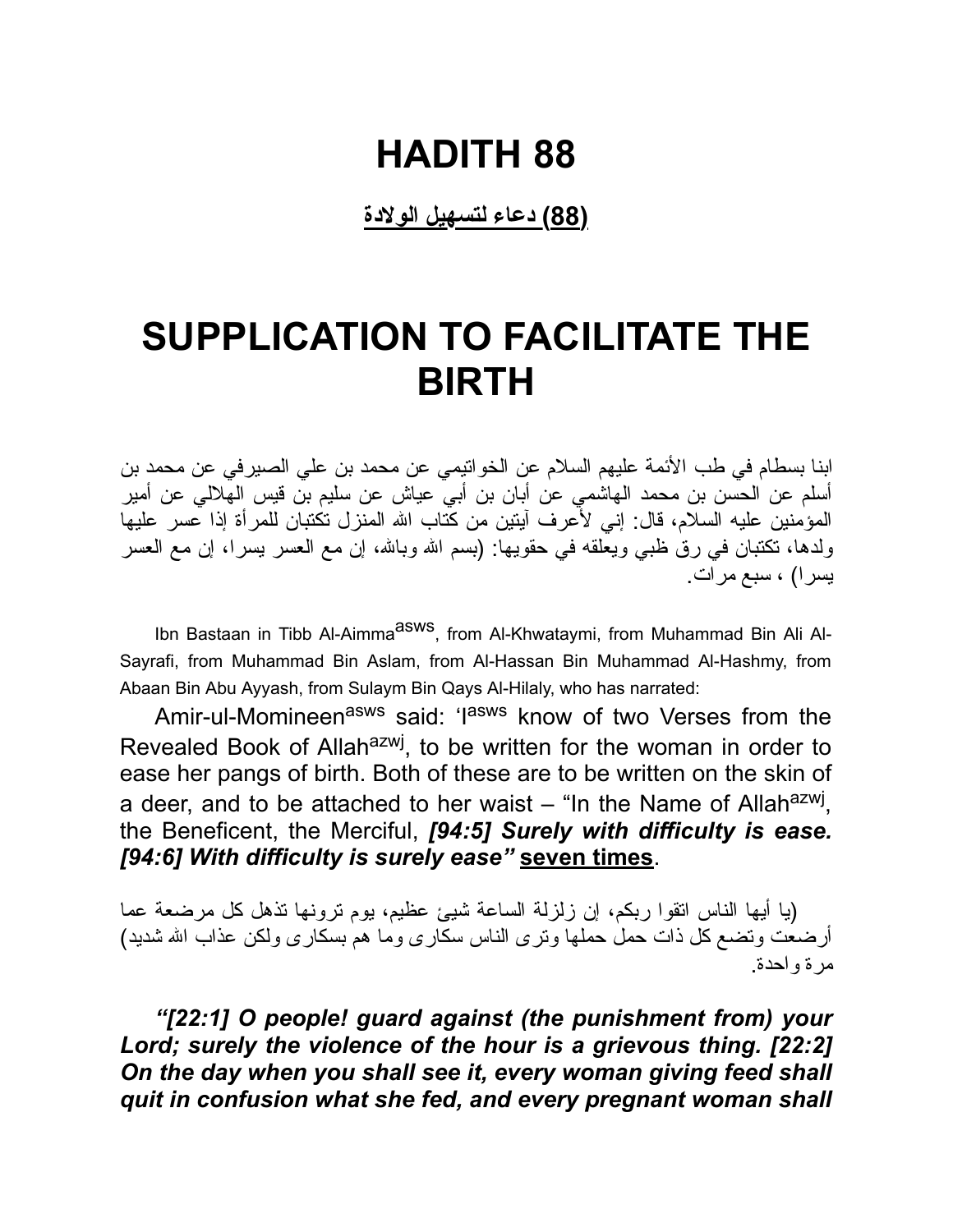**(88) دعاء لتسهیل الولادة**

### **SUPPLICATION TO FACILITATE THE BIRTH**

ابنا بسطام في طب الأئمة علیهم السلام عن الخواتیمي عن محمد بن علي الصیرفي عن محمد بن أسلم عن الحسن بن محمد الهاشمي عن أبان بن أبي عیاش عن سلیم بن قیس الهلالي عن أمیر المؤمنین علیه السلام، قال: إني لأعرف آیتین من كتاب االله المنزل تكتبان للمرأة إذا عسر علیها ولدها، تكتبان في رق ظبي ویعلقه في حقویها: (بسم االله وباالله، إن مع العسر یسرا، إن مع العسر یسرا) ، سبع مرات.

Ibn Bastaan in Tibb Al-Aimma<sup>asws</sup>, from Al-Khwataymi, from Muhammad Bin Ali Al-Sayrafi, from Muhammad Bin Aslam, from Al-Hassan Bin Muhammad Al-Hashmy, from Abaan Bin Abu Ayyash, from Sulaym Bin Qays Al-Hilaly, who has narrated:

Amir-ul-Momineen<sup>asws</sup> said: 'I<sup>asws</sup> know of two Verses from the Revealed Book of Allah<sup>azwj</sup>, to be written for the woman in order to ease her pangs of birth. Both of these are to be written on the skin of a deer, and to be attached to her waist – "In the Name of Allah<sup>azwj</sup>, the Beneficent, the Merciful, *[94:5] Surely with difficulty is ease. [94:6] With difficulty is surely ease"* **seven times**.

(یا أیها الناس اتقوا ربكم، إن زلزلة الساعة شیئ عظیم، یوم ترونها تذهل كل مرضعة عما أرضعت وتضع كل ذات حمل حملها وترى الناس سكارى وما هم بسكارى ولكن عذاب االله شدید) مرة واحدة.

*"[22:1] O people! guard against (the punishment from) your Lord; surely the violence of the hour is a grievous thing. [22:2] On the day when you shall see it, every woman giving feed shall quit in confusion what she fed, and every pregnant woman shall*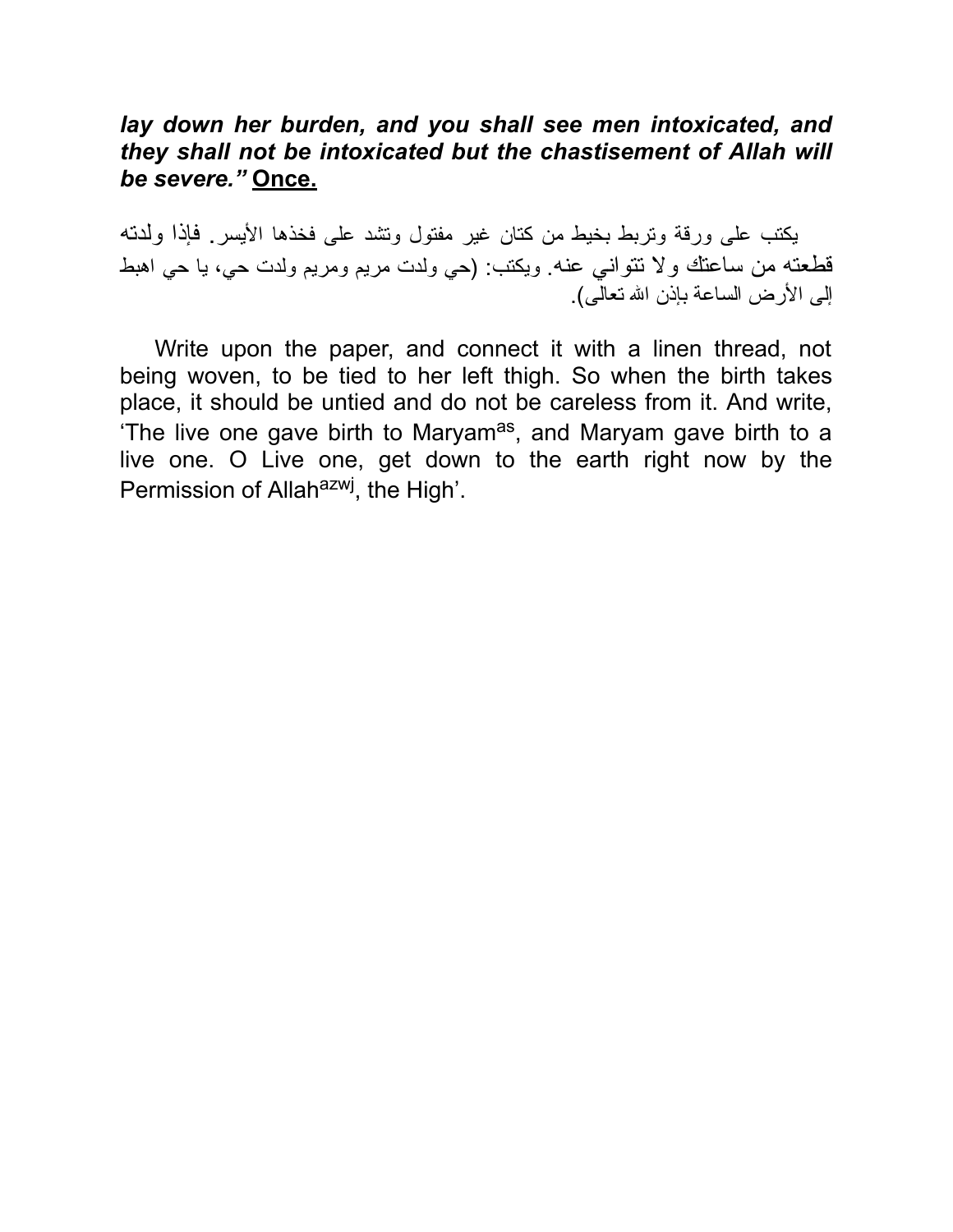#### *lay down her burden, and you shall see men intoxicated, and they shall not be intoxicated but the chastisement of Allah will be severe."* **Once.**

یكتب على ورقة وتربط بخیط من كتان غیر مفتول وتشد على فخذها الأیسر. فإذا ولدته قطعته من ساعتك ولا تتواني عنه. ویكتب: (حي ولدت مریم ومریم ولدت حي، یا حي اهبط إلى الأرض الساعة بإذن االله تعالى).

Write upon the paper, and connect it with a linen thread, not being woven, to be tied to her left thigh. So when the birth takes place, it should be untied and do not be careless from it. And write, 'The live one gave birth to Maryam<sup>as</sup>, and Maryam gave birth to a live one. O Live one, get down to the earth right now by the Permission of Allah<sup>azwj</sup>, the High'.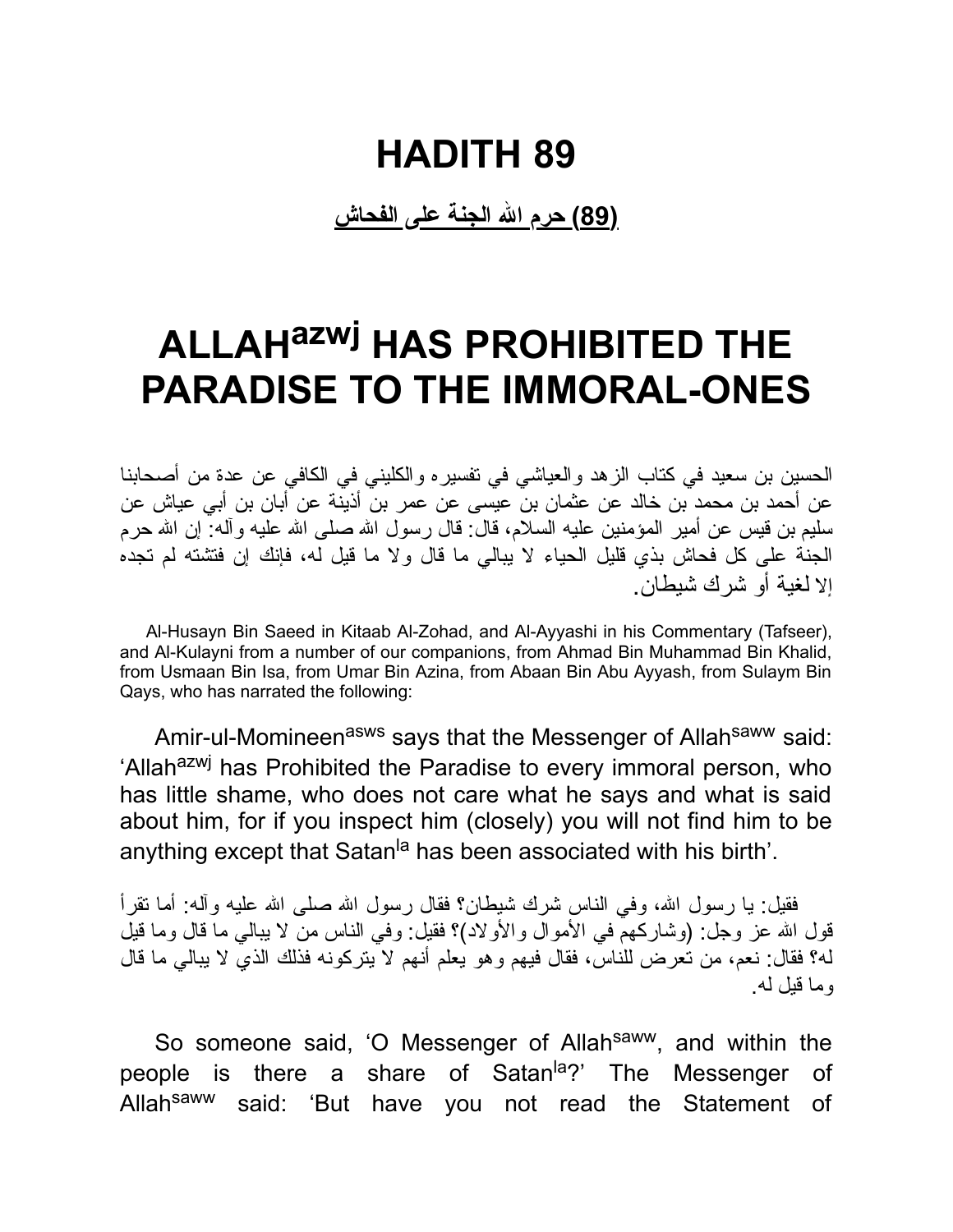**(89) حرم االله الجنة على الفحاش**

### **ALLAHazwj HAS PROHIBITED THE PARADISE TO THE IMMORAL-ONES**

الحسین بن سعید في كتاب الزهد والعیاشي في تفسیره والكلیني في الكافي عن عدة من أصحابنا عن أحمد بن محمد بن خالد عن عثمان بن عیسى عن عمر بن أذینة عن أبان بن أبي عیاش عن سلیم بن قیس عن أمیر المؤمنین علیه السلام، قال: قال رسول االله صلى االله علیه وآله: إن االله حرم الجنة على كل فحاش بذي قلیل الحیاء لا یبالي ما قال ولا ما قیل له، فإنك إن فتشته لم تجده إلا لغیة أو شرك شیطان.

Al-Husayn Bin Saeed in Kitaab Al-Zohad, and Al-Ayyashi in his Commentary (Tafseer), and Al-Kulayni from a number of our companions, from Ahmad Bin Muhammad Bin Khalid, from Usmaan Bin Isa, from Umar Bin Azina, from Abaan Bin Abu Ayyash, from Sulaym Bin Qays, who has narrated the following:

Amir-ul-Momineen<sup>asws</sup> says that the Messenger of Allah<sup>saww</sup> said: 'Allah<sup>azwj</sup> has Prohibited the Paradise to every immoral person, who has little shame, who does not care what he says and what is said about him, for if you inspect him (closely) you will not find him to be anything except that Satan<sup>la</sup> has been associated with his birth'.

فقیل: یا رسول الله، وفي الناس شرك شیطان؟ فقال رسول الله صلى الله علیه وآله: أما تقرأ قول االله عز وجل: (وشاركهم في الأموال والأولاد)؟ فقیل: وفي الناس من لا یبالي ما قال وما قیل له؟ فقال: نعم، من تعرض للناس، فقال فیهم وهو یعلم أنهم لا یتركونه فذلك الذي لا یبالي ما قال وما قیل له.

So someone said, 'O Messenger of Allah<sup>saww</sup>, and within the people is there a share of Satan<sup>la</sup>?' The Messenger of Allah<sup>saww</sup> said: 'But have you not read the Statement of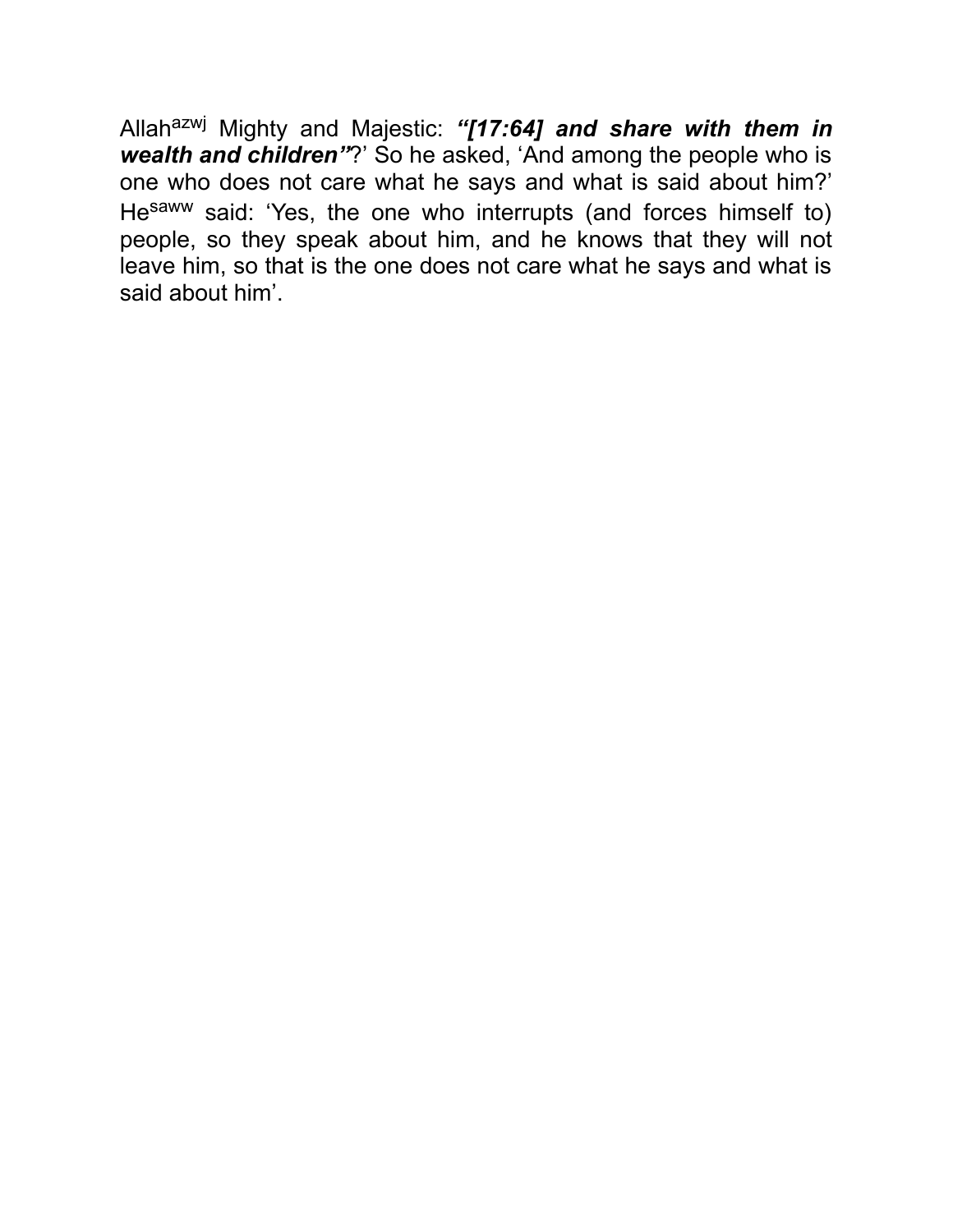Allahazwj Mighty and Majestic: *"[17:64] and share with them in wealth and children"*?' So he asked, 'And among the people who is one who does not care what he says and what is said about him?' Hesaww said: 'Yes, the one who interrupts (and forces himself to) people, so they speak about him, and he knows that they will not leave him, so that is the one does not care what he says and what is said about him'.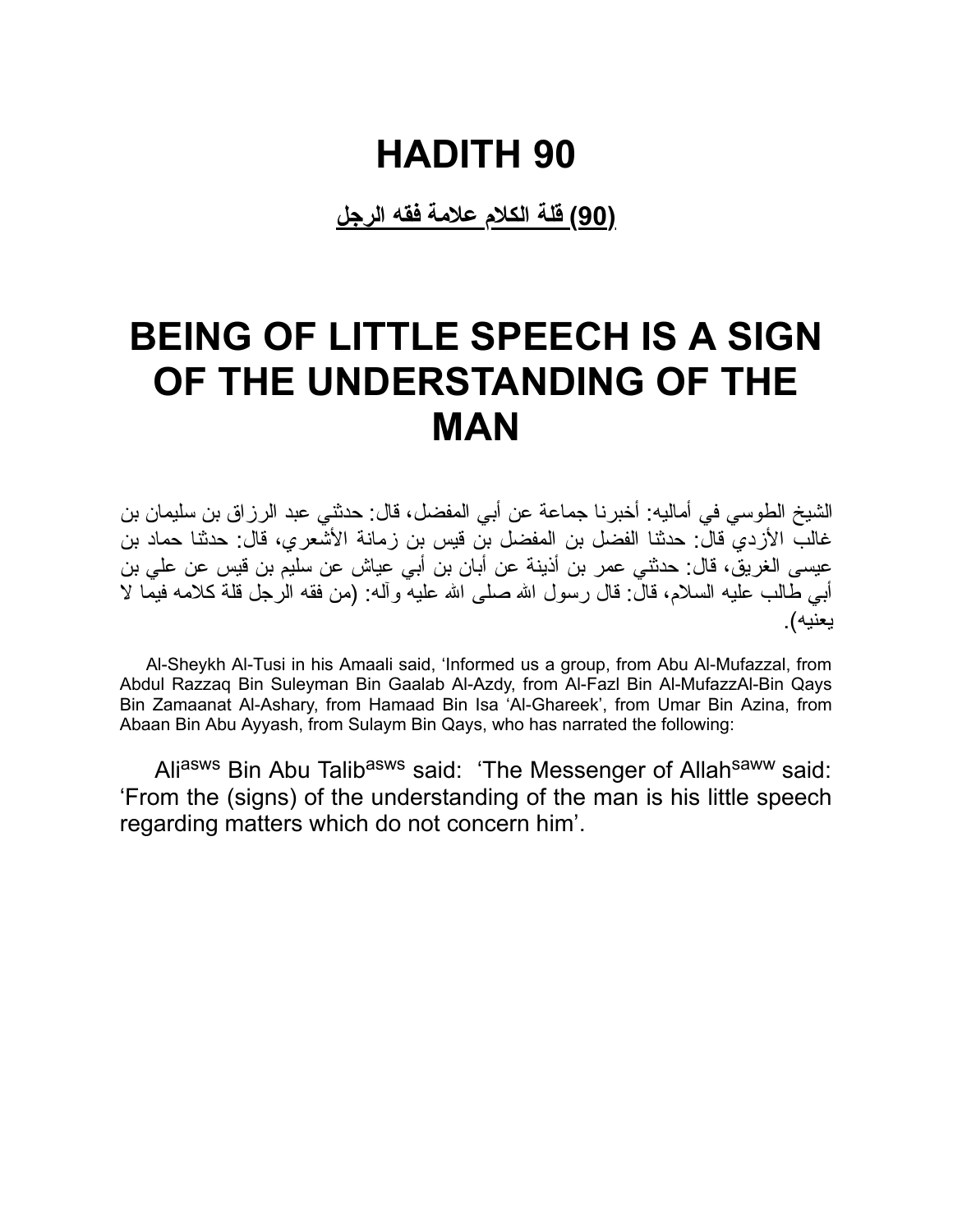**(90) قلة الكلام علامة فقه الرجل**

### **BEING OF LITTLE SPEECH IS A SIGN OF THE UNDERSTANDING OF THE MAN**

الشیخ الطوسي في أمالیه: أخبرنا جماعة عن أبي المفضل، قال: حدثني عبد الرزاق بن سلیمان بن غالب الأزدي قال: حدثنا الفضل بن المفضل بن قیس بن زمانة الأشعري، قال: حدثنا حماد بن عیسى الغریق، قال: حدثني عمر بن أذینة عن أبان بن أبي عیاش عن سلیم بن قیس عن علي بن أبي طالب علیه السلام، قال: قال رسول االله صلى االله علیه وآله: (من فقه الرجل قلة كلامه فیما لا یعنیه).

Al-Sheykh Al-Tusi in his Amaali said, 'Informed us a group, from Abu Al-Mufazzal, from Abdul Razzaq Bin Suleyman Bin Gaalab Al-Azdy, from Al-Fazl Bin Al-MufazzAl-Bin Qays Bin Zamaanat Al-Ashary, from Hamaad Bin Isa 'Al-Ghareek', from Umar Bin Azina, from Abaan Bin Abu Ayyash, from Sulaym Bin Qays, who has narrated the following:

Aliasws Bin Abu Talibasws said: 'The Messenger of Allahsaww said: 'From the (signs) of the understanding of the man is his little speech regarding matters which do not concern him'.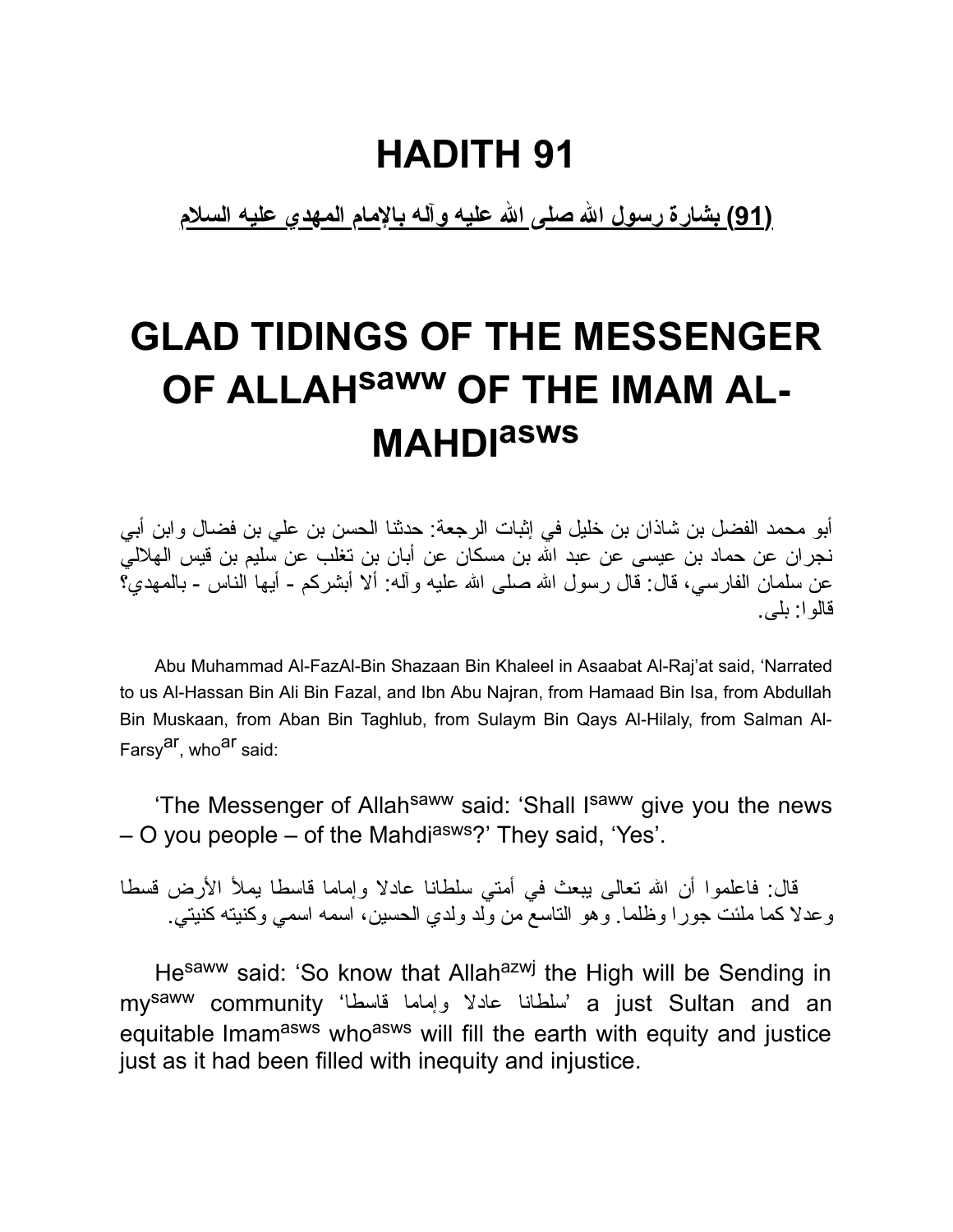**(91) بشارة رسول االله صلى االله علیه وآله بالإمام المهدي علیه السلام**

# **GLAD TIDINGS OF THE MESSENGER OF ALLAHsaww OF THE IMAM AL-MAHDI asws**

أبو محمد الفضل بن شاذان بن خلیل في إثبات الرجعة: حدثنا الحسن بن علي بن فضال وابن أبي نجران عن حماد بن عیسى عن عبد االله بن مسكان عن أبان بن تغلب عن سلیم بن قیس الهلالي عن سلمان الفارسي، قال: قال رسول الله صلى الله علیه وآله: ألا أبشركم - أیها الناس - بالمهدي؟ قالوا: بلى.

Abu Muhammad Al-FazAl-Bin Shazaan Bin Khaleel in Asaabat Al-Raj'at said, 'Narrated to us Al-Hassan Bin Ali Bin Fazal, and Ibn Abu Najran, from Hamaad Bin Isa, from Abdullah Bin Muskaan, from Aban Bin Taghlub, from Sulaym Bin Qays Al-Hilaly, from Salman Al-Farsv<sup>ar</sup>, who<sup>ar</sup> said:

'The Messenger of Allah<sup>saww</sup> said: 'Shall I<sup>saww</sup> give you the news  $-$  O you people  $-$  of the Mahdi<sup>asws</sup>?' They said, 'Yes'.

قال: فاعلموا أن الله تعالى يبعث في أمتي سلطانا عادلا وإماما قاسطا يملأ الأرض قسطا وعدلا كما ملئت جورا وظلما. وهو التاسع من ولد ولدي الحسین، اسمه اسمي وكنیته كنیتي.

Hesaww said: 'So know that Allahazwj the High will be Sending in my<sup>saww</sup> community 'سلطانا عادلا وإماما قاسطا "a just Sultan and an equitable Imam<sup>asws</sup> who<sup>asws</sup> will fill the earth with equity and justice just as it had been filled with inequity and injustice.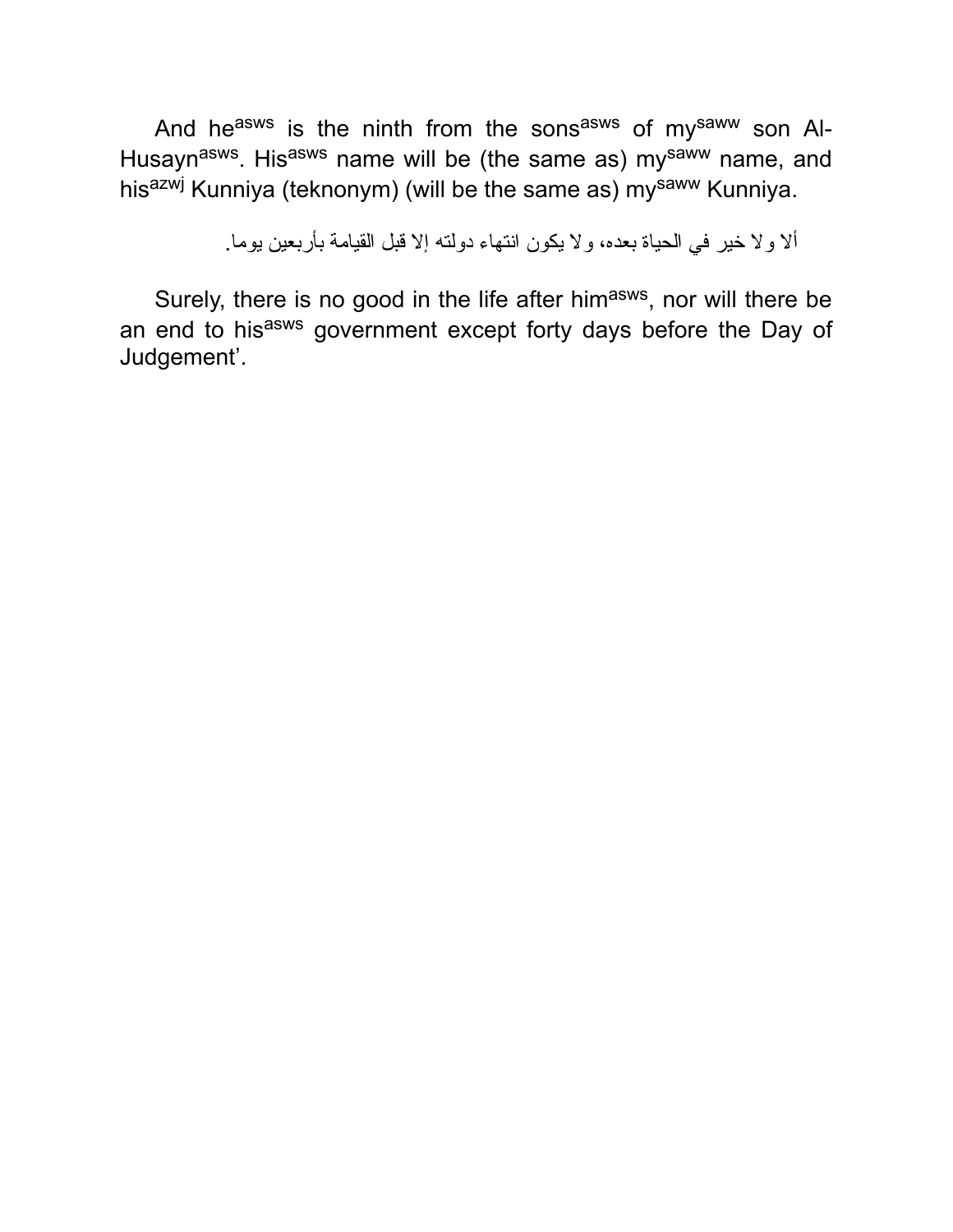And he<sup>asws</sup> is the ninth from the sons<sup>asws</sup> of my<sup>saww</sup> son Al-Husayn<sup>asws</sup>. His<sup>asws</sup> name will be (the same as) my<sup>saww</sup> name, and his<sup>azwj</sup> Kunniya (teknonym) (will be the same as) my<sup>saww</sup> Kunniya.

ألا ولا خیر في الحیاة بعده، ولا یكون انتهاء دولته إلا قبل القیامة بأربعین یوما.

Surely, there is no good in the life after him<sup>asws</sup>, nor will there be an end to his<sup>asws</sup> government except forty days before the Day of Judgement'.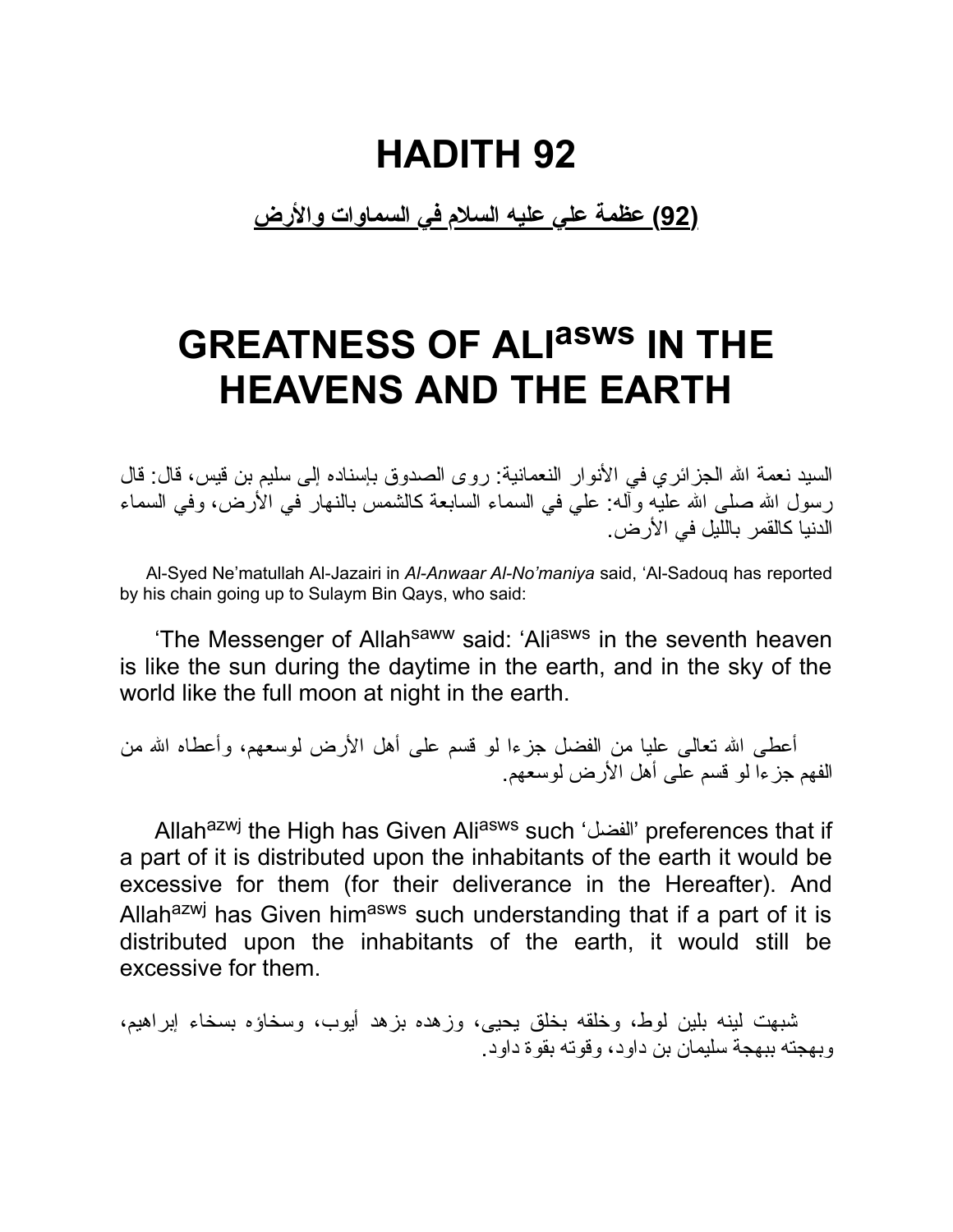**(92) عظمة علي علیه السلام في السماوات والأرض**

# **GREATNESS OF ALI asws IN THE HEAVENS AND THE EARTH**

السید نعمة االله الجزائري في الأنوار النعمانیة: روى الصدوق بإسناده إلى سلیم بن قیس، قال: قال رسول الله صلى الله عليه وأله: على في السماء السابعة كالشمس بالنهار في الأرض، وفي السماء الدنیا كالقمر باللیل في الأرض.

Al-Syed Ne'matullah Al-Jazairi in *Al-Anwaar Al-No'maniya* said, 'Al-Sadouq has reported by his chain going up to Sulaym Bin Qays, who said:

'The Messenger of Allah<sup>saww</sup> said: 'Ali<sup>asws</sup> in the seventh heaven is like the sun during the daytime in the earth, and in the sky of the world like the full moon at night in the earth.

أعطى الله تعالى عليا من الفضل جزءا لو قسم على أهل الأرض لوسعهم، وأعطاه الله من الفهم جزءا لو قسم على أهل الأرض لوسعهم.

Allahazwj the High has Given Aliasws such 'الفضل 'preferences that if a part of it is distributed upon the inhabitants of the earth it would be excessive for them (for their deliverance in the Hereafter). And Allah<sup>azwj</sup> has Given him<sup>asws</sup> such understanding that if a part of it is distributed upon the inhabitants of the earth, it would still be excessive for them.

شبهت لینه بلین لوط، وخلقه بخلق یحیى، وزهده بزهد أیوب، وسخاؤه بسخاء إبراهیم، وبهجته ببهجة سلیمان بن داود، وقوته بقوة داود.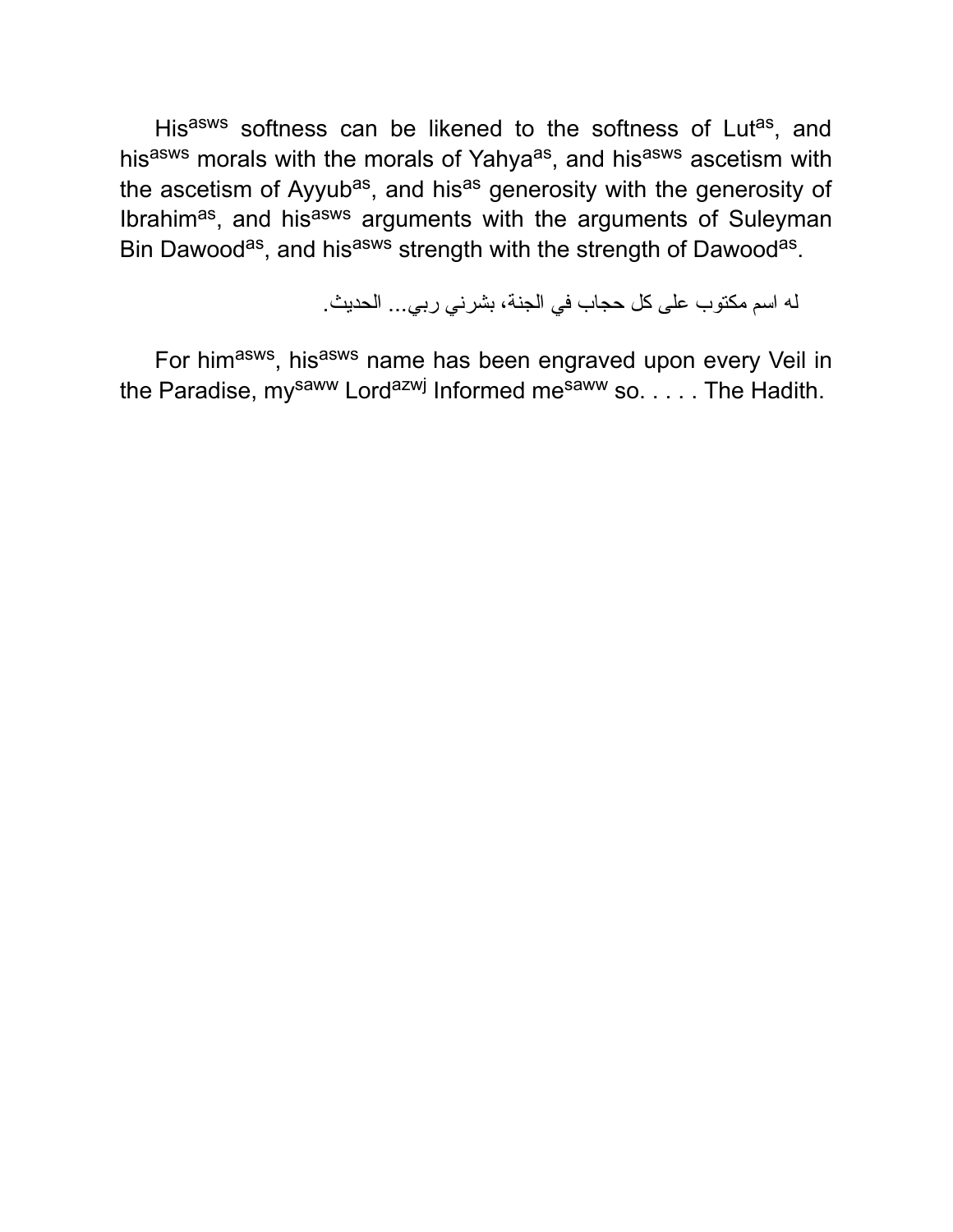His<sup>asws</sup> softness can be likened to the softness of Lut<sup>as</sup>, and his<sup>asws</sup> morals with the morals of Yahya<sup>as</sup>, and his<sup>asws</sup> ascetism with the ascetism of Ayyub<sup>as</sup>, and his<sup>as</sup> generosity with the generosity of Ibrahim<sup>as</sup>, and his<sup>asws</sup> arguments with the arguments of Suleyman Bin Dawood<sup>as</sup>, and his<sup>asws</sup> strength with the strength of Dawood<sup>as</sup>.

له اسم مكتوب على كل حجاب في الجنة، بشرني ربي... الحدیث.

For him<sup>asws</sup>, his<sup>asws</sup> name has been engraved upon every Veil in the Paradise, my<sup>saww</sup> Lord<sup>azwj</sup> Informed me<sup>saww</sup> so. . . . . The Hadith.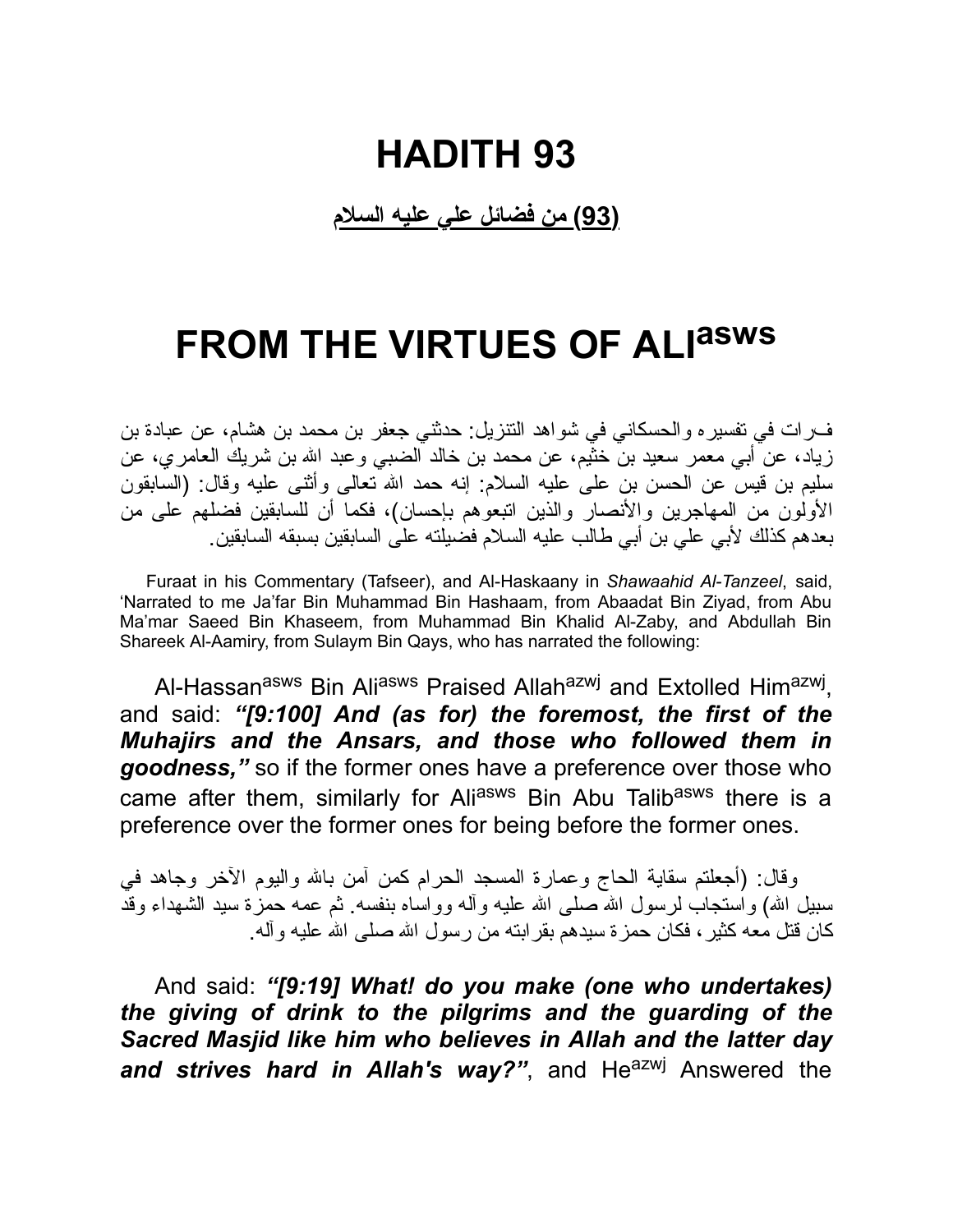#### **(93) من فضائل علي علیه السلام**

# **FROM THE VIRTUES OF ALI asws**

فرات في تفسیره والحسكاني في شواهد التنزیل: حدثني جعفر بن محمد بن هشام، عن عبادة بن زیاد، عن أبي معمر سعید بن خثیم، عن محمد بن خالد الضبي وعبد االله بن شریك العامري، عن سلیم بن قیس عن الحسن بن على علیه السلام: إنه حمد االله تعالى وأثنى علیه وقال: (السابقون الأولون من المهاجرین والأنصار والذین اتبعوهم بإحسان)، فكما أن للسابقین فضلهم على من بعدهم كذلك لأبي علي بن أبي طالب علیه السلام فضیلته على السابقین بسبقه السابقین.

Furaat in his Commentary (Tafseer), and Al-Haskaany in *Shawaahid Al-Tanzeel*, said, 'Narrated to me Ja'far Bin Muhammad Bin Hashaam, from Abaadat Bin Ziyad, from Abu Ma'mar Saeed Bin Khaseem, from Muhammad Bin Khalid Al-Zaby, and Abdullah Bin Shareek Al-Aamiry, from Sulaym Bin Qays, who has narrated the following:

Al-Hassan<sup>asws</sup> Bin Ali<sup>asws</sup> Praised Allah<sup>azwj</sup> and Extolled Him<sup>azwj</sup>, and said: *"[9:100] And (as for) the foremost, the first of the Muhajirs and the Ansars, and those who followed them in goodness,"* so if the former ones have a preference over those who came after them, similarly for Aliasws Bin Abu Talibasws there is a preference over the former ones for being before the former ones.

وقال: (أجعلتم سقایة الحاج وعمارة المسجد الحرام كمن آمن باالله والیوم الآخر وجاهد في سبیل الله) واستجاب لرسول الله صلـی الله علیه وآلـه وواساه بنفسه ً ثم عمه حمزة سید الشهداء وقد كان قتل معه كثیر، فكان حمزة سیدهم بقرابته من رسول االله صلى االله علیه وآله.

And said: *"[9:19] What! do you make (one who undertakes) the giving of drink to the pilgrims and the guarding of the Sacred Masjid like him who believes in Allah and the latter day* and strives hard in Allah's way?", and He<sup>azwj</sup> Answered the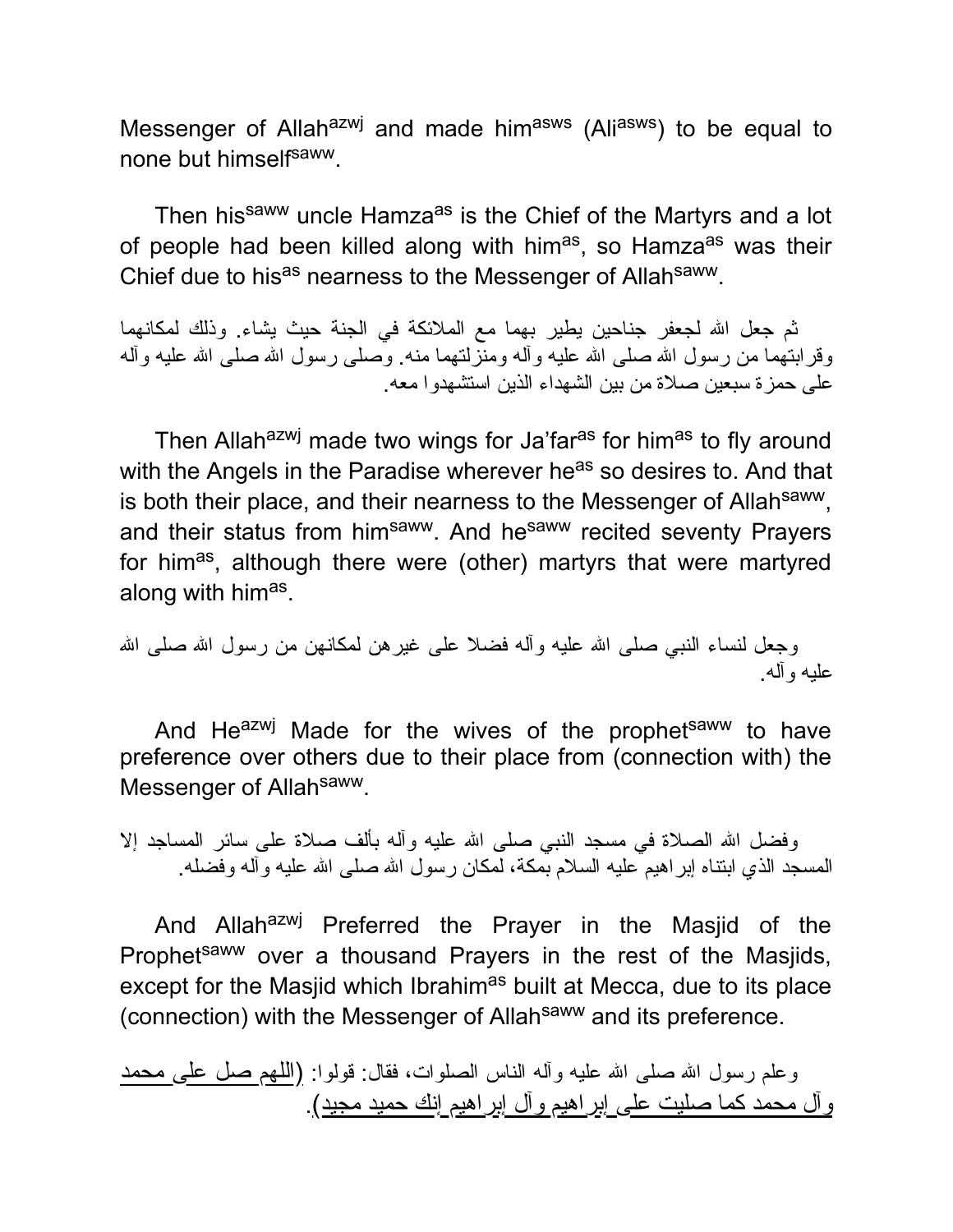Messenger of Allah<sup>azwj</sup> and made him<sup>asws</sup> (Ali<sup>asws</sup>) to be equal to none but himselfsaww.

Then his<sup>saww</sup> uncle Hamza<sup>as</sup> is the Chief of the Martyrs and a lot of people had been killed along with him<sup>as</sup>, so Hamza<sup>as</sup> was their Chief due to his<sup>as</sup> nearness to the Messenger of Allah<sup>saww</sup>.

ثم جعل االله لجعفر جناحین یطیر بهما مع الملائكة في الجنة حیث یشاء. وذلك لمكانهما وقرابتهما من رسول الله صلى الله علیه وأله ومنزلتهما منه. وصلى رسول الله صلى الله علیه وأله على حمزة سبعین صلاة من بین الشهداء الذین استشهدوا معه.

Then Allah<sup>azwj</sup> made two wings for Ja'far<sup>as</sup> for him<sup>as</sup> to fly around with the Angels in the Paradise wherever he<sup>as</sup> so desires to. And that is both their place, and their nearness to the Messenger of Allah<sup>saww</sup>, and their status from him<sup>saww</sup>. And he<sup>saww</sup> recited seventy Prayers for him<sup>as</sup>, although there were (other) martyrs that were martyred along with him<sup>as</sup>.

```
وجعل لنساء النبي صلى الله علیه وأله فضلا على غیرهن لمكانهن من رسول الله صلى الله
                                                                 علیه وآله.
```
And He<sup>azwj</sup> Made for the wives of the prophet<sup>saww</sup> to have preference over others due to their place from (connection with) the Messenger of Allah<sup>saww</sup>.

وفضل الله الصلاة في مسجد النبي صلى الله عليه وآله بألف صلاة على سائر المساجد إلا المسجد الذي ابنتاه إبراهیم علیه السلام بمكة، لمكان رسول الله صلى الله علیه وآله وفصله.

And Allah<sup>azwj</sup> Preferred the Prayer in the Masjid of the Prophet<sup>saww</sup> over a thousand Prayers in the rest of the Masjids, except for the Masjid which Ibrahim<sup>as</sup> built at Mecca, due to its place (connection) with the Messenger of Allah<sup>saww</sup> and its preference.

وعلم رسول الله صلى الله علیه وأله الناس الصلوات، فقال: قولوا: <u>(اللهم صل على محمد</u> وآل محمد كما صلیت على إبراهیم وآل إبراهیم إنك حمید مجید).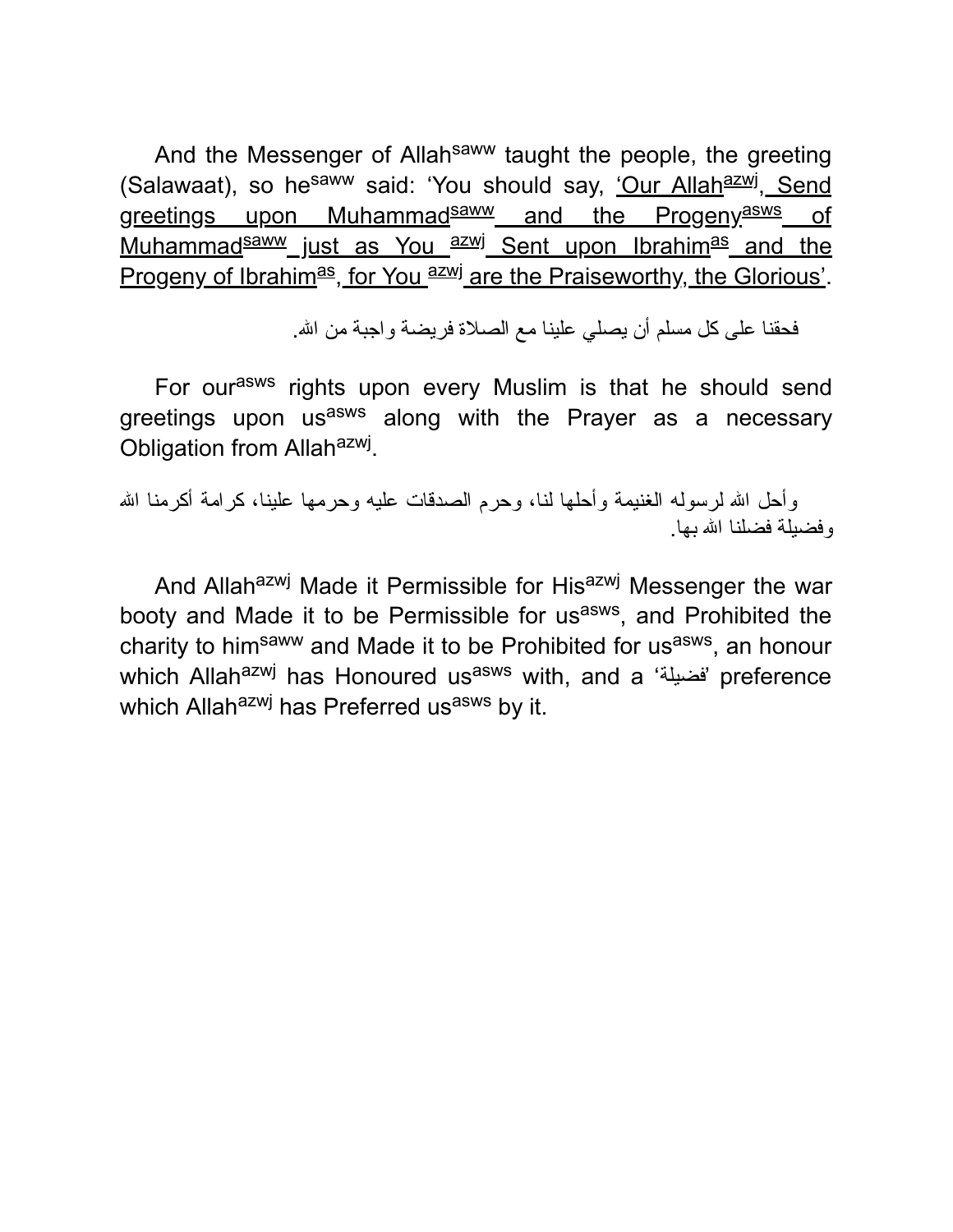And the Messenger of Allah<sup>saww</sup> taught the people, the greeting (Salawaat), so he<sup>saww</sup> said: 'You should say, <u>'Our Allah<sup>azwj</sup>, Send</u> greetings upon Muhammad<sup>saww</sup> and the Progeny<sup>asws</sup> of Muhammad<sup>saww</sup> just as You azw Sent upon Ibrahimas and the Progeny of Ibrahim<sup>as</sup>, for You azw<sup>j</sup> are the Praiseworthy, the Glorious'.

فحقنا على كل مسلم أن یصلي علینا مع الصلاة فریضة واجبة من االله.

For our<sup>asws</sup> rights upon every Muslim is that he should send greetings upon us<sup>asws</sup> along with the Prayer as a necessary Obligation from Allah<sup>azwj</sup>.

وأحل الله لرسوله الغنیمة وأحلها لنا، وحرم الصدقات علیه وحرمها علینا، كرامة أكرمنا الله وفضیلة فضلنا االله بها.

And Allahazwj Made it Permissible for Hisazwj Messenger the war booty and Made it to be Permissible for us<sup>asws</sup>, and Prohibited the charity to him<sup>saww</sup> and Made it to be Prohibited for us<sup>asws</sup>, an honour which Allah<sup>azwj</sup> has Honoured us<sup>asws</sup> with, and a 'فضيلة 'preference which Allah<sup>azwj</sup> has Preferred us<sup>asws</sup> by it.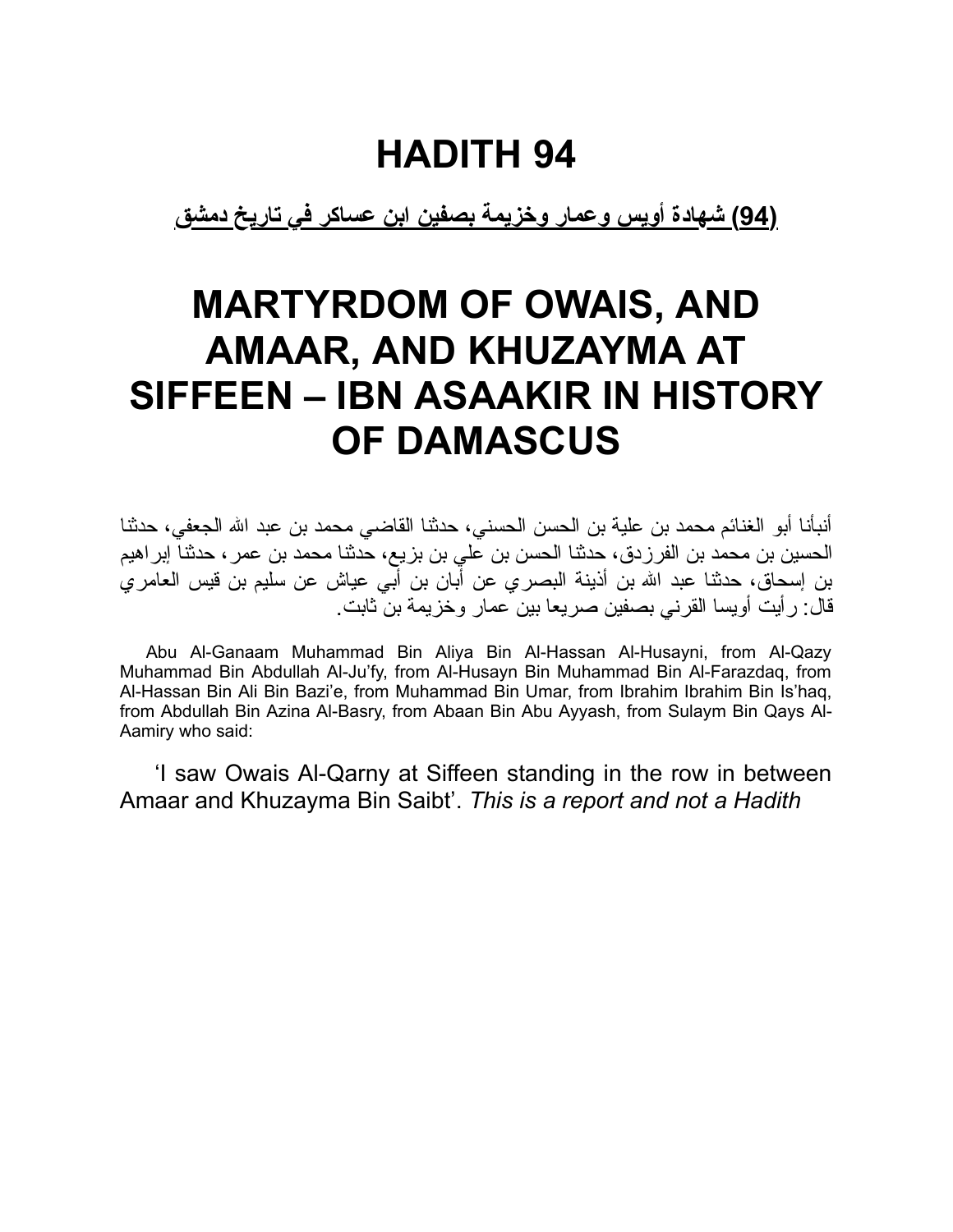**(94) شهادة أویس وعمار وخزیمة بصفین ابن عساكر في تاریخ دمشق**

### **MARTYRDOM OF OWAIS, AND AMAAR, AND KHUZAYMA AT SIFFEEN – IBN ASAAKIR IN HISTORY OF DAMASCUS**

أنبأنا أبو الغنائم محمد بن علیة بن الحسن الحسني، حدثنا القاضي محمد بن عبد االله الجعفي، حدثنا الحسین بن محمد بن الفرزدق، حدثنا الحسن بن علي بن بزیع، حدثنا محمد بن عمر، حدثنا إبراهیم بن إسحاق، حدثنا عبد االله بن أذینة البصري عن أبان بن أبي عیاش عن سلیم بن قیس العامري قال: رأیت أویسا القرني بصفین صریعا بین عمار وخزیمة بن ثابت.

Abu Al-Ganaam Muhammad Bin Aliya Bin Al-Hassan Al-Husayni, from Al-Qazy Muhammad Bin Abdullah Al-Ju'fy, from Al-Husayn Bin Muhammad Bin Al-Farazdaq, from Al-Hassan Bin Ali Bin Bazi'e, from Muhammad Bin Umar, from Ibrahim Ibrahim Bin Is'haq, from Abdullah Bin Azina Al-Basry, from Abaan Bin Abu Ayyash, from Sulaym Bin Qays Al-Aamiry who said:

'I saw Owais Al-Qarny at Siffeen standing in the row in between Amaar and Khuzayma Bin Saibt'. *This is a report and not a Hadith*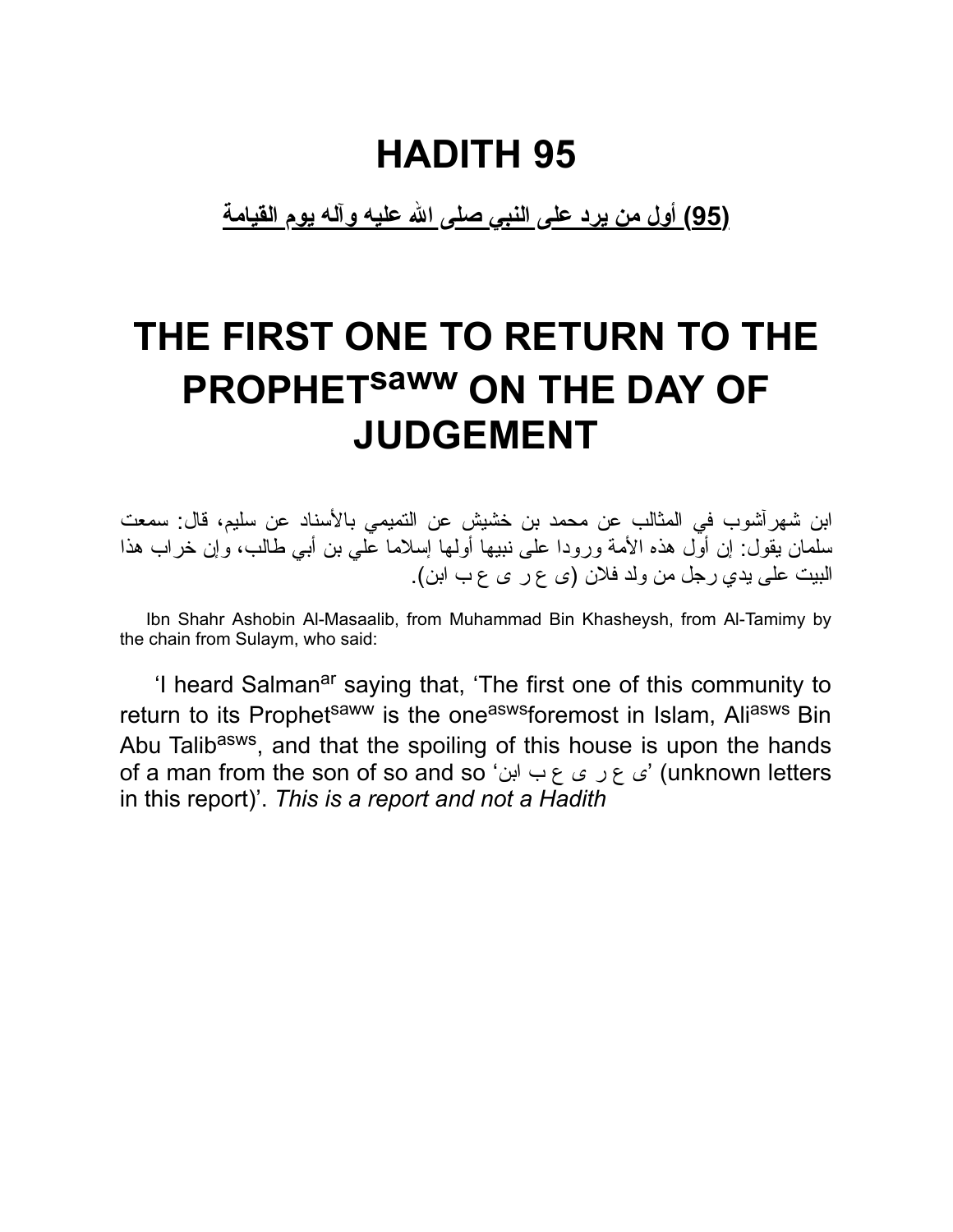**(95) أول من یرد على النبي صلى االله علیه وآله یوم القیامة**

## **THE FIRST ONE TO RETURN TO THE PROPHET saww ON THE DAY OF JUDGEMENT**

ابن شهرآشوب في المثالب عن محمد بن خشیش عن التمیمي بالأسناد عن سلیم، قال: سمعت سلمان یقول: إن أول هذه الأمة ورودا على نبیها أولها إسلاما علي بن أبي طالب، وإن خراب هذا البیت على یدي رجل من ولد فلان (ى ع ر ى ع ب ابن).

Ibn Shahr Ashobin Al-Masaalib, from Muhammad Bin Khasheysh, from Al-Tamimy by the chain from Sulaym, who said:

'I heard Salman<sup>ar</sup> saying that, 'The first one of this community to return to its Prophet<sup>saww</sup> is the one<sup>asws</sup>foremost in Islam, Ali<sup>asws</sup> Bin Abu Talib<sup>asws</sup>, and that the spoiling of this house is upon the hands of a man from the son of so and so 'ابن ب ع ى ر ع ى) 'unknown letters in this report)'. *This is a report and not a Hadith*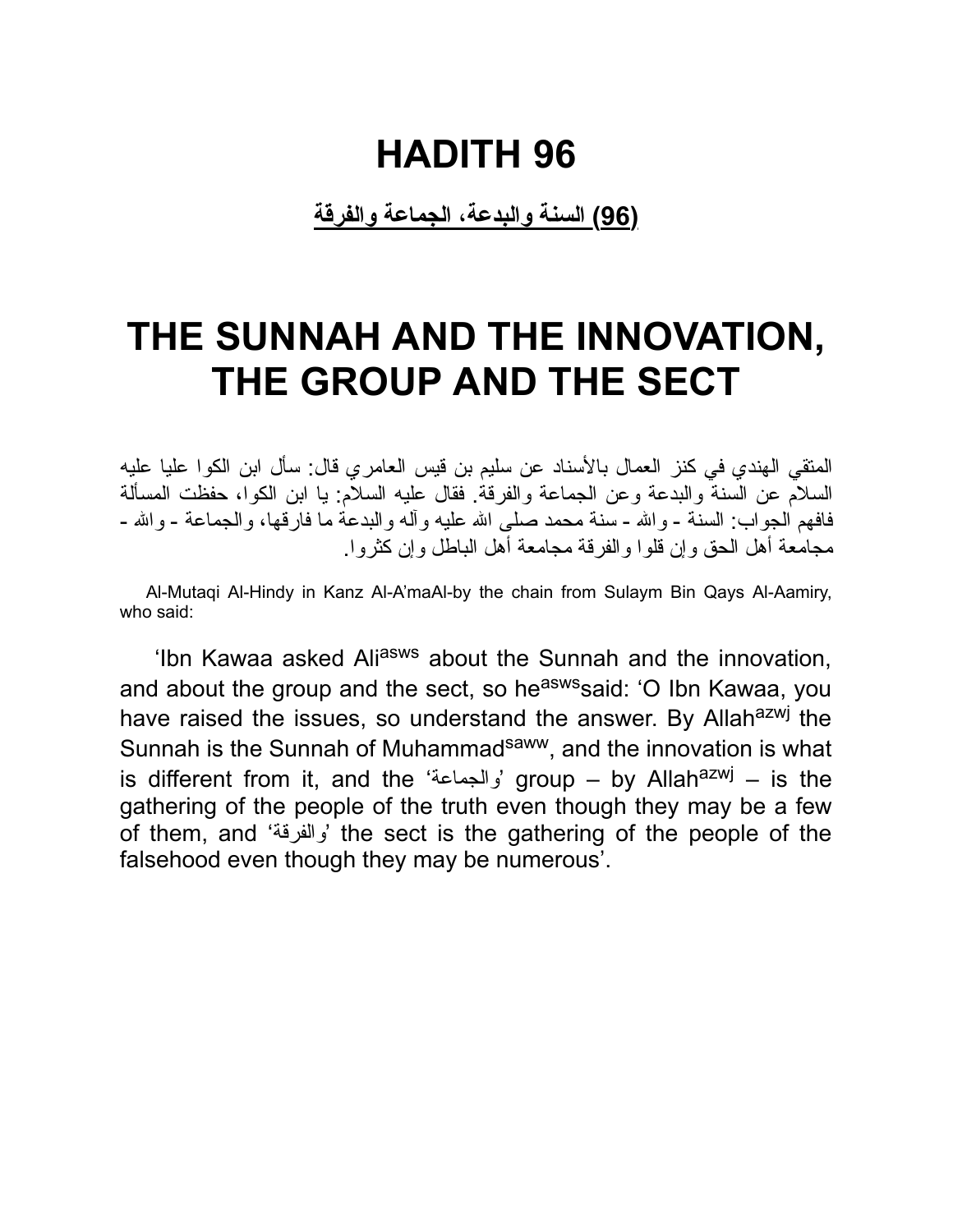**(96) السنة والبدعة، الجماعة والفرقة**

### **THE SUNNAH AND THE INNOVATION, THE GROUP AND THE SECT**

المتقي الهندي في كنز العمال بالأسناد عن سلیم بن قیس العامري قال: سأل ابن الكوا علیا علیه السلام عن السنة والبدعة وعن الجماعة والفرقة. فقال علیه السلام: یا ابن الكوا، حفظت المسألة فافهم الجواب: السنة - والله - سنة محمد صلى الله علیه و آله والبدعة ما فار قها، والجماعة - والله -مجامعة أهل الحق وإن قلوا والفرقة مجامعة أهل الباطل وإن كثروا.

Al-Mutaqi Al-Hindy in Kanz Al-A'maAl-by the chain from Sulaym Bin Qays Al-Aamiry, who said:

'Ibn Kawaa asked Ali<sup>asws</sup> about the Sunnah and the innovation, and about the group and the sect, so he<sup>asws</sup>said: 'O Ibn Kawaa, you have raised the issues, so understand the answer. By Allah<sup>azwj</sup> the Sunnah is the Sunnah of Muhammad<sup>saww</sup>, and the innovation is what is different from it, and the 'والجماعة 'group – by Allahazwj – is the gathering of the people of the truth even though they may be a few of them, and 'والفرقة 'the sect is the gathering of the people of the falsehood even though they may be numerous'.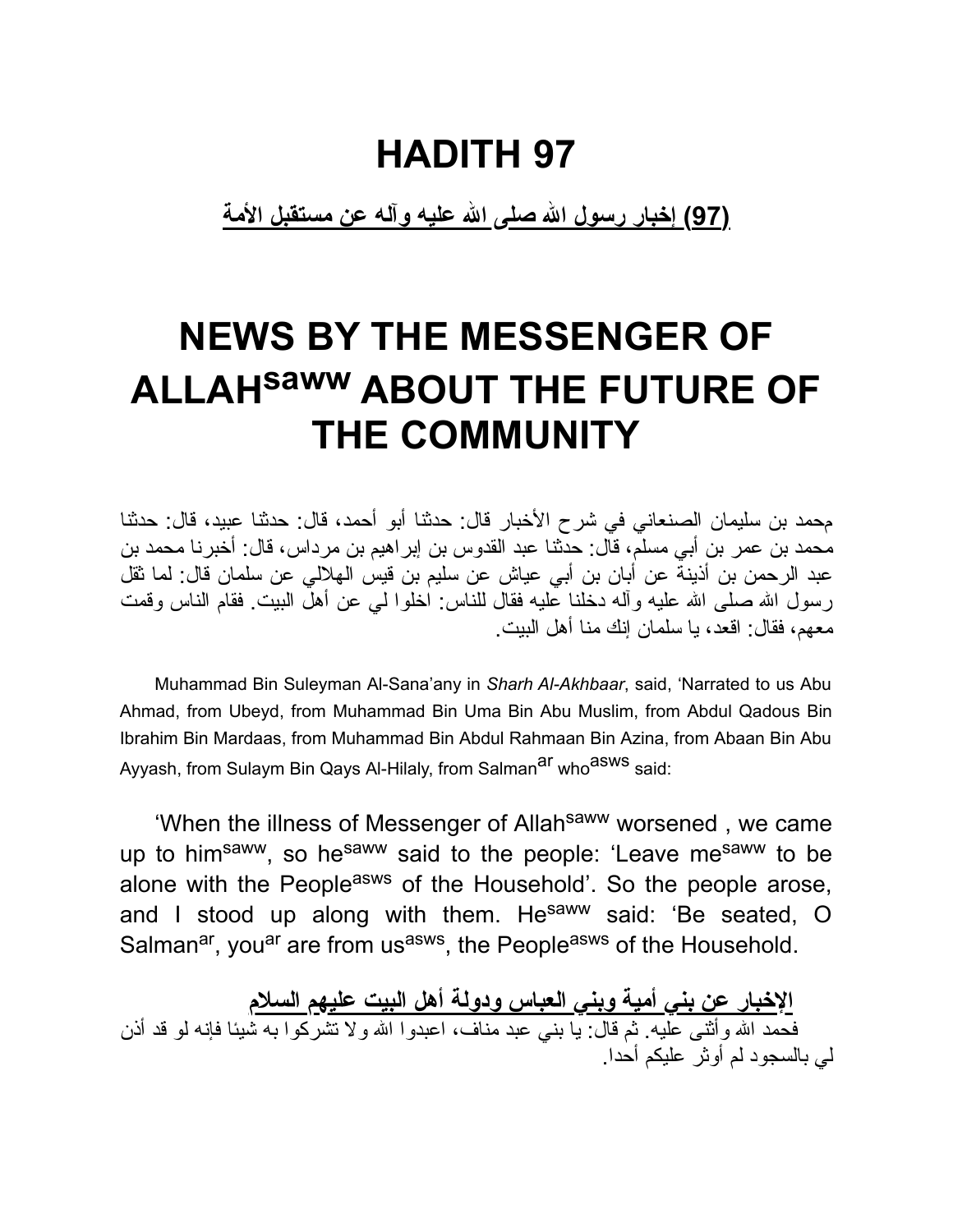**(97) إخبار رسول االله صلى االله علیه وآله عن مستقبل الأمة**

## **NEWS BY THE MESSENGER OF ALLAHsaww ABOUT THE FUTURE OF THE COMMUNITY**

محمد بن سلیمان الصنعاني في شرح الأخبار قال: حدثنا أبو أحمد، قال: حدثنا عبید، قال: حدثنا محمد بن عمر بن أبي مسلم، قال: حدثنا عبد القدوس بن إبراهیم بن مرداس، قال: أخبرنا محمد بن عبد الرحمن بن أذینة عن أبان بن أبي عیاش عن سلیم بن قیس الهلالي عن سلمان قال: لما ثقل رسول الله صلى الله علیه وآله دخلنا علیه فقال للناس: اخلوا لي عن أهل البیت. فقام الناس وقمت معهم، فقال: اقعد، یا سلمان إنك منا أهل البیت.

Muhammad Bin Suleyman Al-Sana'any in *Sharh Al-Akhbaar*, said, 'Narrated to us Abu Ahmad, from Ubeyd, from Muhammad Bin Uma Bin Abu Muslim, from Abdul Qadous Bin Ibrahim Bin Mardaas, from Muhammad Bin Abdul Rahmaan Bin Azina, from Abaan Bin Abu Ayyash, from Sulaym Bin Qays Al-Hilaly, from Salman<sup>ar</sup> who<sup>asws</sup> said:

'When the illness of Messenger of Allah<sup>saww</sup> worsened, we came up to him<sup>saww</sup>, so he<sup>saww</sup> said to the people: 'Leave me<sup>saww</sup> to be alone with the People<sup>asws</sup> of the Household'. So the people arose, and I stood up along with them. He<sup>saww</sup> said: 'Be seated, O Salman<sup>ar</sup>, you<sup>ar</sup> are from us<sup>asws</sup>, the People<sup>asws</sup> of the Household.

**الإخبار عن بني أمیة وبني العباس ودولة أهل البیت علیهم السلام** فحمد االله وأثنى علیه. ثم قال: یا بني عبد مناف، اعبدوا االله ولا تشركوا به شیئا فإنه لو قد أذن لي بالسجود لم أوثر علیكم أحدا.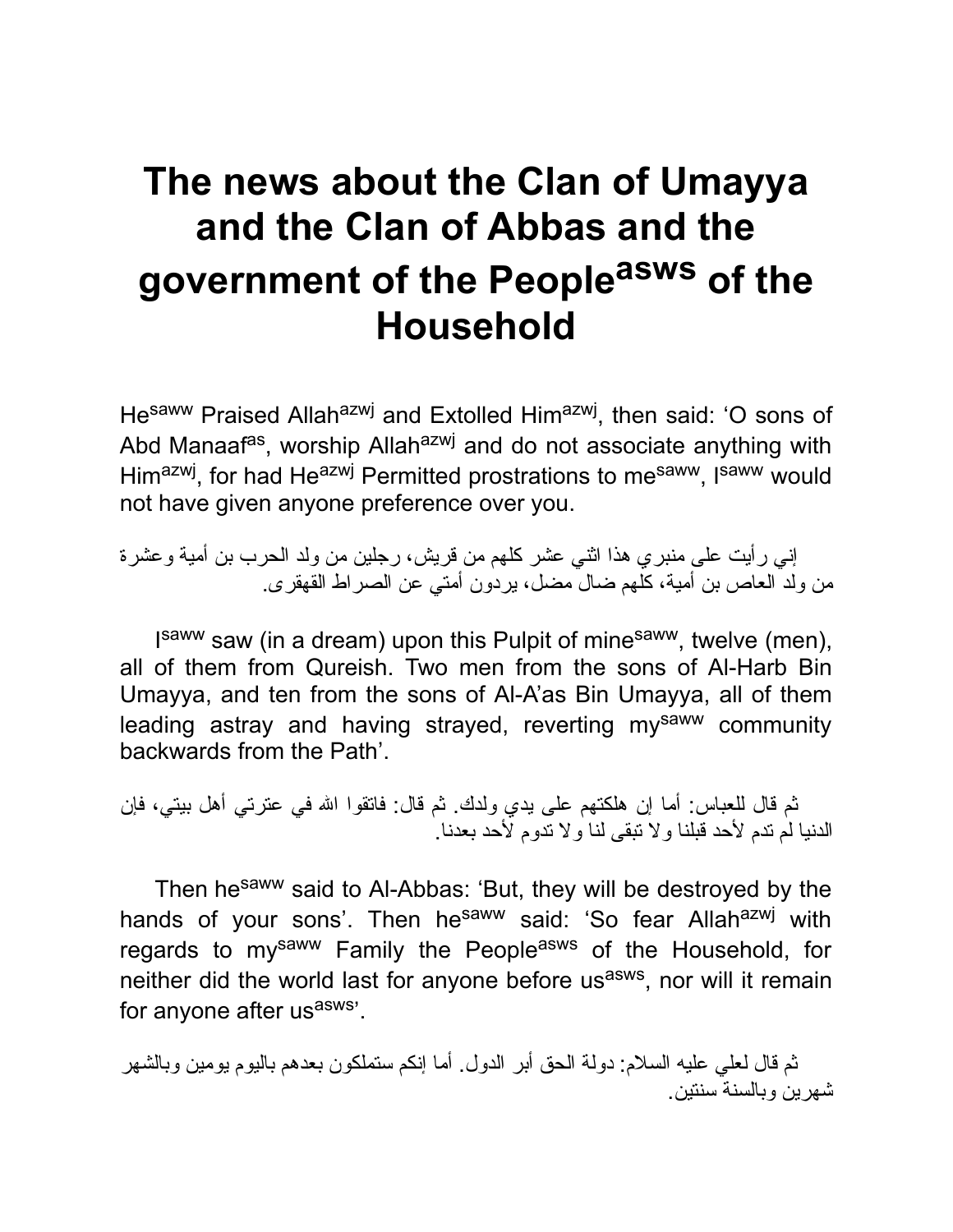## **The news about the Clan of Umayya and the Clan of Abbas and the government of the People asws of the Household**

He<sup>saww</sup> Praised Allah<sup>azwj</sup> and Extolled Him<sup>azwj</sup>, then said: 'O sons of Abd Manaaf<sup>as</sup>, worship Allah<sup>azwj</sup> and do not associate anything with Him<sup>azwj</sup>, for had He<sup>azwj</sup> Permitted prostrations to me<sup>saww</sup>, I<sup>saww</sup> would not have given anyone preference over you.

إني رأیت على منبري هذا اثني عشر كلهم من قریش، رجلین من ولد الحرب بن أمیة وعشرة من ولد العاص بن أمیة، كلهم ضال مضل، یردون أمتي عن الصراط القهقرى.

I<sup>saww</sup> saw (in a dream) upon this Pulpit of mine<sup>saww</sup>, twelve (men), all of them from Qureish. Two men from the sons of Al-Harb Bin Umayya, and ten from the sons of Al-A'as Bin Umayya, all of them leading astray and having strayed, reverting mysaww community backwards from the Path'.

ثم قال للعباس: أما إن هلكتهم على یدي ولدك. ثم قال: فاتقوا االله في عترتي أهل بیتي، فإن الدنیا لم تدم لأحد قبلنا ولا تبقى لنا ولا تدوم لأحد بعدنا.

Then he<sup>saww</sup> said to Al-Abbas: 'But, they will be destroyed by the hands of your sons'. Then he<sup>saww</sup> said: 'So fear Allahazwj with regards to mysaww Family the Peopleasws of the Household, for neither did the world last for anyone before us<sup>asws</sup>, nor will it remain for anyone after usasws'.

ثم قال لعلي علیه السلام: دولة الحق أبر الدول. أما إنكم ستملكون بعدهم بالیوم یومین وبالشهر شهرین وبالسنة سنتین.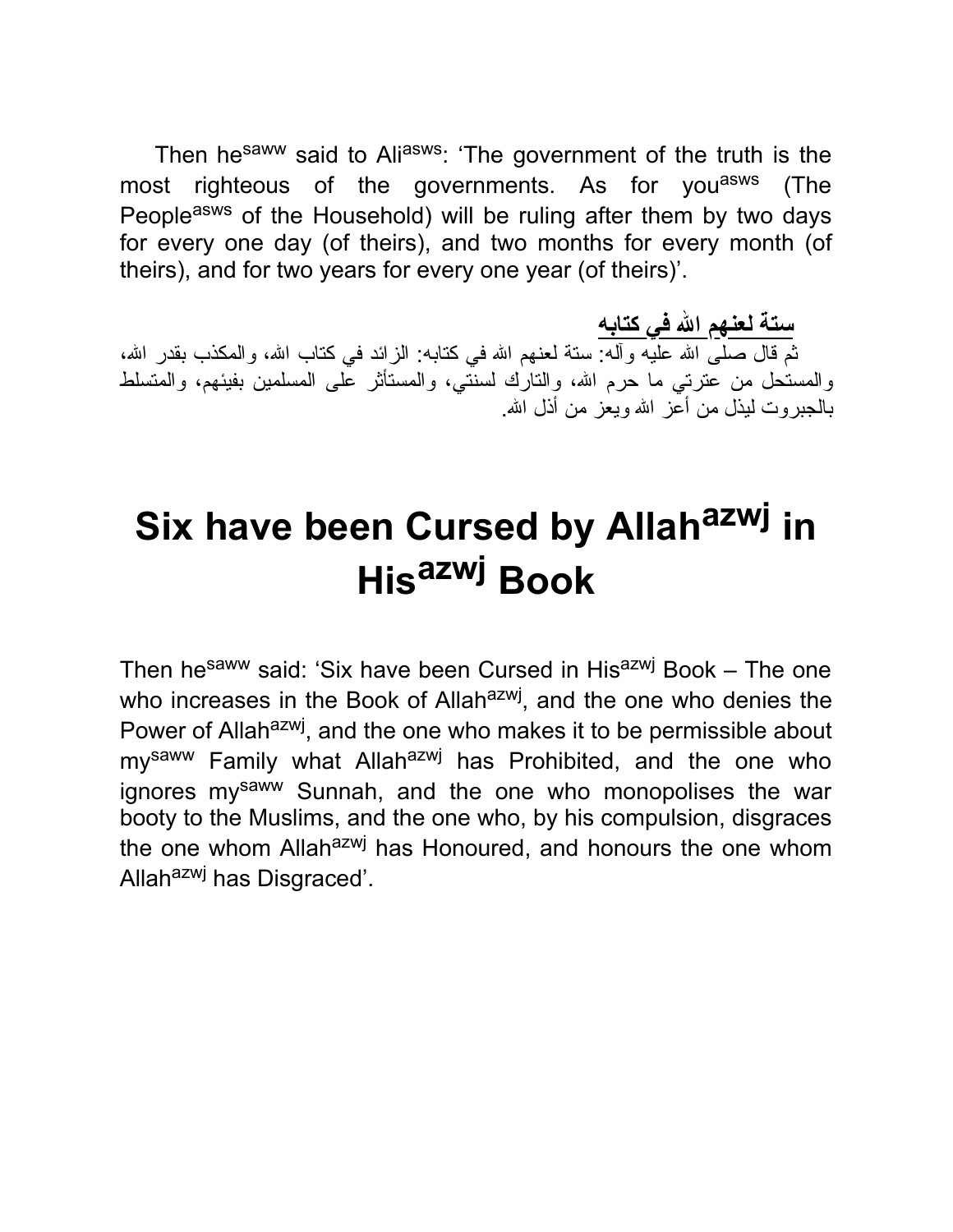Then he<sup>saww</sup> said to Aliasws: 'The government of the truth is the most righteous of the governments. As for you<sup>asws</sup> (The People<sup>asws</sup> of the Household) will be ruling after them by two days for every one day (of theirs), and two months for every month (of theirs), and for two years for every one year (of theirs)'.

**ستة لعنهم االله في كتابه** ثم قال صلى الله عليه وأله: ستة لعنهم الله في كتابه: الزائد في كتاب الله، والمكذب بقدر الله، والمستحل من عُترتي ما حرم الله، والتارك لسنتني، والمستأثر على المسلمین بفیئهم، والمتسلط بالجبروت لیذل من أعز االله ویعز من أذل االله.

# **Six have been Cursed by Allah azwj in His azwj Book**

Then he<sup>saww</sup> said: 'Six have been Cursed in His<sup>azwj</sup> Book – The one who increases in the Book of Allah<sup>azwj</sup>, and the one who denies the Power of Allah<sup>azwj</sup>, and the one who makes it to be permissible about my<sup>saww</sup> Family what Allah<sup>azwj</sup> has Prohibited, and the one who ignores my<sup>saww</sup> Sunnah, and the one who monopolises the war booty to the Muslims, and the one who, by his compulsion, disgraces the one whom Allah<sup>azwj</sup> has Honoured, and honours the one whom Allah<sup>azwj</sup> has Disgraced'.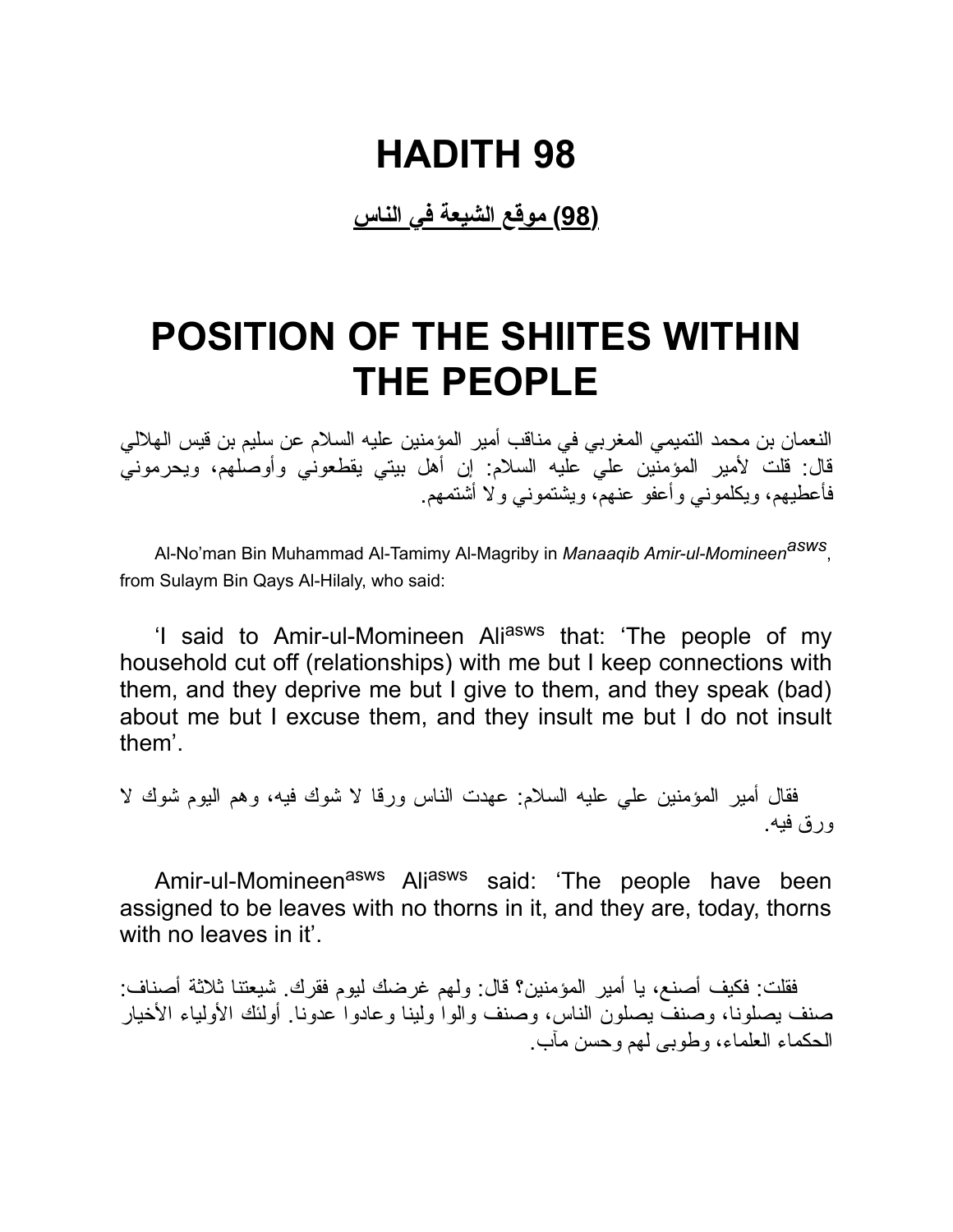**(98) موقع الشیعة في الناس**

### **POSITION OF THE SHIITES WITHIN THE PEOPLE**

النعمان بن محمد التمیمي المغربي في مناقب أمیر المؤمنین علیه السلام عن سلیم بن قیس الهلالي قال: قلت لأمیر المؤمنین علي علیه السلام: إن أهل بیتي یقطعوني وأوصلهم، ویحرموني فأعطیهم، ویكلموني وأعفو عنهم، ویشتموني ولا أشتمهم.

Al-No'man Bin Muhammad Al-Tamimy Al-Magriby in *Manaaqib Amir-ul-Momineenasws* , from Sulaym Bin Qays Al-Hilaly, who said:

'I said to Amir-ul-Momineen Aliasws that: 'The people of my household cut off (relationships) with me but I keep connections with them, and they deprive me but I give to them, and they speak (bad) about me but I excuse them, and they insult me but I do not insult them'.

فقال أمیر المؤمنین علي علیه السلام: عهدت الناس ورقا لا شوك فیه، وهم الیوم شوك لا ورق فیه.

Amir-ul-Momineen<sup>asws</sup> Ali<sup>asws</sup> said: 'The people have been assigned to be leaves with no thorns in it, and they are, today, thorns with no leaves in it'.

فقلت: فكیف أصنع، یا أمیر المؤمنین؟ قال: ولهم غرضك لیوم فقرك. شیعتنا ثلاثة أصناف: صنف یصلونا، وصنف یصلون الناس، وصنف والوا ولینا وعادوا عدونا. أولئك الأولیاء الأخیار الحكماء العلماء، وطوبى لهم وحسن مآب.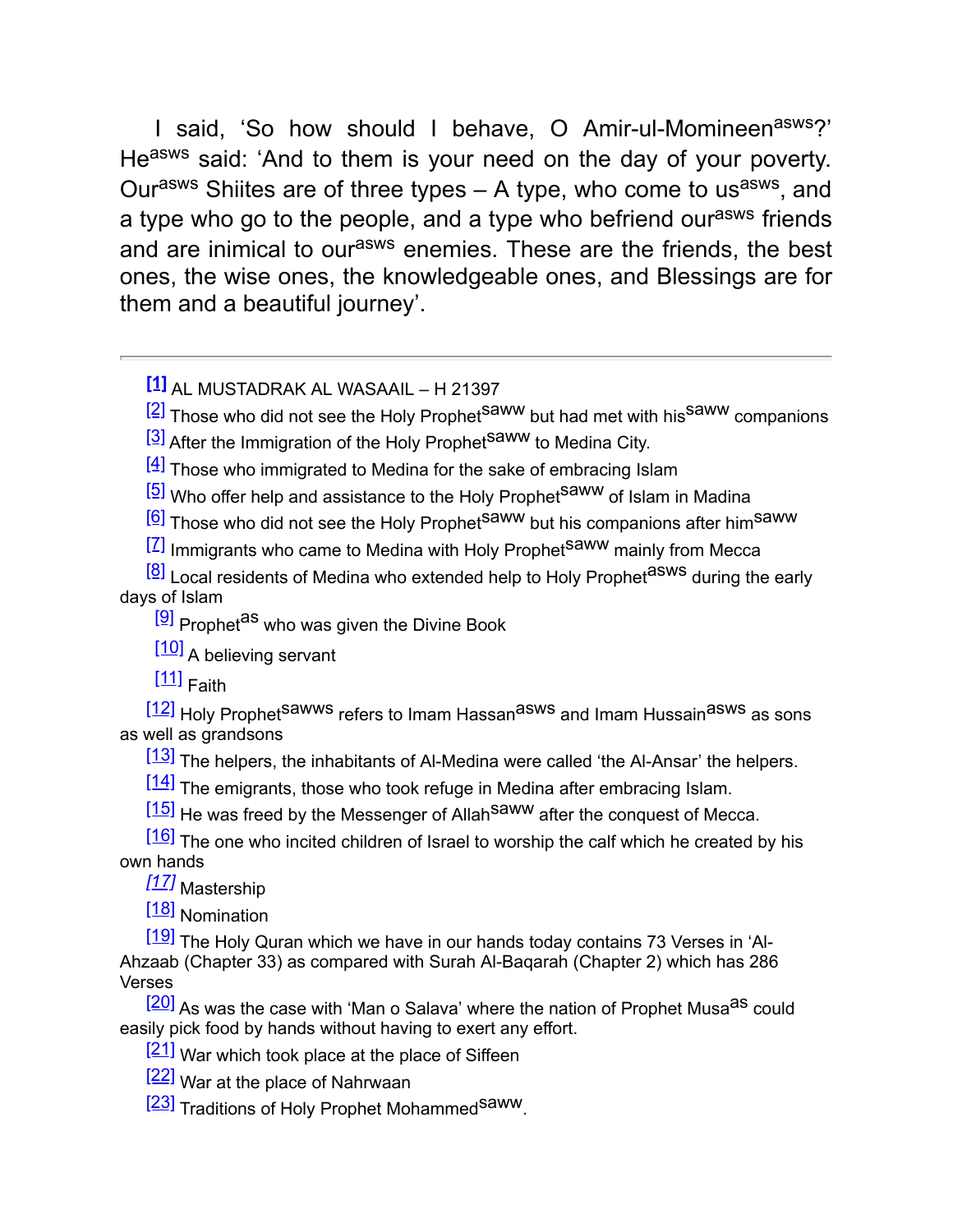I said, 'So how should I behave, O Amir-ul-Momineen<sup>asws</sup>?' Heasws said: 'And to them is your need on the day of your poverty. Ourasws Shiites are of three types  $- A$  type, who come to usasws, and a type who go to the people, and a type who befriend our<sup>asws</sup> friends and are inimical to our<sup>asws</sup> enemies. These are the friends, the best ones, the wise ones, the knowledgeable ones, and Blessings are for them and a beautiful journey'.

**[\[1\]](file:///tmp/calibre_4.23.0_tmp_tXLvAa/xZVlnk_pdf_out/OEBPS/Text/c003.xhtml#_ftnref1)** AL MUSTADRAK AL WASAAIL – H 21397

 $[2]$  Those who did not see the Holy Prophet<sup>Saww</sup> but had met with his<sup>Saww</sup> companions

[\[3\]](file:///tmp/calibre_4.23.0_tmp_tXLvAa/xZVlnk_pdf_out/OEBPS/Text/c004.xhtml#_ftnref3) After the Immigration of the Holy Prophet<sup>Saww</sup> to Medina City.

 $\left[\frac{4}{1}\right]$  Those who immigrated to Medina for the sake of embracing Islam

<sup>[\[5\]](file:///tmp/calibre_4.23.0_tmp_tXLvAa/xZVlnk_pdf_out/OEBPS/Text/c005.xhtml#_ftnref5)</sup> Who offer help and assistance to the Holy Prophet<sup>Saww</sup> of Islam in Madina

 $\left[\frac{6}{2}\right]$  Those who did not see the Holy Prophet<sup>Saww</sup> but his companions after him<sup>Saww</sup>

 $\left[\frac{7}{2}\right]$  Immigrants who came to Medina with Holy Prophet<sup>Saww</sup> mainly from Mecca

 $\frac{[8]}{[8]}$  $\frac{[8]}{[8]}$  $\frac{[8]}{[8]}$  Local residents of Medina who extended help to Holy Prophet<sup>asws</sup> during the early days of Islam

 $[9]$  Prophet<sup>as</sup> who was given the Divine Book

[\[10\]](file:///tmp/calibre_4.23.0_tmp_tXLvAa/xZVlnk_pdf_out/OEBPS/Text/c011.xhtml#_ftnref10) A believing servant

 $[11]$  Faith

 $\frac{[12]}{[12]}$  $\frac{[12]}{[12]}$  $\frac{[12]}{[12]}$  Holy Prophet<sup>Sawws</sup> refers to Imam Hassan<sup>asws</sup> and Imam Hussain<sup>asws</sup> as sons as well as grandsons

 $[13]$  The helpers, the inhabitants of Al-Medina were called 'the Al-Ansar' the helpers.

 $[14]$  The emigrants, those who took refuge in Medina after embracing Islam.

 $\left[15\right]$  He was freed by the Messenger of Allah<sup>saww</sup> after the conquest of Mecca.

[\[16\]](file:///tmp/calibre_4.23.0_tmp_tXLvAa/xZVlnk_pdf_out/OEBPS/Text/c056.xhtml#_ftnref16) The one who incited children of Israel to worship the calf which he created by his own hands

*[\[17\]](file:///tmp/calibre_4.23.0_tmp_tXLvAa/xZVlnk_pdf_out/OEBPS/Text/c088.xhtml#_ftnref17)* Mastership

[\[18\]](file:///tmp/calibre_4.23.0_tmp_tXLvAa/xZVlnk_pdf_out/OEBPS/Text/c090.xhtml#_ftnref18) Nomination

[\[19\]](file:///tmp/calibre_4.23.0_tmp_tXLvAa/xZVlnk_pdf_out/OEBPS/Text/c113.xhtml#_ftnref19) The Holy Quran which we have in our hands today contains 73 Verses in 'Al-Ahzaab (Chapter 33) as compared with Surah Al-Baqarah (Chapter 2) which has 286 Verses

<sup>[\[20\]](file:///tmp/calibre_4.23.0_tmp_tXLvAa/xZVlnk_pdf_out/OEBPS/Text/c114.xhtml#_ftnref20)</sup> As was the case with 'Man o Salava' where the nation of Prophet Musa<sup>as</sup> could easily pick food by hands without having to exert any effort.

 $[21]$  War which took place at the place of Siffeen

[\[22\]](file:///tmp/calibre_4.23.0_tmp_tXLvAa/xZVlnk_pdf_out/OEBPS/Text/c124.xhtml#_ftnref22) War at the place of Nahrwaan

[\[23\]](file:///tmp/calibre_4.23.0_tmp_tXLvAa/xZVlnk_pdf_out/OEBPS/Text/c132.xhtml#_ftnref23) Traditions of Holy Prophet Mohammed<sup>Saww</sup>.